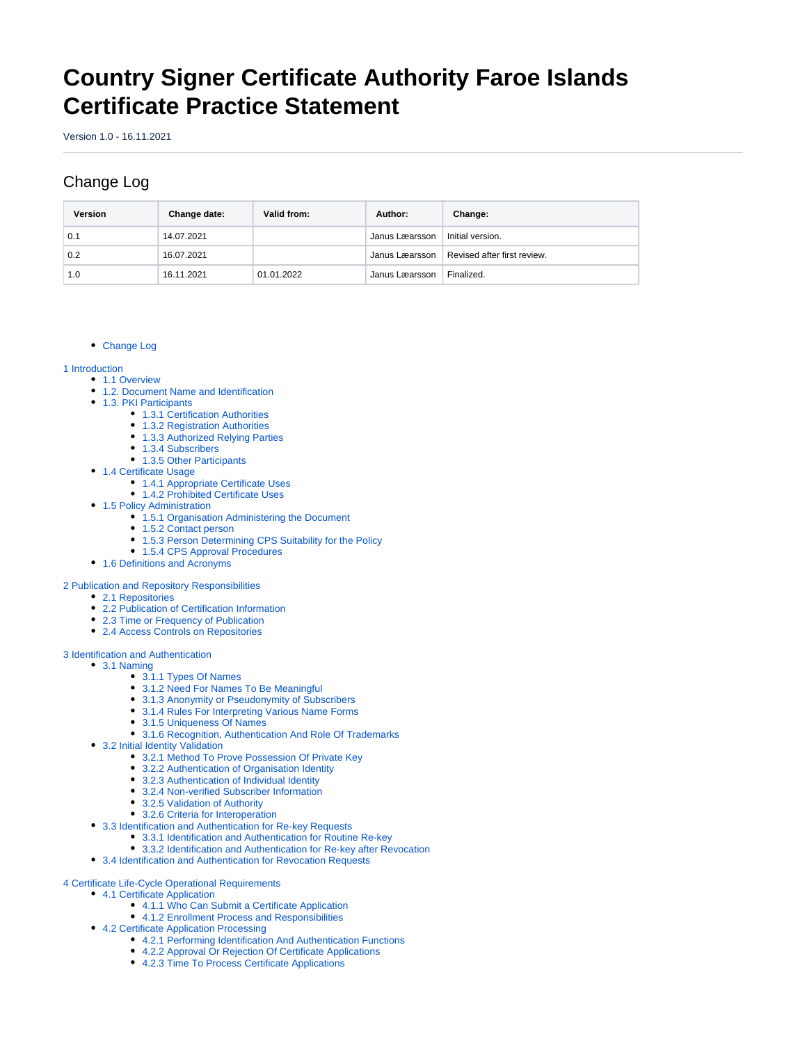# **Country Signer Certificate Authority Faroe Islands Certificate Practice Statement**

Version 1.0 - 16.11.2021

# <span id="page-0-0"></span>Change Log

| Version | Change date: | Valid from: | Author:        | Change:                     |
|---------|--------------|-------------|----------------|-----------------------------|
| 0.1     | 14.07.2021   |             | Janus Læarsson | Initial version.            |
| 0.2     | 16.07.2021   |             | Janus Læarsson | Revised after first review. |
| 1.0     | 16.11.2021   | 01.01.2022  | Janus Læarsson | Finalized.                  |

#### [Change Log](#page-0-0)

[1 Introduction](#page-3-0)

- [1.1 Overview](#page-4-0)
	- [1.2. Document Name and Identification](#page-5-0)
	- [1.3. PKI Participants](#page-5-1)
		- [1.3.1 Certification Authorities](#page-5-2)
			- [1.3.2 Registration Authorities](#page-6-0)
			- [1.3.3 Authorized Relying Parties](#page-6-1)
			- [1.3.4 Subscribers](#page-6-2)
		- [1.3.5 Other Participants](#page-6-3)
	- [1.4 Certificate Usage](#page-7-0)
		- [1.4.1 Appropriate Certificate Uses](#page-7-1)
		- [1.4.2 Prohibited Certificate Uses](#page-7-2)
	- [1.5 Policy Administration](#page-7-3)
		- [1.5.1 Organisation Administering the Document](#page-7-4)
		- [1.5.2 Contact person](#page-7-5)
		- [1.5.3 Person Determining CPS Suitability for the Policy](#page-7-6)
		- [1.5.4 CPS Approval Procedures](#page-7-7)
- [1.6 Definitions and Acronyms](#page-7-8)

#### [2 Publication and Repository Responsibilities](#page-8-0)

- 2.1 Repositories
	- [2.2 Publication of Certification Information](#page-8-2)
	- [2.3 Time or Frequency of Publication](#page-8-3)
- [2.4 Access Controls on Repositories](#page-8-4)

[3 Identification and Authentication](#page-8-5)

- [3.1 Naming](#page-8-6)
	- [3.1.1 Types Of Names](#page-9-0)
	- [3.1.2 Need For Names To Be Meaningful](#page-9-1)
	- [3.1.3 Anonymity or Pseudonymity of Subscribers](#page-9-2)
	- [3.1.4 Rules For Interpreting Various Name Forms](#page-9-3)
	- [3.1.5 Uniqueness Of Names](#page-9-4)
	- [3.1.6 Recognition, Authentication And Role Of Trademarks](#page-9-5)
	- [3.2 Initial Identity Validation](#page-9-6)
		- [3.2.1 Method To Prove Possession Of Private Key](#page-9-7)
		- [3.2.2 Authentication of Organisation Identity](#page-9-8)
		- [3.2.3 Authentication of Individual Identity](#page-9-9)
		- [3.2.4 Non-verified Subscriber Information](#page-9-10)
		- [3.2.5 Validation of Authority](#page-9-11)
		- [3.2.6 Criteria for Interoperation](#page-10-0)
	- [3.3 Identification and Authentication for Re-key Requests](#page-10-1)
		- [3.3.1 Identification and Authentication for Routine Re-key](#page-10-2)
		- [3.3.2 Identification and Authentication for Re-key after Revocation](#page-10-3)
	- [3.4 Identification and Authentication for Revocation Requests](#page-10-4)

#### [4 Certificate Life-Cycle Operational Requirements](#page-10-5)

- [4.1 Certificate Application](#page-10-6)
	- [4.1.1 Who Can Submit a Certificate Application](#page-10-7)
	- [4.1.2 Enrollment Process and Responsibilities](#page-10-8)
- [4.2 Certificate Application Processing](#page-11-0)
	- [4.2.1 Performing Identification And Authentication Functions](#page-11-1)
	- [4.2.2 Approval Or Rejection Of Certificate Applications](#page-11-2)
	- [4.2.3 Time To Process Certificate Applications](#page-11-3)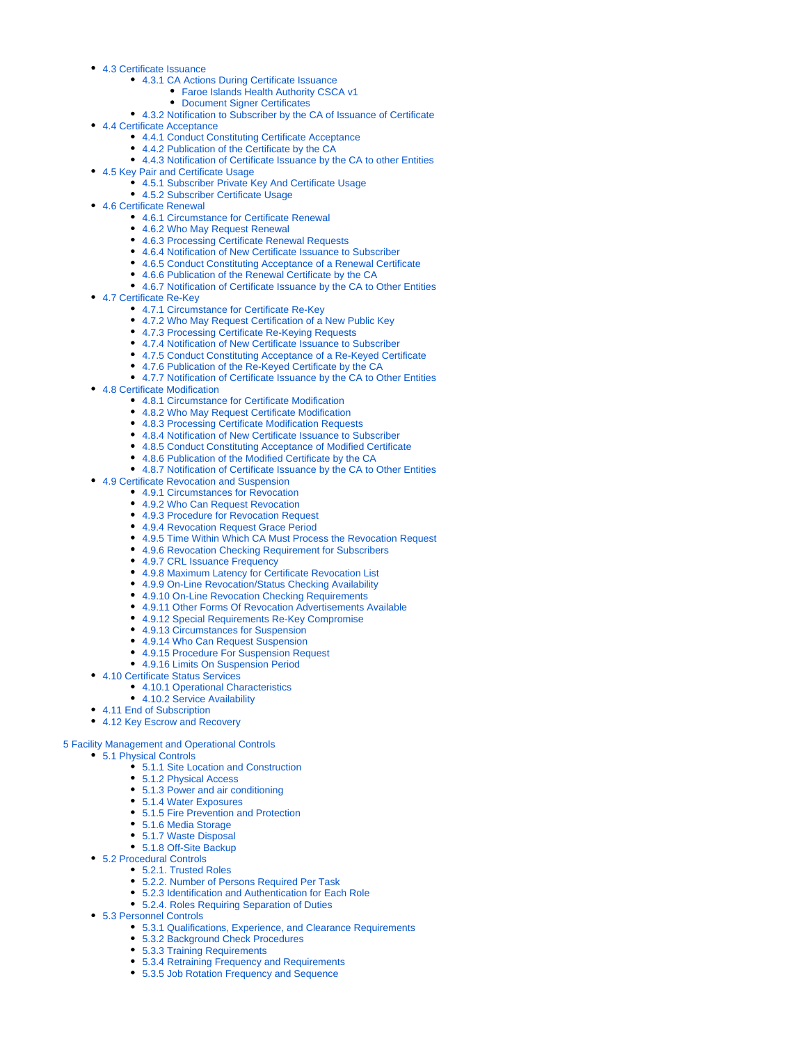- [4.3 Certificate Issuance](#page-11-4)
	- [4.3.1 CA Actions During Certificate Issuance](#page-11-5)
		- [Faroe Islands Health Authority CSCA v1](#page-11-6)
		- [Document Signer Certificates](#page-11-7)
	- [4.3.2 Notification to Subscriber by the CA of Issuance of Certificate](#page-12-0)
- [4.4 Certificate Acceptance](#page-12-1)
	- [4.4.1 Conduct Constituting Certificate Acceptance](#page-12-2)
	- [4.4.2 Publication of the Certificate by the CA](#page-12-3)
	- [4.4.3 Notification of Certificate Issuance by the CA to other Entities](#page-12-4)
- [4.5 Key Pair and Certificate Usage](#page-12-5)
	- [4.5.1 Subscriber Private Key And Certificate Usage](#page-12-6)
	- [4.5.2 Subscriber Certificate Usage](#page-12-7)
- [4.6 Certificate Renewal](#page-13-0)
	- [4.6.1 Circumstance for Certificate Renewal](#page-13-1)
	- [4.6.2 Who May Request Renewal](#page-13-2)
	- [4.6.3 Processing Certificate Renewal Requests](#page-13-3)
	- [4.6.4 Notification of New Certificate Issuance to Subscriber](#page-13-4)
	- [4.6.5 Conduct Constituting Acceptance of a Renewal Certificate](#page-13-5)
	- [4.6.6 Publication of the Renewal Certificate by the CA](#page-13-6)
	- [4.6.7 Notification of Certificate Issuance by the CA to Other Entities](#page-13-7)
- [4.7 Certificate Re-Key](#page-13-8)
	- [4.7.1 Circumstance for Certificate Re-Key](#page-13-9)
	- [4.7.2 Who May Request Certification of a New Public Key](#page-13-10)
	- [4.7.3 Processing Certificate Re-Keying Requests](#page-13-11)
	- [4.7.4 Notification of New Certificate Issuance to Subscriber](#page-13-12)
	- [4.7.5 Conduct Constituting Acceptance of a Re-Keyed Certificate](#page-13-13)
	- [4.7.6 Publication of the Re-Keyed Certificate by the CA](#page-13-14)
	- [4.7.7 Notification of Certificate Issuance by the CA to Other Entities](#page-13-15)
- [4.8 Certificate Modification](#page-14-0)
	- [4.8.1 Circumstance for Certificate Modification](#page-14-1)
	- [4.8.2 Who May Request Certificate Modification](#page-14-2)
	- [4.8.3 Processing Certificate Modification Requests](#page-14-3)
	- [4.8.4 Notification of New Certificate Issuance to Subscriber](#page-14-4)
	- [4.8.5 Conduct Constituting Acceptance of Modified Certificate](#page-14-5)
	- [4.8.6 Publication of the Modified Certificate by the CA](#page-14-6)
	- [4.8.7 Notification of Certificate Issuance by the CA to Other Entities](#page-14-7)
- [4.9 Certificate Revocation and Suspension](#page-14-8)
	- [4.9.1 Circumstances for Revocation](#page-14-9)
		- [4.9.2 Who Can Request Revocation](#page-15-0)
		- [4.9.3 Procedure for Revocation Request](#page-15-1)
		- [4.9.4 Revocation Request Grace Period](#page-15-2)
		- [4.9.5 Time Within Which CA Must Process the Revocation Request](#page-15-3)
		- [4.9.6 Revocation Checking Requirement for Subscribers](#page-15-4)
		- [4.9.7 CRL Issuance Frequency](#page-15-5)
		- [4.9.8 Maximum Latency for Certificate Revocation List](#page-16-0)
		- [4.9.9 On-Line Revocation/Status Checking Availability](#page-16-1)
		- [4.9.10 On-Line Revocation Checking Requirements](#page-16-2)
		- [4.9.11 Other Forms Of Revocation Advertisements Available](#page-16-3)
		- [4.9.12 Special Requirements Re-Key Compromise](#page-16-4)
		- [4.9.13 Circumstances for Suspension](#page-16-5)
		- [4.9.14 Who Can Request Suspension](#page-16-6)
		- [4.9.15 Procedure For Suspension Request](#page-16-7)
		- [4.9.16 Limits On Suspension Period](#page-16-8)
- [4.10 Certificate Status Services](#page-16-9)
	- [4.10.1 Operational Characteristics](#page-16-10)
	- [4.10.2 Service Availability](#page-16-11)
- [4.11 End of Subscription](#page-16-12)
- [4.12 Key Escrow and Recovery](#page-16-13)
- 

#### [5 Facility Management and Operational Controls](#page-16-14)

- [5.1 Physical Controls](#page-17-0)
	- [5.1.1 Site Location and Construction](#page-17-1)
	- [5.1.2 Physical Access](#page-17-2)
	- [5.1.3 Power and air conditioning](#page-18-0)
	- [5.1.4 Water Exposures](#page-18-1)
	- [5.1.5 Fire Prevention and Protection](#page-18-2)
	- [5.1.6 Media Storage](#page-18-3)
	- [5.1.7 Waste Disposal](#page-18-4)
	- [5.1.8 Off-Site Backup](#page-18-5)
- [5.2 Procedural Controls](#page-19-0)
	- [5.2.1. Trusted Roles](#page-19-1)
	- [5.2.2. Number of Persons Required Per Task](#page-19-2)
	- [5.2.3 Identification and Authentication for Each Role](#page-19-3)
	- [5.2.4. Roles Requiring Separation of Duties](#page-19-4)
- [5.3 Personnel Controls](#page-20-0)
	- [5.3.1 Qualifications, Experience, and Clearance Requirements](#page-20-1)
	- [5.3.2 Background Check Procedures](#page-20-2)
	- [5.3.3 Training Requirements](#page-21-0)
	- [5.3.4 Retraining Frequency and Requirements](#page-21-1)
	- [5.3.5 Job Rotation Frequency and Sequence](#page-21-2)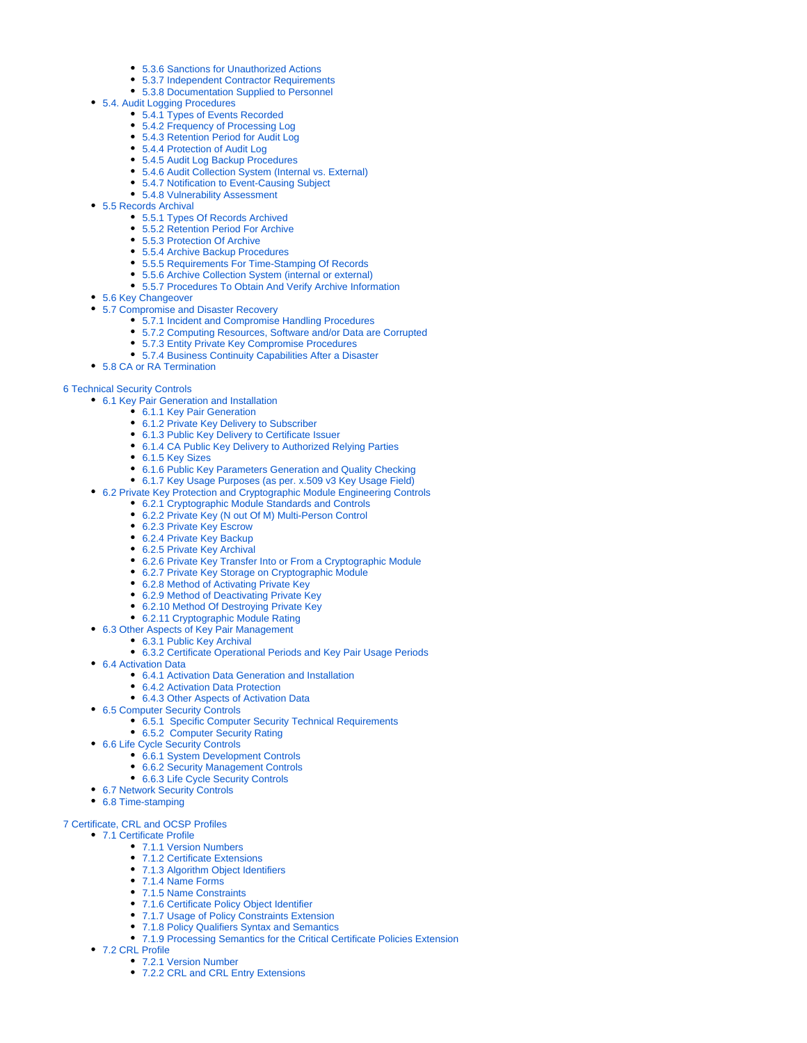- [5.3.6 Sanctions for Unauthorized Actions](#page-21-3)
- [5.3.7 Independent Contractor Requirements](#page-22-0)
- [5.3.8 Documentation Supplied to Personnel](#page-22-1)
- [5.4. Audit Logging Procedures](#page-22-2)
	- [5.4.1 Types of Events Recorded](#page-22-3)
	- [5.4.2 Frequency of Processing Log](#page-22-4) [5.4.3 Retention Period for Audit Log](#page-22-5)
	-
	- [5.4.4 Protection of Audit Log](#page-22-6)
	- [5.4.5 Audit Log Backup Procedures](#page-22-7)
	- [5.4.6 Audit Collection System \(Internal vs. External\)](#page-22-8)
	- [5.4.7 Notification to Event-Causing Subject](#page-22-9) [5.4.8 Vulnerability Assessment](#page-23-0)
- [5.5 Records Archival](#page-23-1)
	- [5.5.1 Types Of Records Archived](#page-23-2)
	- [5.5.2 Retention Period For Archive](#page-23-3)
	- [5.5.3 Protection Of Archive](#page-23-4)
	- [5.5.4 Archive Backup Procedures](#page-23-5)
	- [5.5.5 Requirements For Time-Stamping Of Records](#page-23-6)
	- [5.5.6 Archive Collection System \(internal or external\)](#page-23-7)
	- [5.5.7 Procedures To Obtain And Verify Archive Information](#page-23-8)
- [5.6 Key Changeover](#page-23-9)
- [5.7 Compromise and Disaster Recovery](#page-24-0)
	- [5.7.1 Incident and Compromise Handling Procedures](#page-24-1)
	- [5.7.2 Computing Resources, Software and/or Data are Corrupted](#page-24-2)
	- [5.7.3 Entity Private Key Compromise Procedures](#page-24-3)
	- [5.7.4 Business Continuity Capabilities After a Disaster](#page-25-0)
- [5.8 CA or RA Termination](#page-25-1)

#### [6 Technical Security Controls](#page-26-0)

- [6.1 Key Pair Generation and Installation](#page-26-1)
	- [6.1.1 Key Pair Generation](#page-26-2)
	- [6.1.2 Private Key Delivery to Subscriber](#page-26-3)
	- [6.1.3 Public Key Delivery to Certificate Issuer](#page-26-4)
	- [6.1.4 CA Public Key Delivery to Authorized Relying Parties](#page-26-5)
	- [6.1.5 Key Sizes](#page-26-6)
	- [6.1.6 Public Key Parameters Generation and Quality Checking](#page-26-7)
	- [6.1.7 Key Usage Purposes \(as per. x.509 v3 Key Usage Field\)](#page-26-8)
- [6.2 Private Key Protection and Cryptographic Module Engineering Controls](#page-27-0)
	- [6.2.1 Cryptographic Module Standards and Controls](#page-27-1)
	- [6.2.2 Private Key \(N out Of M\) Multi-Person Control](#page-27-2)
	- [6.2.3 Private Key Escrow](#page-27-3)
	- [6.2.4 Private Key Backup](#page-27-4)
	- [6.2.5 Private Key Archival](#page-27-5)
	- [6.2.6 Private Key Transfer Into or From a Cryptographic Module](#page-27-6)
	- [6.2.7 Private Key Storage on Cryptographic Module](#page-27-7)
	- [6.2.8 Method of Activating Private Key](#page-27-8)
	- [6.2.9 Method of Deactivating Private Key](#page-27-9)
	- [6.2.10 Method Of Destroying Private Key](#page-27-10)
	- [6.2.11 Cryptographic Module Rating](#page-28-0)
- [6.3 Other Aspects of Key Pair Management](#page-28-1)
	- [6.3.1 Public Key Archival](#page-28-2)
		- [6.3.2 Certificate Operational Periods and Key Pair Usage Periods](#page-28-3)
- [6.4 Activation Data](#page-28-4)
	- [6.4.1 Activation Data Generation and Installation](#page-28-5)
	- [6.4.2 Activation Data Protection](#page-28-6)
	- [6.4.3 Other Aspects of Activation Data](#page-28-7)
- [6.5 Computer Security Controls](#page-28-8)
	- [6.5.1 Specific Computer Security Technical Requirements](#page-28-9)
- [6.5.2 Computer Security Rating](#page-28-10)
- [6.6 Life Cycle Security Controls](#page-29-0)
	- [6.6.1 System Development Controls](#page-29-1)
	- [6.6.2 Security Management Controls](#page-29-2)
	- [6.6.3 Life Cycle Security Controls](#page-29-3)
- [6.7 Network Security Controls](#page-29-4)
- [6.8 Time-stamping](#page-29-5)

#### [7 Certificate, CRL and OCSP Profiles](#page-30-0)

[7.1 Certificate Profile](#page-30-1)

- [7.1.1 Version Numbers](#page-30-2)
- [7.1.2 Certificate Extensions](#page-30-3)
- [7.1.3 Algorithm Object Identifiers](#page-30-4)
- [7.1.4 Name Forms](#page-30-5)
- [7.1.5 Name Constraints](#page-30-6)
- [7.1.6 Certificate Policy Object Identifier](#page-30-7)
- [7.1.7 Usage of Policy Constraints Extension](#page-30-8)
- [7.1.8 Policy Qualifiers Syntax and Semantics](#page-30-9)
- [7.1.9 Processing Semantics for the Critical Certificate Policies Extension](#page-30-10)
- [7.2 CRL Profile](#page-30-11)
	- [7.2.1 Version Number](#page-31-0)
	- [7.2.2 CRL and CRL Entry Extensions](#page-31-1)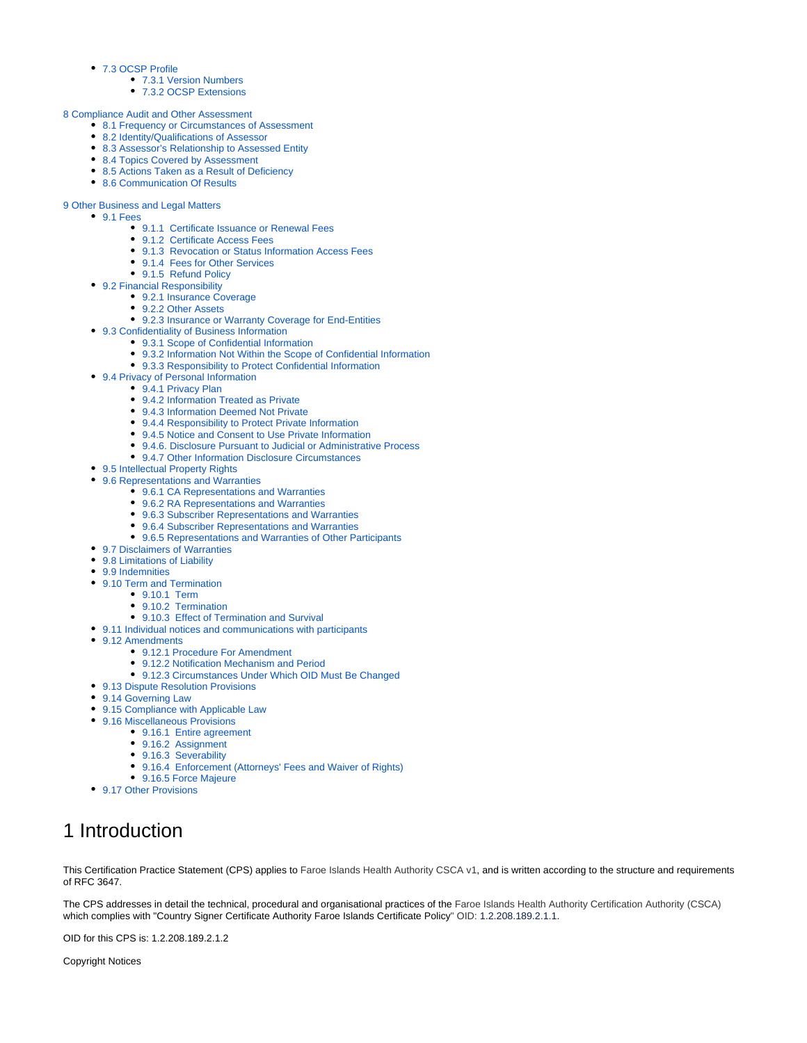- [7.3 OCSP Profile](#page-31-2)
	- [7.3.1 Version Numbers](#page-31-3)
	- [7.3.2 OCSP Extensions](#page-31-4)
- [8 Compliance Audit and Other Assessment](#page-31-5)
	- [8.1 Frequency or Circumstances of Assessment](#page-31-6)
	- [8.2 Identity/Qualifications of Assessor](#page-31-7)
	- [8.3 Assessor's Relationship to Assessed Entity](#page-31-8)
	- [8.4 Topics Covered by Assessment](#page-31-9)
	- [8.5 Actions Taken as a Result of Deficiency](#page-32-0)
	- [8.6 Communication Of Results](#page-32-1)
- [9 Other Business and Legal Matters](#page-32-2)
	- $9.1$  Fees
		- [9.1.1 Certificate Issuance or Renewal Fees](#page-32-4)
		- [9.1.2 Certificate Access Fees](#page-32-5)
		- [9.1.3 Revocation or Status Information Access Fees](#page-32-6)
		- [9.1.4 Fees for Other Services](#page-32-7)
		- [9.1.5 Refund Policy](#page-32-8)
	- [9.2 Financial Responsibility](#page-32-9)
		- [9.2.1 Insurance Coverage](#page-32-10)
		- [9.2.2 Other Assets](#page-32-11)
		- [9.2.3 Insurance or Warranty Coverage for End-Entities](#page-33-0)
	- [9.3 Confidentiality of Business Information](#page-33-1)
		- [9.3.1 Scope of Confidential Information](#page-33-2)
			- [9.3.2 Information Not Within the Scope of Confidential Information](#page-33-3)
			- [9.3.3 Responsibility to Protect Confidential Information](#page-33-4)
	- [9.4 Privacy of Personal Information](#page-33-5)
		- [9.4.1 Privacy Plan](#page-33-6)
		- [9.4.2 Information Treated as Private](#page-33-7)
		- [9.4.3 Information Deemed Not Private](#page-33-8)
		- [9.4.4 Responsibility to Protect Private Information](#page-34-0)
		- [9.4.5 Notice and Consent to Use Private Information](#page-34-1)
		- [9.4.6. Disclosure Pursuant to Judicial or Administrative Process](#page-34-2)
		- [9.4.7 Other Information Disclosure Circumstances](#page-34-3)
	- [9.5 Intellectual Property Rights](#page-34-4)
	- [9.6 Representations and Warranties](#page-34-5)
		- [9.6.1 CA Representations and Warranties](#page-34-6)
		- [9.6.2 RA Representations and Warranties](#page-35-0)
		- [9.6.3 Subscriber Representations and Warranties](#page-35-1)
		- [9.6.4 Subscriber Representations and Warranties](#page-35-2)
		- [9.6.5 Representations and Warranties of Other Participants](#page-35-3)
	- [9.7 Disclaimers of Warranties](#page-35-4)
	- [9.8 Limitations of Liability](#page-36-0)
	- [9.9 Indemnities](#page-36-1)
	- [9.10 Term and Termination](#page-37-0)
		- [9.10.1 Term](#page-37-1)
			- [9.10.2 Termination](#page-37-2)
			- [9.10.3 Effect of Termination and Survival](#page-37-3)
	- [9.11 Individual notices and communications with participants](#page-37-4)
	- [9.12 Amendments](#page-37-5)
		- [9.12.1 Procedure For Amendment](#page-37-6)
		- [9.12.2 Notification Mechanism and Period](#page-37-7)
		- [9.12.3 Circumstances Under Which OID Must Be Changed](#page-37-8)
	- [9.13 Dispute Resolution Provisions](#page-37-9)
	- [9.14 Governing Law](#page-38-0)
	- [9.15 Compliance with Applicable Law](#page-38-1)
	- [9.16 Miscellaneous Provisions](#page-38-2)
		- [9.16.1 Entire agreement](#page-38-3)
			- [9.16.2 Assignment](#page-38-4)
			- [9.16.3 Severability](#page-38-5)
			- [9.16.4 Enforcement \(Attorneys' Fees and Waiver of Rights\)](#page-38-6)
		- [9.16.5 Force Majeure](#page-38-7)
	- [9.17 Other Provisions](#page-38-8)

# <span id="page-3-0"></span>1 Introduction

This Certification Practice Statement (CPS) applies to Faroe Islands Health Authority CSCA v1, and is written according to the structure and requirements of RFC 3647.

The CPS addresses in detail the technical, procedural and organisational practices of the Faroe Islands Health Authority Certification Authority (CSCA) which complies with "Country Signer Certificate Authority Faroe Islands Certificate Policy" OID: 1.2.208.189.2.1.1.

OID for this CPS is: 1.2.208.189.2.1.2

Copyright Notices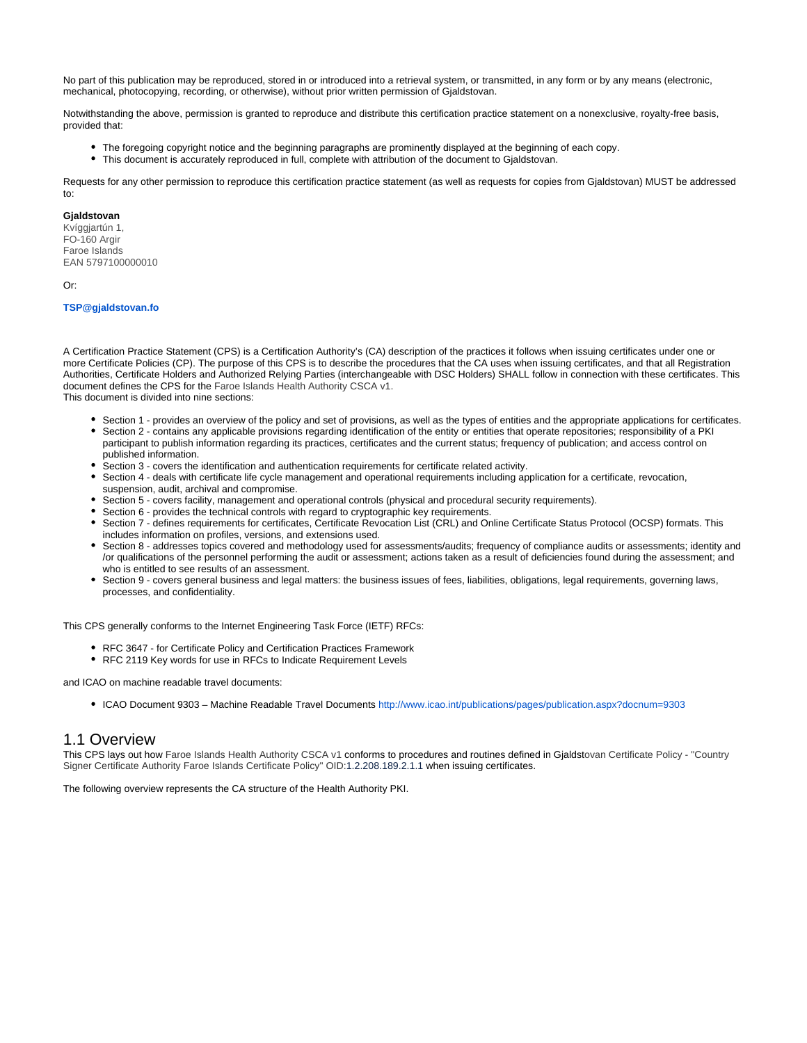No part of this publication may be reproduced, stored in or introduced into a retrieval system, or transmitted, in any form or by any means (electronic, mechanical, photocopying, recording, or otherwise), without prior written permission of Gjaldstovan.

Notwithstanding the above, permission is granted to reproduce and distribute this certification practice statement on a nonexclusive, royalty-free basis, provided that:

- The foregoing copyright notice and the beginning paragraphs are prominently displayed at the beginning of each copy.
- This document is accurately reproduced in full, complete with attribution of the document to Gjaldstovan.

Requests for any other permission to reproduce this certification practice statement (as well as requests for copies from Gjaldstovan) MUST be addressed to:

#### **Gjaldstovan**

Kvíggjartún 1, FO-160 Argir Faroe Islands EAN 5797100000010

Or:

#### **[TSP@gjaldstovan.fo](mailto:TSP@gjaldstovan.fo)**

A Certification Practice Statement (CPS) is a Certification Authority's (CA) description of the practices it follows when issuing certificates under one or more Certificate Policies (CP). The purpose of this CPS is to describe the procedures that the CA uses when issuing certificates, and that all Registration Authorities, Certificate Holders and Authorized Relying Parties (interchangeable with DSC Holders) SHALL follow in connection with these certificates. This document defines the CPS for the Faroe Islands Health Authority CSCA v1. This document is divided into nine sections:

- Section 1 provides an overview of the policy and set of provisions, as well as the types of entities and the appropriate applications for certificates.
- Section 2 contains any applicable provisions regarding identification of the entity or entities that operate repositories; responsibility of a PKI participant to publish information regarding its practices, certificates and the current status; frequency of publication; and access control on published information.
- Section 3 covers the identification and authentication requirements for certificate related activity.
- Section 4 deals with certificate life cycle management and operational requirements including application for a certificate, revocation, suspension, audit, archival and compromise.
- Section 5 covers facility, management and operational controls (physical and procedural security requirements).
- Section 6 provides the technical controls with regard to cryptographic key requirements.
- Section 7 defines requirements for certificates, Certificate Revocation List (CRL) and Online Certificate Status Protocol (OCSP) formats. This includes information on profiles, versions, and extensions used.
- Section 8 addresses topics covered and methodology used for assessments/audits; frequency of compliance audits or assessments; identity and /or qualifications of the personnel performing the audit or assessment; actions taken as a result of deficiencies found during the assessment; and who is entitled to see results of an assessment.
- Section 9 covers general business and legal matters: the business issues of fees, liabilities, obligations, legal requirements, governing laws, processes, and confidentiality.

This CPS generally conforms to the Internet Engineering Task Force (IETF) RFCs:

- RFC 3647 for Certificate Policy and Certification Practices Framework
- RFC 2119 Key words for use in RFCs to Indicate Requirement Levels

and ICAO on machine readable travel documents:

ICAO Document 9303 – Machine Readable Travel Documents<http://www.icao.int/publications/pages/publication.aspx?docnum=9303>

#### <span id="page-4-0"></span>1.1 Overview

This CPS lays out how Faroe Islands Health Authority CSCA v1 conforms to procedures and routines defined in Gjaldstovan Certificate Policy - "Country Signer Certificate Authority Faroe Islands Certificate Policy" OID:1.2.208.189.2.1.1 when issuing certificates.

The following overview represents the CA structure of the Health Authority PKI.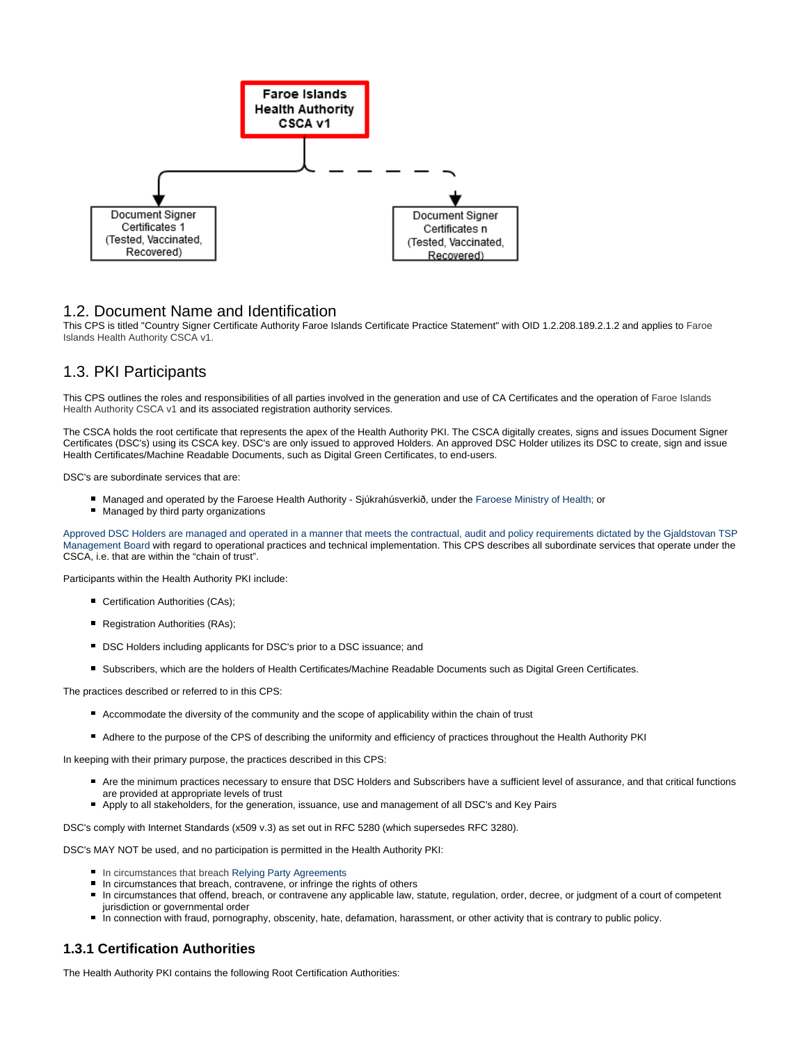

### <span id="page-5-0"></span>1.2. Document Name and Identification

This CPS is titled "Country Signer Certificate Authority Faroe Islands Certificate Practice Statement" with OID 1.2.208.189.2.1.2 and applies to Faroe Islands Health Authority CSCA v1.

# <span id="page-5-1"></span>1.3. PKI Participants

This CPS outlines the roles and responsibilities of all parties involved in the generation and use of CA Certificates and the operation of Faroe Islands Health Authority CSCA v1 and its associated registration authority services.

The CSCA holds the root certificate that represents the apex of the Health Authority PKI. The CSCA digitally creates, signs and issues Document Signer Certificates (DSC's) using its CSCA key. DSC's are only issued to approved Holders. An approved DSC Holder utilizes its DSC to create, sign and issue Health Certificates/Machine Readable Documents, such as Digital Green Certificates, to end-users.

DSC's are subordinate services that are:

- Managed and operated by the Faroese Health Authority Sjúkrahúsverkið, under the Faroese Ministry of Health; or
- **Managed by third party organizations**

Approved DSC Holders are managed and operated in a manner that meets the contractual, audit and policy requirements dictated by the Gjaldstovan TSP Management Board with regard to operational practices and technical implementation. This CPS describes all subordinate services that operate under the CSCA, i.e. that are within the "chain of trust".

Participants within the Health Authority PKI include:

- **Certification Authorities (CAs);**
- **Registration Authorities (RAs);**
- DSC Holders including applicants for DSC's prior to a DSC issuance; and
- Subscribers, which are the holders of Health Certificates/Machine Readable Documents such as Digital Green Certificates.

The practices described or referred to in this CPS:

- Accommodate the diversity of the community and the scope of applicability within the chain of trust
- Adhere to the purpose of the CPS of describing the uniformity and efficiency of practices throughout the Health Authority PKI

In keeping with their primary purpose, the practices described in this CPS:

- Are the minimum practices necessary to ensure that DSC Holders and Subscribers have a sufficient level of assurance, and that critical functions are provided at appropriate levels of trust
- Apply to all stakeholders, for the generation, issuance, use and management of all DSC's and Key Pairs

DSC's comply with Internet Standards (x509 v.3) as set out in RFC 5280 (which supersedes RFC 3280).

DSC's MAY NOT be used, and no participation is permitted in the Health Authority PKI:

- **In circumstances that breach Relying Party Agreements**
- In circumstances that breach, contravene, or infringe the rights of others
- In circumstances that offend, breach, or contravene any applicable law, statute, regulation, order, decree, or judgment of a court of competent jurisdiction or governmental order
- In connection with fraud, pornography, obscenity, hate, defamation, harassment, or other activity that is contrary to public policy.

#### <span id="page-5-2"></span>**1.3.1 Certification Authorities**

The Health Authority PKI contains the following Root Certification Authorities: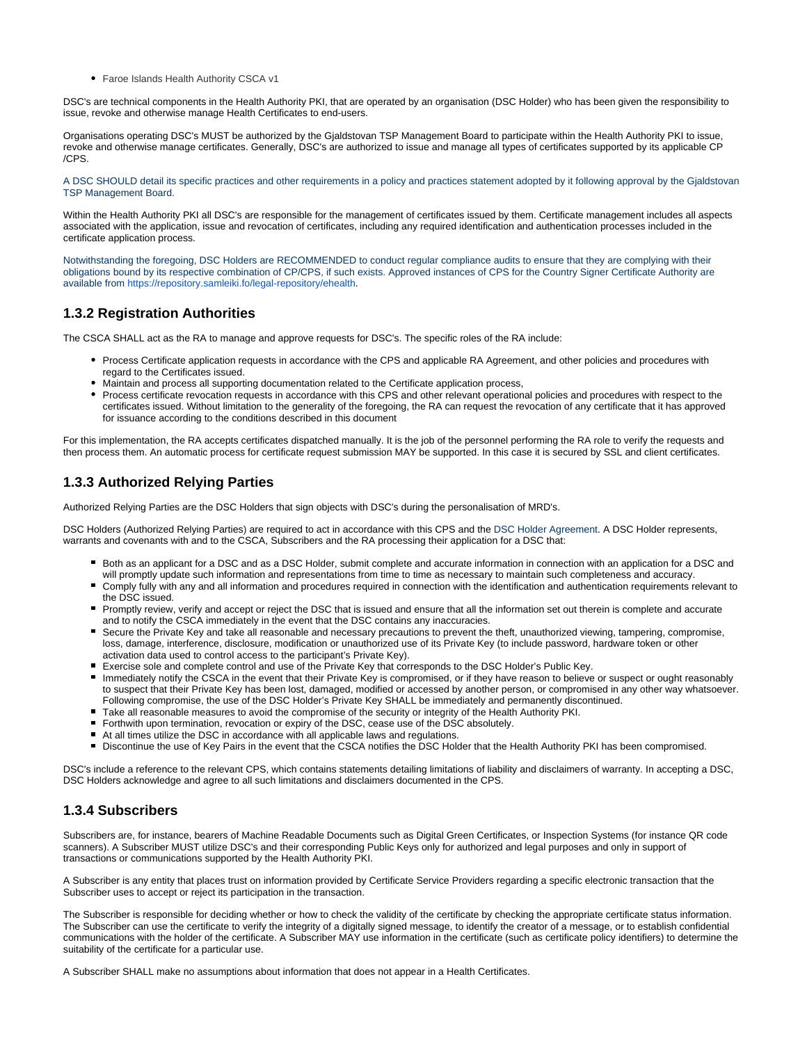Faroe Islands Health Authority CSCA v1

DSC's are technical components in the Health Authority PKI, that are operated by an organisation (DSC Holder) who has been given the responsibility to issue, revoke and otherwise manage Health Certificates to end-users.

Organisations operating DSC's MUST be authorized by the Gjaldstovan TSP Management Board to participate within the Health Authority PKI to issue, revoke and otherwise manage certificates. Generally, DSC's are authorized to issue and manage all types of certificates supported by its applicable CP /CPS.

A DSC SHOULD detail its specific practices and other requirements in a policy and practices statement adopted by it following approval by the Gjaldstovan TSP Management Board.

Within the Health Authority PKI all DSC's are responsible for the management of certificates issued by them. Certificate management includes all aspects associated with the application, issue and revocation of certificates, including any required identification and authentication processes included in the certificate application process.

Notwithstanding the foregoing, DSC Holders are RECOMMENDED to conduct regular compliance audits to ensure that they are complying with their obligations bound by its respective combination of CP/CPS, if such exists. Approved instances of CPS for the Country Signer Certificate Authority are available from [https://repository.samleiki.fo/legal-repository/ehealth.](https://repository.samleiki.fo/legal-repository/ehealth)

#### <span id="page-6-0"></span>**1.3.2 Registration Authorities**

The CSCA SHALL act as the RA to manage and approve requests for DSC's. The specific roles of the RA include:

- Process Certificate application requests in accordance with the CPS and applicable RA Agreement, and other policies and procedures with regard to the Certificates issued.
- Maintain and process all supporting documentation related to the Certificate application process,
- Process certificate revocation requests in accordance with this CPS and other relevant operational policies and procedures with respect to the certificates issued. Without limitation to the generality of the foregoing, the RA can request the revocation of any certificate that it has approved for issuance according to the conditions described in this document

For this implementation, the RA accepts certificates dispatched manually. It is the job of the personnel performing the RA role to verify the requests and then process them. An automatic process for certificate request submission MAY be supported. In this case it is secured by SSL and client certificates.

## <span id="page-6-1"></span>**1.3.3 Authorized Relying Parties**

Authorized Relying Parties are the DSC Holders that sign objects with DSC's during the personalisation of MRD's.

DSC Holders (Authorized Relying Parties) are required to act in accordance with this CPS and the DSC Holder Agreement. A DSC Holder represents, warrants and covenants with and to the CSCA, Subscribers and the RA processing their application for a DSC that:

- Both as an applicant for a DSC and as a DSC Holder, submit complete and accurate information in connection with an application for a DSC and will promptly update such information and representations from time to time as necessary to maintain such completeness and accuracy.
- Comply fully with any and all information and procedures required in connection with the identification and authentication requirements relevant to the DSC issued.
- Promptly review, verify and accept or reject the DSC that is issued and ensure that all the information set out therein is complete and accurate and to notify the CSCA immediately in the event that the DSC contains any inaccuracies.
- Secure the Private Key and take all reasonable and necessary precautions to prevent the theft, unauthorized viewing, tampering, compromise, loss, damage, interference, disclosure, modification or unauthorized use of its Private Key (to include password, hardware token or other activation data used to control access to the participant's Private Key).
- Exercise sole and complete control and use of the Private Key that corresponds to the DSC Holder's Public Key.
- Immediately notify the CSCA in the event that their Private Key is compromised, or if they have reason to believe or suspect or ought reasonably to suspect that their Private Key has been lost, damaged, modified or accessed by another person, or compromised in any other way whatsoever. Following compromise, the use of the DSC Holder's Private Key SHALL be immediately and permanently discontinued.
- Take all reasonable measures to avoid the compromise of the security or integrity of the Health Authority PKI.
- Forthwith upon termination, revocation or expiry of the DSC, cease use of the DSC absolutely.
- At all times utilize the DSC in accordance with all applicable laws and regulations.
- Discontinue the use of Key Pairs in the event that the CSCA notifies the DSC Holder that the Health Authority PKI has been compromised.

DSC's include a reference to the relevant CPS, which contains statements detailing limitations of liability and disclaimers of warranty. In accepting a DSC, DSC Holders acknowledge and agree to all such limitations and disclaimers documented in the CPS.

### <span id="page-6-2"></span>**1.3.4 Subscribers**

Subscribers are, for instance, bearers of Machine Readable Documents such as Digital Green Certificates, or Inspection Systems (for instance QR code scanners). A Subscriber MUST utilize DSC's and their corresponding Public Keys only for authorized and legal purposes and only in support of transactions or communications supported by the Health Authority PKI.

A Subscriber is any entity that places trust on information provided by Certificate Service Providers regarding a specific electronic transaction that the Subscriber uses to accept or reject its participation in the transaction.

The Subscriber is responsible for deciding whether or how to check the validity of the certificate by checking the appropriate certificate status information. The Subscriber can use the certificate to verify the integrity of a digitally signed message, to identify the creator of a message, or to establish confidential communications with the holder of the certificate. A Subscriber MAY use information in the certificate (such as certificate policy identifiers) to determine the suitability of the certificate for a particular use.

<span id="page-6-3"></span>A Subscriber SHALL make no assumptions about information that does not appear in a Health Certificates.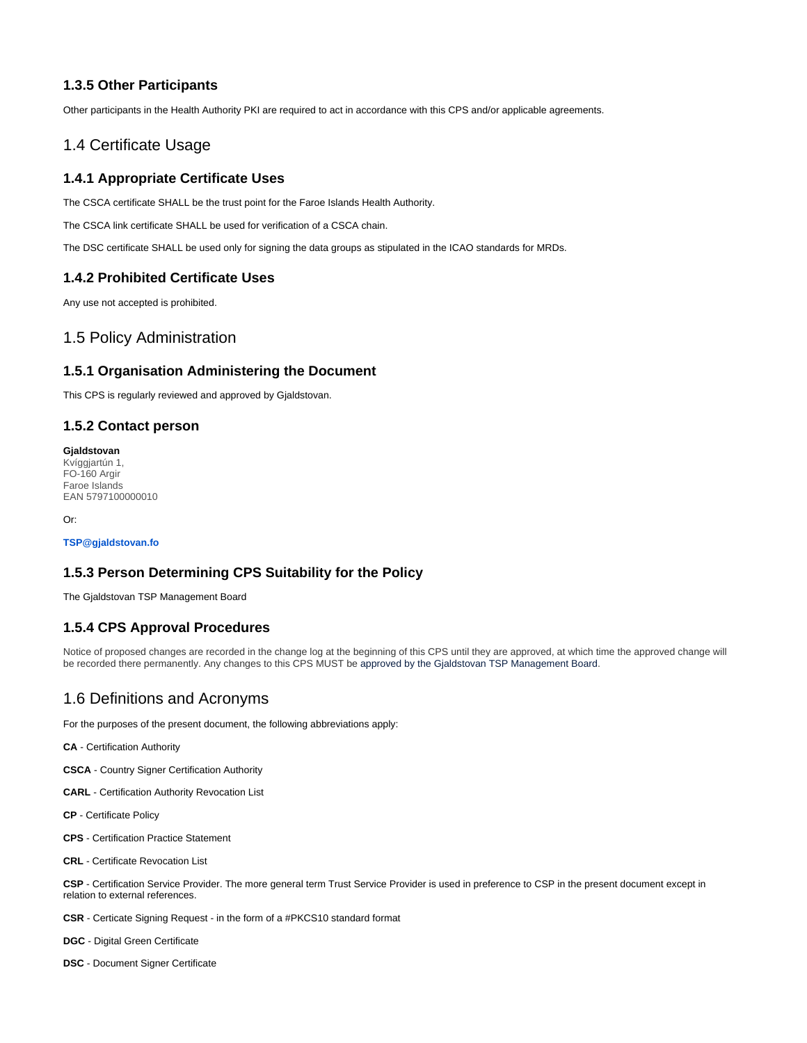#### **1.3.5 Other Participants**

Other participants in the Health Authority PKI are required to act in accordance with this CPS and/or applicable agreements.

## <span id="page-7-0"></span>1.4 Certificate Usage

#### <span id="page-7-1"></span>**1.4.1 Appropriate Certificate Uses**

The CSCA certificate SHALL be the trust point for the Faroe Islands Health Authority.

The CSCA link certificate SHALL be used for verification of a CSCA chain.

The DSC certificate SHALL be used only for signing the data groups as stipulated in the ICAO standards for MRDs.

#### <span id="page-7-2"></span>**1.4.2 Prohibited Certificate Uses**

Any use not accepted is prohibited.

#### <span id="page-7-3"></span>1.5 Policy Administration

#### <span id="page-7-4"></span>**1.5.1 Organisation Administering the Document**

This CPS is regularly reviewed and approved by Gjaldstovan.

#### <span id="page-7-5"></span>**1.5.2 Contact person**

**Gjaldstovan** Kvíggjartún 1, FO-160 Argir Faroe Islands EAN 5797100000010

Or:

**TSP@gjaldstovan.fo**

#### <span id="page-7-6"></span>**1.5.3 Person Determining CPS Suitability for the Policy**

The Gjaldstovan TSP Management Board

#### <span id="page-7-7"></span>**1.5.4 CPS Approval Procedures**

Notice of proposed changes are recorded in the change log at the beginning of this CPS until they are approved, at which time the approved change will be recorded there permanently. Any changes to this CPS MUST be approved by the Gjaldstovan TSP Management Board.

# <span id="page-7-8"></span>1.6 Definitions and Acronyms

For the purposes of the present document, the following abbreviations apply:

**CA** - Certification Authority

**CSCA** - Country Signer Certification Authority

**CARL** - Certification Authority Revocation List

**CP** - Certificate Policy

**CPS** - Certification Practice Statement

**CRL** - Certificate Revocation List

**CSP** - Certification Service Provider. The more general term Trust Service Provider is used in preference to CSP in the present document except in relation to external references.

**CSR** - Certicate Signing Request - in the form of a #PKCS10 standard format

**DGC** - Digital Green Certificate

**DSC** - Document Signer Certificate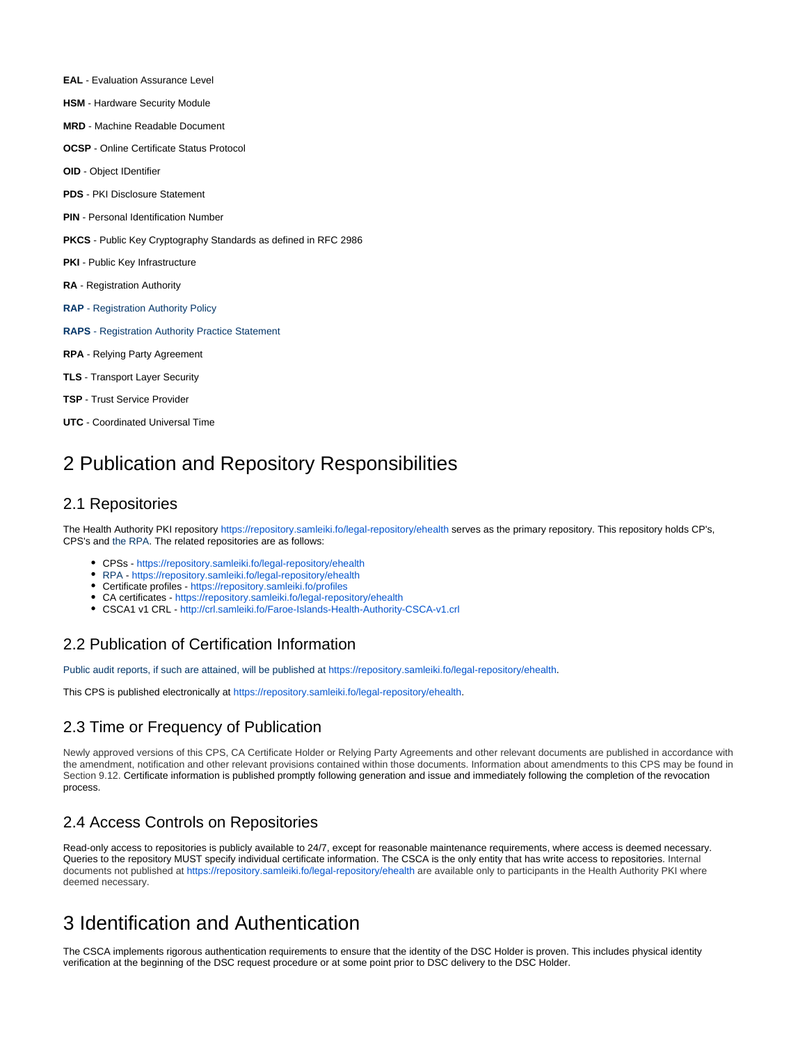- **EAL**  Evaluation Assurance Level
- **HSM**  Hardware Security Module
- **MRD**  Machine Readable Document
- **OCSP**  Online Certificate Status Protocol
- **OID**  Object IDentifier
- **PDS**  PKI Disclosure Statement
- **PIN**  Personal Identification Number
- **PKCS**  Public Key Cryptography Standards as defined in RFC 2986
- **PKI** Public Key Infrastructure
- **RA**  Registration Authority
- **RAP** Registration Authority Policy
- **RAPS**  Registration Authority Practice Statement
- **RPA**  Relying Party Agreement
- **TLS** Transport Layer Security
- **TSP** Trust Service Provider
- **UTC**  Coordinated Universal Time

# <span id="page-8-0"></span>2 Publication and Repository Responsibilities

#### <span id="page-8-1"></span>2.1 Repositories

The Health Authority PKI repository <https://repository.samleiki.fo/legal-repository/ehealth>serves as the primary repository. This repository holds CP's, CPS's and the RPA. The related repositories are as follows:

- CPSs <https://repository.samleiki.fo/legal-repository/ehealth>
- RPA -<https://repository.samleiki.fo/legal-repository/ehealth>
- Certificate profiles <https://repository.samleiki.fo/profiles>
- CA certificates -<https://repository.samleiki.fo/legal-repository/ehealth>
- CSCA1 v1 CRL <http://crl.samleiki.fo/Faroe-Islands-Health-Authority-CSCA-v1.crl>

# <span id="page-8-2"></span>2.2 Publication of Certification Information

Public audit reports, if such are attained, will be published at <https://repository.samleiki.fo/legal-repository/ehealth>.

This CPS is published electronically at<https://repository.samleiki.fo/legal-repository/ehealth>.

### <span id="page-8-3"></span>2.3 Time or Frequency of Publication

Newly approved versions of this CPS, CA Certificate Holder or Relying Party Agreements and other relevant documents are published in accordance with the amendment, notification and other relevant provisions contained within those documents. Information about amendments to this CPS may be found in Section 9.12. Certificate information is published promptly following generation and issue and immediately following the completion of the revocation process.

# <span id="page-8-4"></span>2.4 Access Controls on Repositories

Read-only access to repositories is publicly available to 24/7, except for reasonable maintenance requirements, where access is deemed necessary. Queries to the repository MUST specify individual certificate information. The CSCA is the only entity that has write access to repositories. Internal documents not published at <https://repository.samleiki.fo/legal-repository/ehealth>are available only to participants in the Health Authority PKI where deemed necessary.

# <span id="page-8-5"></span>3 Identification and Authentication

<span id="page-8-6"></span>The CSCA implements rigorous authentication requirements to ensure that the identity of the DSC Holder is proven. This includes physical identity verification at the beginning of the DSC request procedure or at some point prior to DSC delivery to the DSC Holder.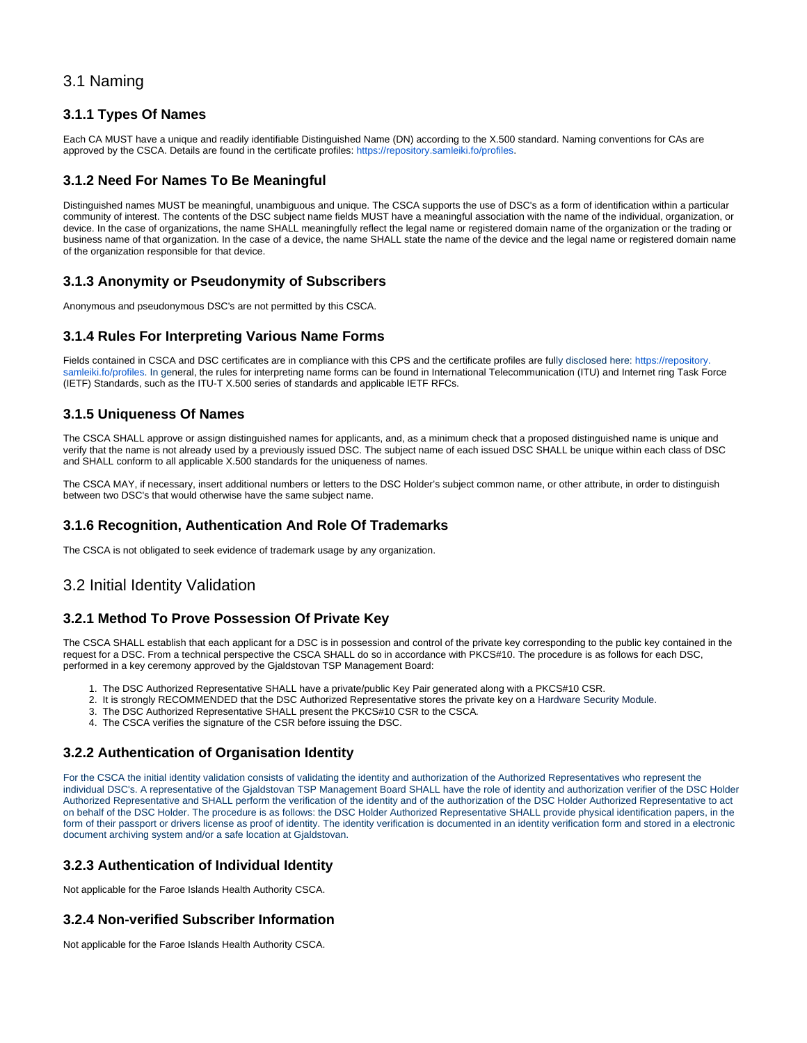## 3.1 Naming

#### <span id="page-9-0"></span>**3.1.1 Types Of Names**

Each CA MUST have a unique and readily identifiable Distinguished Name (DN) according to the X.500 standard. Naming conventions for CAs are approved by the CSCA. Details are found in the certificate profiles: [https://repository.samleiki.fo/profiles.](https://repository.samleiki.fo/profiles)

#### <span id="page-9-1"></span>**3.1.2 Need For Names To Be Meaningful**

Distinguished names MUST be meaningful, unambiguous and unique. The CSCA supports the use of DSC's as a form of identification within a particular community of interest. The contents of the DSC subject name fields MUST have a meaningful association with the name of the individual, organization, or device. In the case of organizations, the name SHALL meaningfully reflect the legal name or registered domain name of the organization or the trading or business name of that organization. In the case of a device, the name SHALL state the name of the device and the legal name or registered domain name of the organization responsible for that device.

#### <span id="page-9-2"></span>**3.1.3 Anonymity or Pseudonymity of Subscribers**

Anonymous and pseudonymous DSC's are not permitted by this CSCA.

### <span id="page-9-3"></span>**3.1.4 Rules For Interpreting Various Name Forms**

Fields contained in CSCA and DSC certificates are in compliance with this CPS and the certificate profiles are fully disclosed here: https://repository [samleiki.fo/profiles.](https://repository.samleiki.fo/profiles) In general, the rules for interpreting name forms can be found in International Telecommunication (ITU) and Internet ring Task Force (IETF) Standards, such as the ITU-T X.500 series of standards and applicable IETF RFCs.

#### <span id="page-9-4"></span>**3.1.5 Uniqueness Of Names**

The CSCA SHALL approve or assign distinguished names for applicants, and, as a minimum check that a proposed distinguished name is unique and verify that the name is not already used by a previously issued DSC. The subject name of each issued DSC SHALL be unique within each class of DSC and SHALL conform to all applicable X.500 standards for the uniqueness of names.

The CSCA MAY, if necessary, insert additional numbers or letters to the DSC Holder's subject common name, or other attribute, in order to distinguish between two DSC's that would otherwise have the same subject name.

### <span id="page-9-5"></span>**3.1.6 Recognition, Authentication And Role Of Trademarks**

The CSCA is not obligated to seek evidence of trademark usage by any organization.

# <span id="page-9-6"></span>3.2 Initial Identity Validation

### <span id="page-9-7"></span>**3.2.1 Method To Prove Possession Of Private Key**

The CSCA SHALL establish that each applicant for a DSC is in possession and control of the private key corresponding to the public key contained in the request for a DSC. From a technical perspective the CSCA SHALL do so in accordance with PKCS#10. The procedure is as follows for each DSC, performed in a key ceremony approved by the Gjaldstovan TSP Management Board:

- 1. The DSC Authorized Representative SHALL have a private/public Key Pair generated along with a PKCS#10 CSR.
- 2. It is strongly RECOMMENDED that the DSC Authorized Representative stores the private key on a Hardware Security Module.
- 3. The DSC Authorized Representative SHALL present the PKCS#10 CSR to the CSCA.
- 4. The CSCA verifies the signature of the CSR before issuing the DSC.

### <span id="page-9-8"></span>**3.2.2 Authentication of Organisation Identity**

For the CSCA the initial identity validation consists of validating the identity and authorization of the Authorized Representatives who represent the individual DSC's. A representative of the Gjaldstovan TSP Management Board SHALL have the role of identity and authorization verifier of the DSC Holder Authorized Representative and SHALL perform the verification of the identity and of the authorization of the DSC Holder Authorized Representative to act on behalf of the DSC Holder. The procedure is as follows: the DSC Holder Authorized Representative SHALL provide physical identification papers, in the form of their passport or drivers license as proof of identity. The identity verification is documented in an identity verification form and stored in a electronic document archiving system and/or a safe location at Gjaldstovan.

### <span id="page-9-9"></span>**3.2.3 Authentication of Individual Identity**

Not applicable for the Faroe Islands Health Authority CSCA.

### <span id="page-9-10"></span>**3.2.4 Non-verified Subscriber Information**

<span id="page-9-11"></span>Not applicable for the Faroe Islands Health Authority CSCA.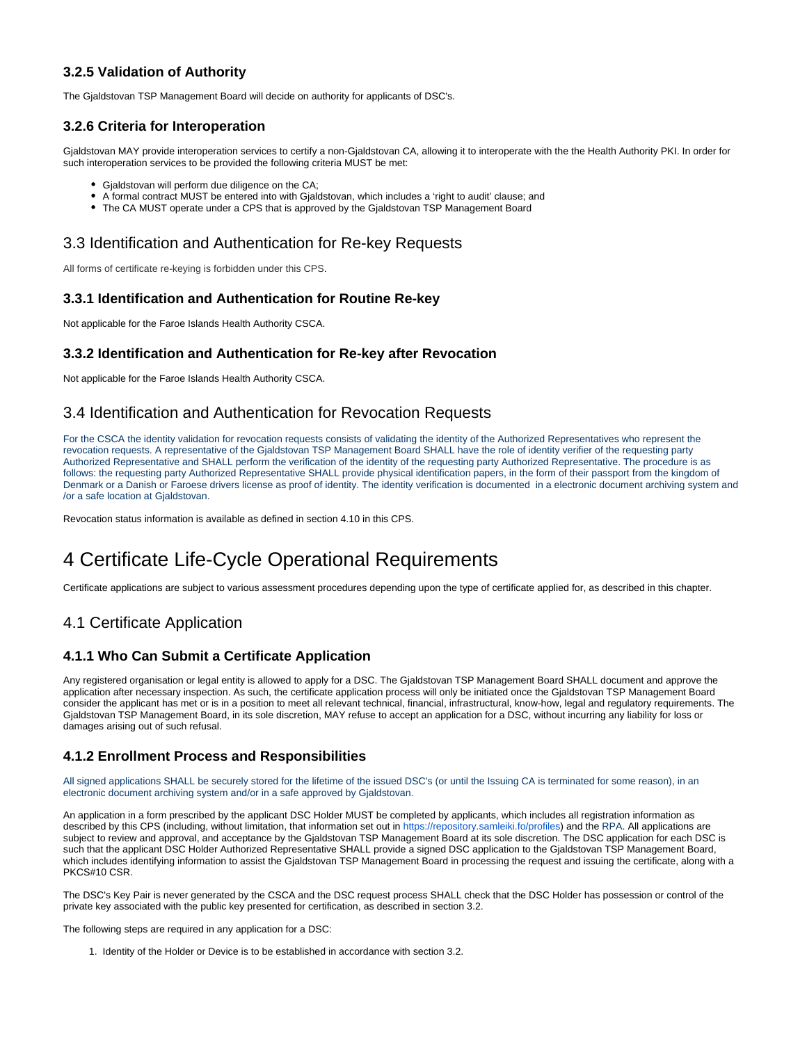### **3.2.5 Validation of Authority**

The Gjaldstovan TSP Management Board will decide on authority for applicants of DSC's.

### <span id="page-10-0"></span>**3.2.6 Criteria for Interoperation**

Gjaldstovan MAY provide interoperation services to certify a non-Gjaldstovan CA, allowing it to interoperate with the the Health Authority PKI. In order for such interoperation services to be provided the following criteria MUST be met:

- Gialdstovan will perform due diligence on the CA;
- A formal contract MUST be entered into with Gjaldstovan, which includes a 'right to audit' clause; and
- The CA MUST operate under a CPS that is approved by the Gjaldstovan TSP Management Board

# <span id="page-10-1"></span>3.3 Identification and Authentication for Re-key Requests

All forms of certificate re-keying is forbidden under this CPS.

#### <span id="page-10-2"></span>**3.3.1 Identification and Authentication for Routine Re-key**

Not applicable for the Faroe Islands Health Authority CSCA.

#### <span id="page-10-3"></span>**3.3.2 Identification and Authentication for Re-key after Revocation**

Not applicable for the Faroe Islands Health Authority CSCA.

# <span id="page-10-4"></span>3.4 Identification and Authentication for Revocation Requests

For the CSCA the identity validation for revocation requests consists of validating the identity of the Authorized Representatives who represent the revocation requests. A representative of the Gjaldstovan TSP Management Board SHALL have the role of identity verifier of the requesting party Authorized Representative and SHALL perform the verification of the identity of the requesting party Authorized Representative. The procedure is as follows: the requesting party Authorized Representative SHALL provide physical identification papers, in the form of their passport from the kingdom of Denmark or a Danish or Faroese drivers license as proof of identity. The identity verification is documented in a electronic document archiving system and /or a safe location at Gjaldstovan.

Revocation status information is available as defined in section 4.10 in this CPS.

# <span id="page-10-5"></span>4 Certificate Life-Cycle Operational Requirements

Certificate applications are subject to various assessment procedures depending upon the type of certificate applied for, as described in this chapter.

# <span id="page-10-6"></span>4.1 Certificate Application

### <span id="page-10-7"></span>**4.1.1 Who Can Submit a Certificate Application**

Any registered organisation or legal entity is allowed to apply for a DSC. The Gjaldstovan TSP Management Board SHALL document and approve the application after necessary inspection. As such, the certificate application process will only be initiated once the Gjaldstovan TSP Management Board consider the applicant has met or is in a position to meet all relevant technical, financial, infrastructural, know-how, legal and regulatory requirements. The Gjaldstovan TSP Management Board, in its sole discretion, MAY refuse to accept an application for a DSC, without incurring any liability for loss or damages arising out of such refusal.

### <span id="page-10-8"></span>**4.1.2 Enrollment Process and Responsibilities**

All signed applications SHALL be securely stored for the lifetime of the issued DSC's (or until the Issuing CA is terminated for some reason), in an electronic document archiving system and/or in a safe approved by Gjaldstovan.

An application in a form prescribed by the applicant DSC Holder MUST be completed by applicants, which includes all registration information as described by this CPS (including, without limitation, that information set out in<https://repository.samleiki.fo/profiles>) and the RPA. All applications are subject to review and approval, and acceptance by the Gjaldstovan TSP Management Board at its sole discretion. The DSC application for each DSC is such that the applicant DSC Holder Authorized Representative SHALL provide a signed DSC application to the Gjaldstovan TSP Management Board, which includes identifying information to assist the Gjaldstovan TSP Management Board in processing the request and issuing the certificate, along with a PKCS#10 CSR.

The DSC's Key Pair is never generated by the CSCA and the DSC request process SHALL check that the DSC Holder has possession or control of the private key associated with the public key presented for certification, as described in section 3.2.

The following steps are required in any application for a DSC:

1. Identity of the Holder or Device is to be established in accordance with section 3.2.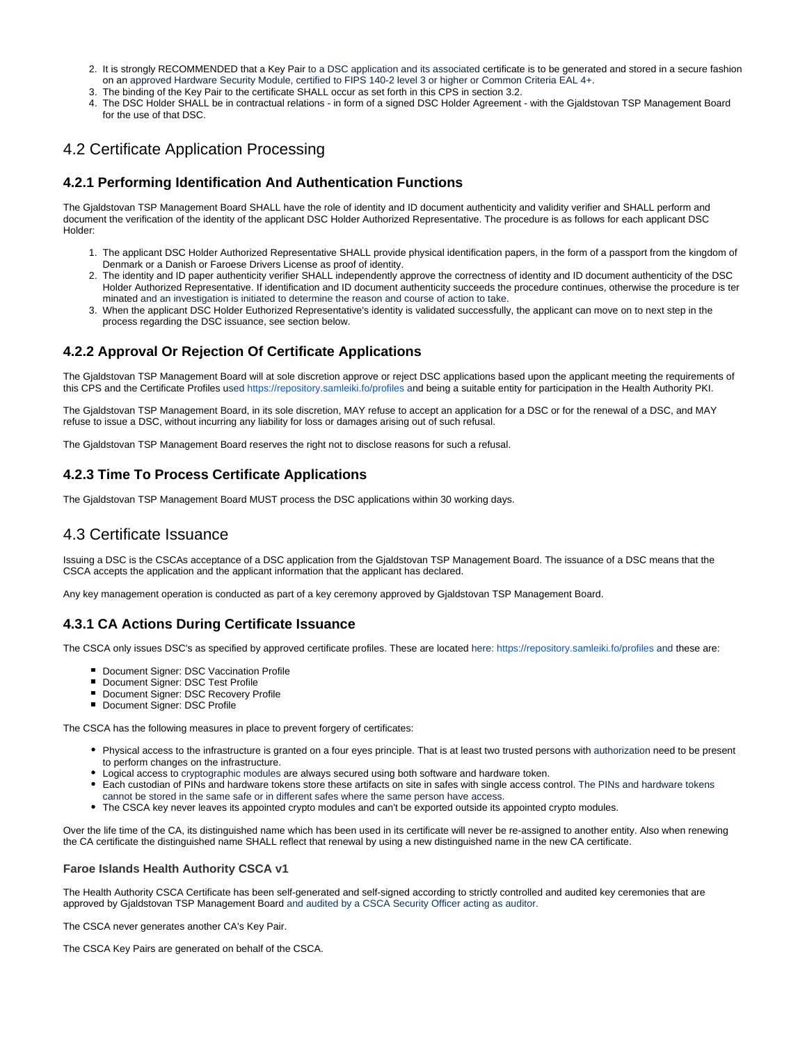- 2. It is strongly RECOMMENDED that a Key Pair to a DSC application and its associated certificate is to be generated and stored in a secure fashion on an approved Hardware Security Module, certified to FIPS 140-2 level 3 or higher or Common Criteria EAL 4+.
- 3. The binding of the Key Pair to the certificate SHALL occur as set forth in this CPS in section 3.2.
- 4. The DSC Holder SHALL be in contractual relations in form of a signed DSC Holder Agreement with the Gjaldstovan TSP Management Board for the use of that DSC.

# <span id="page-11-0"></span>4.2 Certificate Application Processing

#### <span id="page-11-1"></span>**4.2.1 Performing Identification And Authentication Functions**

The Gjaldstovan TSP Management Board SHALL have the role of identity and ID document authenticity and validity verifier and SHALL perform and document the verification of the identity of the applicant DSC Holder Authorized Representative. The procedure is as follows for each applicant DSC Holder:

- 1. The applicant DSC Holder Authorized Representative SHALL provide physical identification papers, in the form of a passport from the kingdom of Denmark or a Danish or Faroese Drivers License as proof of identity.
- 2. The identity and ID paper authenticity verifier SHALL independently approve the correctness of identity and ID document authenticity of the DSC Holder Authorized Representative. If identification and ID document authenticity succeeds the procedure continues, otherwise the procedure is ter minated and an investigation is initiated to determine the reason and course of action to take.
- 3. When the applicant DSC Holder Euthorized Representative's identity is validated successfully, the applicant can move on to next step in the process regarding the DSC issuance, see section below.

# <span id="page-11-2"></span>**4.2.2 Approval Or Rejection Of Certificate Applications**

The Gjaldstovan TSP Management Board will at sole discretion approve or reject DSC applications based upon the applicant meeting the requirements of this CPS and the Certificate Profiles used <https://repository.samleiki.fo/profiles>and being a suitable entity for participation in the Health Authority PKI.

The Gjaldstovan TSP Management Board, in its sole discretion, MAY refuse to accept an application for a DSC or for the renewal of a DSC, and MAY refuse to issue a DSC, without incurring any liability for loss or damages arising out of such refusal.

The Gjaldstovan TSP Management Board reserves the right not to disclose reasons for such a refusal.

### <span id="page-11-3"></span>**4.2.3 Time To Process Certificate Applications**

The Gjaldstovan TSP Management Board MUST process the DSC applications within 30 working days.

### <span id="page-11-4"></span>4.3 Certificate Issuance

Issuing a DSC is the CSCAs acceptance of a DSC application from the Gjaldstovan TSP Management Board. The issuance of a DSC means that the CSCA accepts the application and the applicant information that the applicant has declared.

Any key management operation is conducted as part of a key ceremony approved by Gjaldstovan TSP Management Board.

#### <span id="page-11-5"></span>**4.3.1 CA Actions During Certificate Issuance**

The CSCA only issues DSC's as specified by approved certificate profiles. These are located here:<https://repository.samleiki.fo/profiles> and these are:

- **Document Signer: DSC Vaccination Profile**
- Document Signer: DSC Test Profile
- 
- Document Signer: DSC Recovery Profile **Document Signer: DSC Profile**
- 

The CSCA has the following measures in place to prevent forgery of certificates:

- Physical access to the infrastructure is granted on a four eyes principle. That is at least two trusted persons with authorization need to be present to perform changes on the infrastructure.
- Logical access to cryptographic modules are always secured using both software and hardware token.
- Each custodian of PINs and hardware tokens store these artifacts on site in safes with single access control. The PINs and hardware tokens cannot be stored in the same safe or in different safes where the same person have access.
- The CSCA key never leaves its appointed crypto modules and can't be exported outside its appointed crypto modules.

Over the life time of the CA, its distinguished name which has been used in its certificate will never be re-assigned to another entity. Also when renewing the CA certificate the distinguished name SHALL reflect that renewal by using a new distinguished name in the new CA certificate.

#### <span id="page-11-6"></span>**Faroe Islands Health Authority CSCA v1**

The Health Authority CSCA Certificate has been self-generated and self-signed according to strictly controlled and audited key ceremonies that are approved by Gjaldstovan TSP Management Board and audited by a CSCA Security Officer acting as auditor.

The CSCA never generates another CA's Key Pair.

<span id="page-11-7"></span>The CSCA Key Pairs are generated on behalf of the CSCA.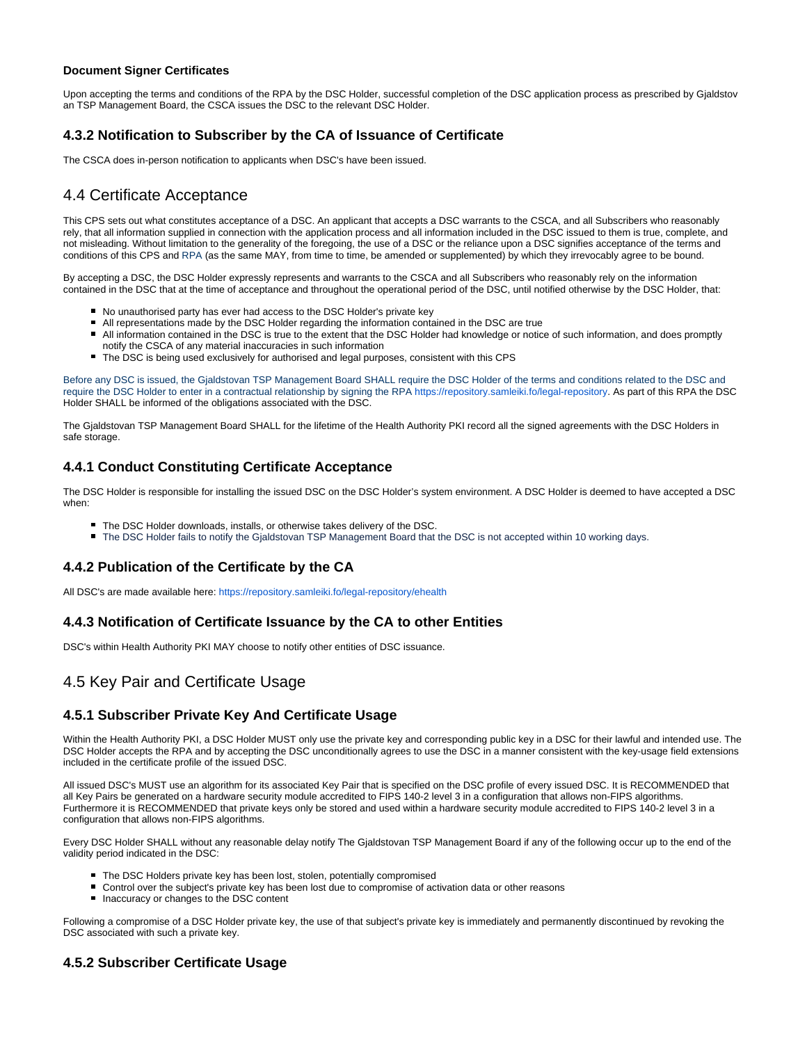#### **Document Signer Certificates**

Upon accepting the terms and conditions of the RPA by the DSC Holder, successful completion of the DSC application process as prescribed by Gjaldstov an TSP Management Board, the CSCA issues the DSC to the relevant DSC Holder.

#### <span id="page-12-0"></span>**4.3.2 Notification to Subscriber by the CA of Issuance of Certificate**

The CSCA does in-person notification to applicants when DSC's have been issued.

# <span id="page-12-1"></span>4.4 Certificate Acceptance

This CPS sets out what constitutes acceptance of a DSC. An applicant that accepts a DSC warrants to the CSCA, and all Subscribers who reasonably rely, that all information supplied in connection with the application process and all information included in the DSC issued to them is true, complete, and not misleading. Without limitation to the generality of the foregoing, the use of a DSC or the reliance upon a DSC signifies acceptance of the terms and conditions of this CPS and RPA (as the same MAY, from time to time, be amended or supplemented) by which they irrevocably agree to be bound.

By accepting a DSC, the DSC Holder expressly represents and warrants to the CSCA and all Subscribers who reasonably rely on the information contained in the DSC that at the time of acceptance and throughout the operational period of the DSC, until notified otherwise by the DSC Holder, that:

- No unauthorised party has ever had access to the DSC Holder's private key
- All representations made by the DSC Holder regarding the information contained in the DSC are true
- All information contained in the DSC is true to the extent that the DSC Holder had knowledge or notice of such information, and does promptly notify the CSCA of any material inaccuracies in such information
- The DSC is being used exclusively for authorised and legal purposes, consistent with this CPS

Before any DSC is issued, the Gialdstovan TSP Management Board SHALL require the DSC Holder of the terms and conditions related to the DSC and require the DSC Holder to enter in a contractual relationship by signing the RPA <https://repository.samleiki.fo/legal-repository>. As part of this RPA the DSC Holder SHALL be informed of the obligations associated with the DSC.

The Gjaldstovan TSP Management Board SHALL for the lifetime of the Health Authority PKI record all the signed agreements with the DSC Holders in safe storage.

#### <span id="page-12-2"></span>**4.4.1 Conduct Constituting Certificate Acceptance**

The DSC Holder is responsible for installing the issued DSC on the DSC Holder's system environment. A DSC Holder is deemed to have accepted a DSC when:

- The DSC Holder downloads, installs, or otherwise takes delivery of the DSC.
- The DSC Holder fails to notify the Gjaldstovan TSP Management Board that the DSC is not accepted within 10 working days.

#### <span id="page-12-3"></span>**4.4.2 Publication of the Certificate by the CA**

All DSC's are made available here:<https://repository.samleiki.fo/legal-repository/ehealth>

#### <span id="page-12-4"></span>**4.4.3 Notification of Certificate Issuance by the CA to other Entities**

DSC's within Health Authority PKI MAY choose to notify other entities of DSC issuance.

# <span id="page-12-5"></span>4.5 Key Pair and Certificate Usage

#### <span id="page-12-6"></span>**4.5.1 Subscriber Private Key And Certificate Usage**

Within the Health Authority PKI, a DSC Holder MUST only use the private key and corresponding public key in a DSC for their lawful and intended use. The DSC Holder accepts the RPA and by accepting the DSC unconditionally agrees to use the DSC in a manner consistent with the key-usage field extensions included in the certificate profile of the issued DSC.

All issued DSC's MUST use an algorithm for its associated Key Pair that is specified on the DSC profile of every issued DSC. It is RECOMMENDED that all Key Pairs be generated on a hardware security module accredited to FIPS 140-2 level 3 in a configuration that allows non-FIPS algorithms. Furthermore it is RECOMMENDED that private keys only be stored and used within a hardware security module accredited to FIPS 140-2 level 3 in a configuration that allows non-FIPS algorithms.

Every DSC Holder SHALL without any reasonable delay notify The Gjaldstovan TSP Management Board if any of the following occur up to the end of the validity period indicated in the DSC:

- The DSC Holders private key has been lost, stolen, potentially compromised
- Control over the subject's private key has been lost due to compromise of activation data or other reasons
- Inaccuracy or changes to the DSC content

Following a compromise of a DSC Holder private key, the use of that subject's private key is immediately and permanently discontinued by revoking the DSC associated with such a private key.

### <span id="page-12-7"></span>**4.5.2 Subscriber Certificate Usage**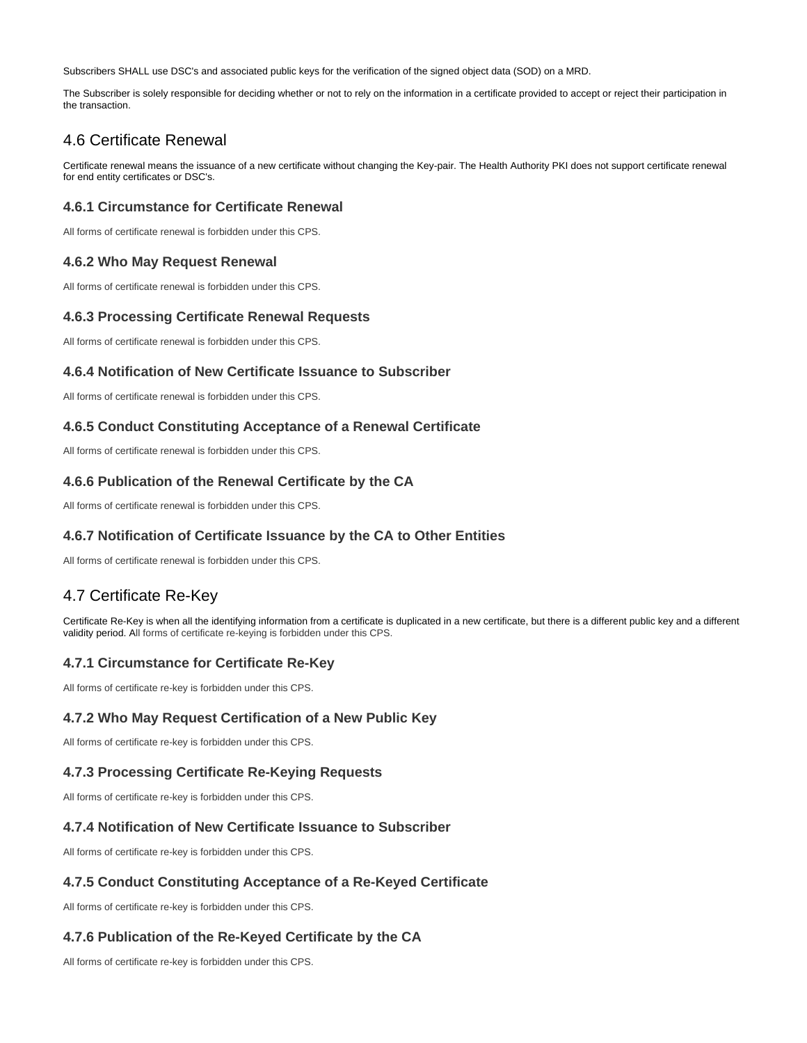Subscribers SHALL use DSC's and associated public keys for the verification of the signed object data (SOD) on a MRD.

The Subscriber is solely responsible for deciding whether or not to rely on the information in a certificate provided to accept or reject their participation in the transaction.

# <span id="page-13-0"></span>4.6 Certificate Renewal

Certificate renewal means the issuance of a new certificate without changing the Key-pair. The Health Authority PKI does not support certificate renewal for end entity certificates or DSC's.

#### <span id="page-13-1"></span>**4.6.1 Circumstance for Certificate Renewal**

All forms of certificate renewal is forbidden under this CPS.

#### <span id="page-13-2"></span>**4.6.2 Who May Request Renewal**

All forms of certificate renewal is forbidden under this CPS.

#### <span id="page-13-3"></span>**4.6.3 Processing Certificate Renewal Requests**

All forms of certificate renewal is forbidden under this CPS.

#### <span id="page-13-4"></span>**4.6.4 Notification of New Certificate Issuance to Subscriber**

All forms of certificate renewal is forbidden under this CPS.

#### <span id="page-13-5"></span>**4.6.5 Conduct Constituting Acceptance of a Renewal Certificate**

All forms of certificate renewal is forbidden under this CPS.

#### <span id="page-13-6"></span>**4.6.6 Publication of the Renewal Certificate by the CA**

All forms of certificate renewal is forbidden under this CPS.

#### <span id="page-13-7"></span>**4.6.7 Notification of Certificate Issuance by the CA to Other Entities**

All forms of certificate renewal is forbidden under this CPS.

# <span id="page-13-8"></span>4.7 Certificate Re-Key

Certificate Re-Key is when all the identifying information from a certificate is duplicated in a new certificate, but there is a different public key and a different validity period. All forms of certificate re-keying is forbidden under this CPS.

### <span id="page-13-9"></span>**4.7.1 Circumstance for Certificate Re-Key**

All forms of certificate re-key is forbidden under this CPS.

#### <span id="page-13-10"></span>**4.7.2 Who May Request Certification of a New Public Key**

All forms of certificate re-key is forbidden under this CPS.

### <span id="page-13-11"></span>**4.7.3 Processing Certificate Re-Keying Requests**

All forms of certificate re-key is forbidden under this CPS.

#### <span id="page-13-12"></span>**4.7.4 Notification of New Certificate Issuance to Subscriber**

All forms of certificate re-key is forbidden under this CPS.

#### <span id="page-13-13"></span>**4.7.5 Conduct Constituting Acceptance of a Re-Keyed Certificate**

All forms of certificate re-key is forbidden under this CPS.

#### <span id="page-13-14"></span>**4.7.6 Publication of the Re-Keyed Certificate by the CA**

<span id="page-13-15"></span>All forms of certificate re-key is forbidden under this CPS.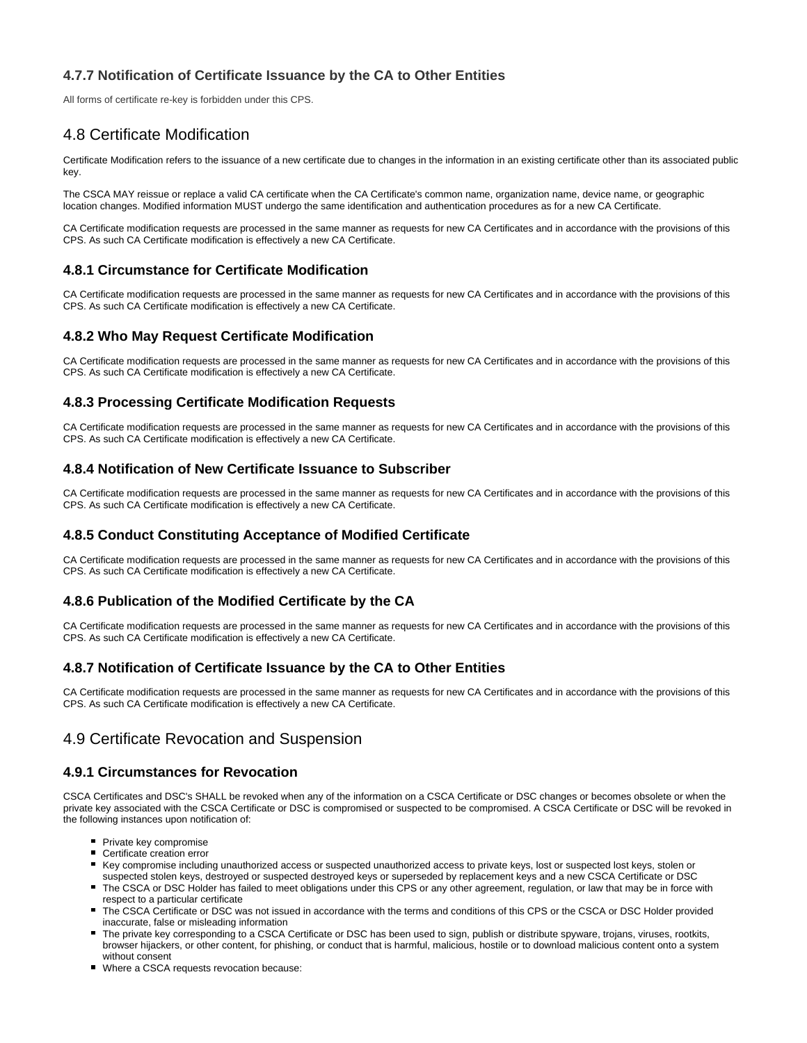## **4.7.7 Notification of Certificate Issuance by the CA to Other Entities**

All forms of certificate re-key is forbidden under this CPS.

# <span id="page-14-0"></span>4.8 Certificate Modification

Certificate Modification refers to the issuance of a new certificate due to changes in the information in an existing certificate other than its associated public key.

The CSCA MAY reissue or replace a valid CA certificate when the CA Certificate's common name, organization name, device name, or geographic location changes. Modified information MUST undergo the same identification and authentication procedures as for a new CA Certificate.

CA Certificate modification requests are processed in the same manner as requests for new CA Certificates and in accordance with the provisions of this CPS. As such CA Certificate modification is effectively a new CA Certificate.

#### <span id="page-14-1"></span>**4.8.1 Circumstance for Certificate Modification**

CA Certificate modification requests are processed in the same manner as requests for new CA Certificates and in accordance with the provisions of this CPS. As such CA Certificate modification is effectively a new CA Certificate.

### <span id="page-14-2"></span>**4.8.2 Who May Request Certificate Modification**

CA Certificate modification requests are processed in the same manner as requests for new CA Certificates and in accordance with the provisions of this CPS. As such CA Certificate modification is effectively a new CA Certificate.

## <span id="page-14-3"></span>**4.8.3 Processing Certificate Modification Requests**

CA Certificate modification requests are processed in the same manner as requests for new CA Certificates and in accordance with the provisions of this CPS. As such CA Certificate modification is effectively a new CA Certificate.

#### <span id="page-14-4"></span>**4.8.4 Notification of New Certificate Issuance to Subscriber**

CA Certificate modification requests are processed in the same manner as requests for new CA Certificates and in accordance with the provisions of this CPS. As such CA Certificate modification is effectively a new CA Certificate.

#### <span id="page-14-5"></span>**4.8.5 Conduct Constituting Acceptance of Modified Certificate**

CA Certificate modification requests are processed in the same manner as requests for new CA Certificates and in accordance with the provisions of this CPS. As such CA Certificate modification is effectively a new CA Certificate.

### <span id="page-14-6"></span>**4.8.6 Publication of the Modified Certificate by the CA**

CA Certificate modification requests are processed in the same manner as requests for new CA Certificates and in accordance with the provisions of this CPS. As such CA Certificate modification is effectively a new CA Certificate.

#### <span id="page-14-7"></span>**4.8.7 Notification of Certificate Issuance by the CA to Other Entities**

CA Certificate modification requests are processed in the same manner as requests for new CA Certificates and in accordance with the provisions of this CPS. As such CA Certificate modification is effectively a new CA Certificate.

### <span id="page-14-8"></span>4.9 Certificate Revocation and Suspension

#### <span id="page-14-9"></span>**4.9.1 Circumstances for Revocation**

CSCA Certificates and DSC's SHALL be revoked when any of the information on a CSCA Certificate or DSC changes or becomes obsolete or when the private key associated with the CSCA Certificate or DSC is compromised or suspected to be compromised. A CSCA Certificate or DSC will be revoked in the following instances upon notification of:

- Private key compromise
- Certificate creation error
- Key compromise including unauthorized access or suspected unauthorized access to private keys, lost or suspected lost keys, stolen or suspected stolen keys, destroyed or suspected destroyed keys or superseded by replacement keys and a new CSCA Certificate or DSC
- The CSCA or DSC Holder has failed to meet obligations under this CPS or any other agreement, regulation, or law that may be in force with respect to a particular certificate
- The CSCA Certificate or DSC was not issued in accordance with the terms and conditions of this CPS or the CSCA or DSC Holder provided inaccurate, false or misleading information
- The private key corresponding to a CSCA Certificate or DSC has been used to sign, publish or distribute spyware, trojans, viruses, rootkits, browser hijackers, or other content, for phishing, or conduct that is harmful, malicious, hostile or to download malicious content onto a system without consent
- Where a CSCA requests revocation because: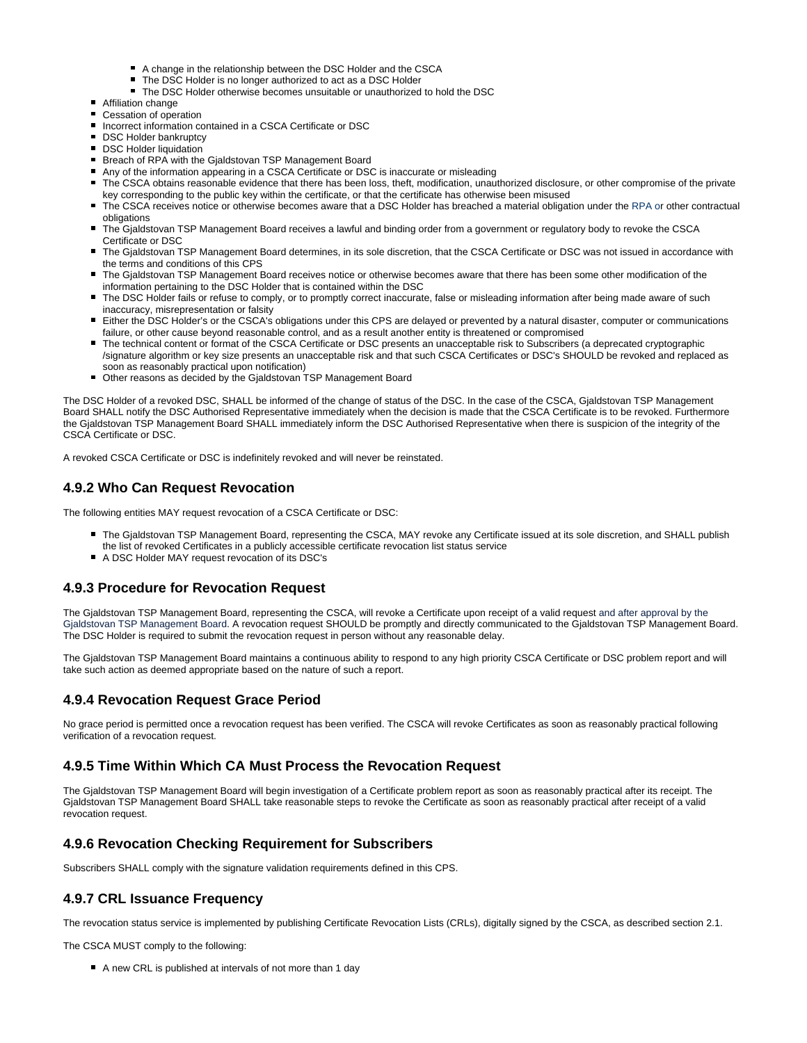- A change in the relationship between the DSC Holder and the CSCA
- The DSC Holder is no longer authorized to act as a DSC Holder
- The DSC Holder otherwise becomes unsuitable or unauthorized to hold the DSC
- **Affiliation change**
- Cessation of operation
- Incorrect information contained in a CSCA Certificate or DSC
- **DSC Holder bankruptcy**
- **DSC Holder liquidation**
- **Breach of RPA with the Gjaldstovan TSP Management Board**
- Any of the information appearing in a CSCA Certificate or DSC is inaccurate or misleading
- The CSCA obtains reasonable evidence that there has been loss, theft, modification, unauthorized disclosure, or other compromise of the private key corresponding to the public key within the certificate, or that the certificate has otherwise been misused
- The CSCA receives notice or otherwise becomes aware that a DSC Holder has breached a material obligation under the RPA or other contractual obligations
- The Gjaldstovan TSP Management Board receives a lawful and binding order from a government or regulatory body to revoke the CSCA Certificate or DSC
- The Gjaldstovan TSP Management Board determines, in its sole discretion, that the CSCA Certificate or DSC was not issued in accordance with the terms and conditions of this CPS
- The Gjaldstovan TSP Management Board receives notice or otherwise becomes aware that there has been some other modification of the information pertaining to the DSC Holder that is contained within the DSC
- The DSC Holder fails or refuse to comply, or to promptly correct inaccurate, false or misleading information after being made aware of such inaccuracy, misrepresentation or falsity
- Either the DSC Holder's or the CSCA's obligations under this CPS are delayed or prevented by a natural disaster, computer or communications failure, or other cause beyond reasonable control, and as a result another entity is threatened or compromised
- The technical content or format of the CSCA Certificate or DSC presents an unacceptable risk to Subscribers (a deprecated cryptographic /signature algorithm or key size presents an unacceptable risk and that such CSCA Certificates or DSC's SHOULD be revoked and replaced as soon as reasonably practical upon notification)
- Other reasons as decided by the Gjaldstovan TSP Management Board

The DSC Holder of a revoked DSC, SHALL be informed of the change of status of the DSC. In the case of the CSCA, Gjaldstovan TSP Management Board SHALL notify the DSC Authorised Representative immediately when the decision is made that the CSCA Certificate is to be revoked. Furthermore the Gjaldstovan TSP Management Board SHALL immediately inform the DSC Authorised Representative when there is suspicion of the integrity of the CSCA Certificate or DSC.

A revoked CSCA Certificate or DSC is indefinitely revoked and will never be reinstated.

#### <span id="page-15-0"></span>**4.9.2 Who Can Request Revocation**

The following entities MAY request revocation of a CSCA Certificate or DSC:

- The Gjaldstovan TSP Management Board, representing the CSCA, MAY revoke any Certificate issued at its sole discretion, and SHALL publish the list of revoked Certificates in a publicly accessible certificate revocation list status service
- A DSC Holder MAY request revocation of its DSC's

#### <span id="page-15-1"></span>**4.9.3 Procedure for Revocation Request**

The Gjaldstovan TSP Management Board, representing the CSCA, will revoke a Certificate upon receipt of a valid request and after approval by the Gjaldstovan TSP Management Board. A revocation request SHOULD be promptly and directly communicated to the Gjaldstovan TSP Management Board. The DSC Holder is required to submit the revocation request in person without any reasonable delay.

The Gjaldstovan TSP Management Board maintains a continuous ability to respond to any high priority CSCA Certificate or DSC problem report and will take such action as deemed appropriate based on the nature of such a report.

#### <span id="page-15-2"></span>**4.9.4 Revocation Request Grace Period**

No grace period is permitted once a revocation request has been verified. The CSCA will revoke Certificates as soon as reasonably practical following verification of a revocation request.

#### <span id="page-15-3"></span>**4.9.5 Time Within Which CA Must Process the Revocation Request**

The Gjaldstovan TSP Management Board will begin investigation of a Certificate problem report as soon as reasonably practical after its receipt. The Gjaldstovan TSP Management Board SHALL take reasonable steps to revoke the Certificate as soon as reasonably practical after receipt of a valid revocation request.

#### <span id="page-15-4"></span>**4.9.6 Revocation Checking Requirement for Subscribers**

Subscribers SHALL comply with the signature validation requirements defined in this CPS.

#### <span id="page-15-5"></span>**4.9.7 CRL Issuance Frequency**

The revocation status service is implemented by publishing Certificate Revocation Lists (CRLs), digitally signed by the CSCA, as described section 2.1.

The CSCA MUST comply to the following:

A new CRL is published at intervals of not more than 1 day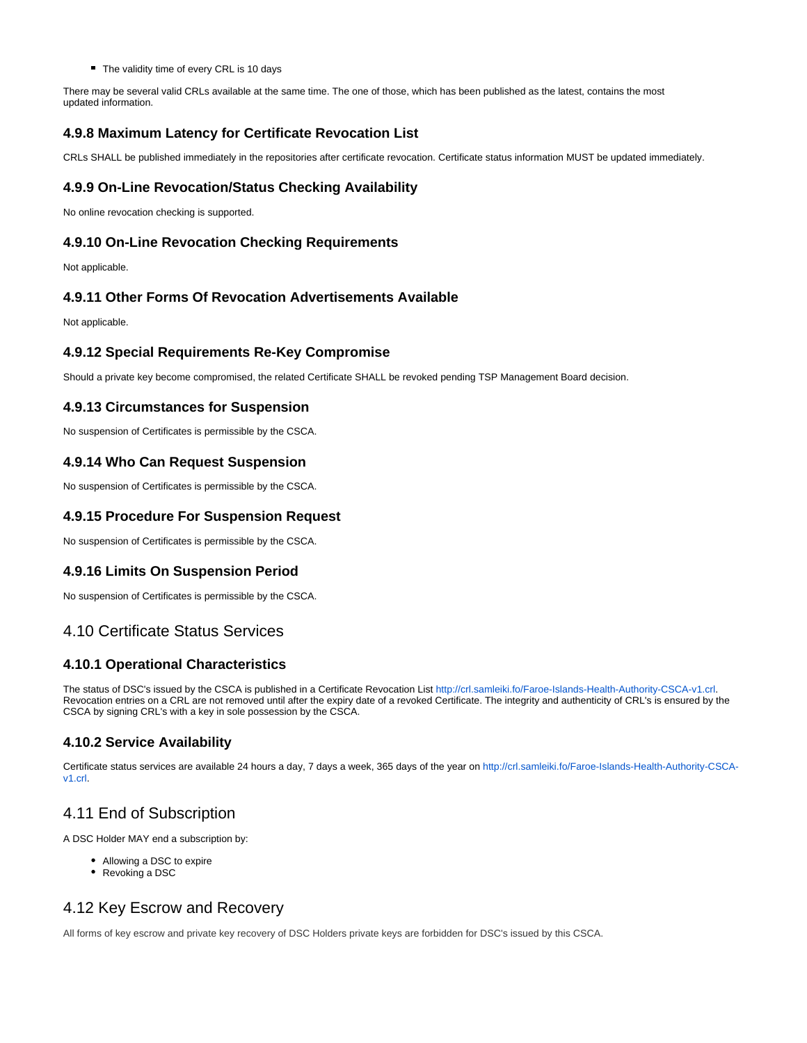The validity time of every CRL is 10 days

There may be several valid CRLs available at the same time. The one of those, which has been published as the latest, contains the most updated information.

#### <span id="page-16-0"></span>**4.9.8 Maximum Latency for Certificate Revocation List**

CRLs SHALL be published immediately in the repositories after certificate revocation. Certificate status information MUST be updated immediately.

#### <span id="page-16-1"></span>**4.9.9 On-Line Revocation/Status Checking Availability**

No online revocation checking is supported.

#### <span id="page-16-2"></span>**4.9.10 On-Line Revocation Checking Requirements**

Not applicable.

#### <span id="page-16-3"></span>**4.9.11 Other Forms Of Revocation Advertisements Available**

Not applicable.

#### <span id="page-16-4"></span>**4.9.12 Special Requirements Re-Key Compromise**

Should a private key become compromised, the related Certificate SHALL be revoked pending TSP Management Board decision.

#### <span id="page-16-5"></span>**4.9.13 Circumstances for Suspension**

No suspension of Certificates is permissible by the CSCA.

#### <span id="page-16-6"></span>**4.9.14 Who Can Request Suspension**

No suspension of Certificates is permissible by the CSCA.

#### <span id="page-16-7"></span>**4.9.15 Procedure For Suspension Request**

No suspension of Certificates is permissible by the CSCA.

#### <span id="page-16-8"></span>**4.9.16 Limits On Suspension Period**

No suspension of Certificates is permissible by the CSCA.

## <span id="page-16-9"></span>4.10 Certificate Status Services

#### <span id="page-16-10"></span>**4.10.1 Operational Characteristics**

The status of DSC's issued by the CSCA is published in a Certificate Revocation List [http://crl.samleiki.fo/Faroe-Islands-Health-Authority-CSCA-v1.crl.](http://crl.samleiki.fo/Faroe-Islands-Health-Authority-CSCA-v1.crl) Revocation entries on a CRL are not removed until after the expiry date of a revoked Certificate. The integrity and authenticity of CRL's is ensured by the CSCA by signing CRL's with a key in sole possession by the CSCA.

#### <span id="page-16-11"></span>**4.10.2 Service Availability**

Certificate status services are available 24 hours a day, 7 days a week, 365 days of the year on [http://crl.samleiki.fo/Faroe-Islands-Health-Authority-CSCA](http://crl.samleiki.fo/Faroe-Islands-Health-Authority-CSCA-v1.crl)[v1.crl.](http://crl.samleiki.fo/Faroe-Islands-Health-Authority-CSCA-v1.crl)

# <span id="page-16-12"></span>4.11 End of Subscription

A DSC Holder MAY end a subscription by:

- Allowing a DSC to expire
- Revoking a DSC

# <span id="page-16-13"></span>4.12 Key Escrow and Recovery

<span id="page-16-14"></span>All forms of key escrow and private key recovery of DSC Holders private keys are forbidden for DSC's issued by this CSCA.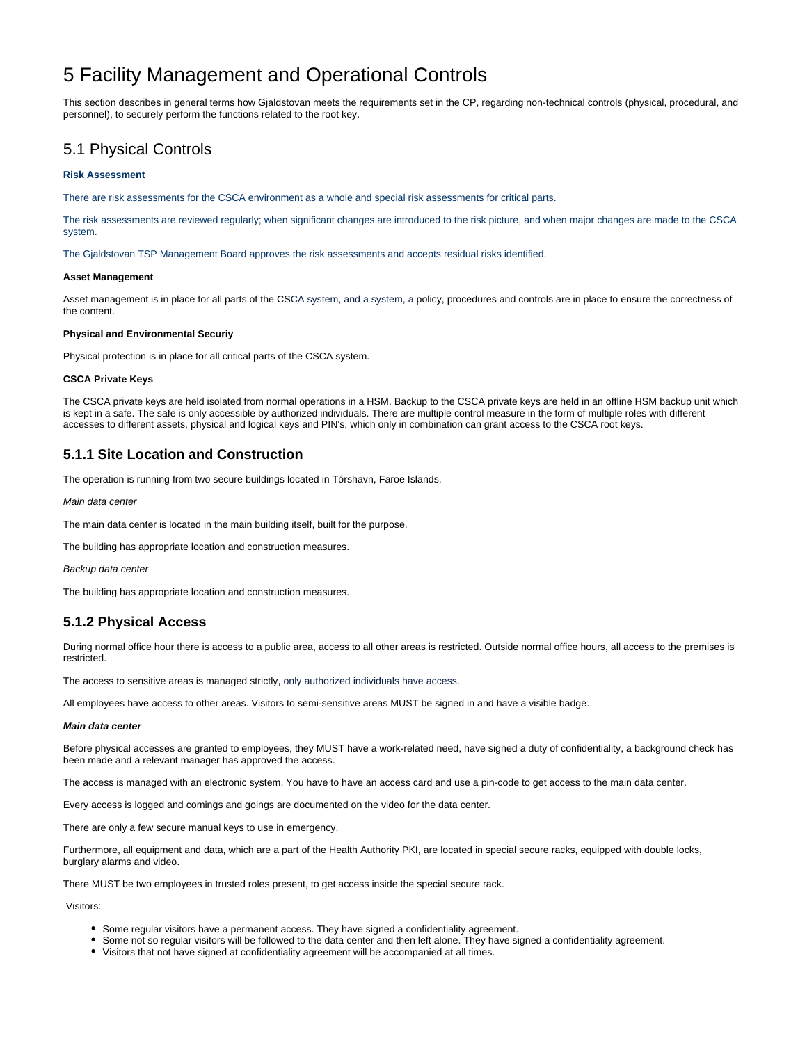# 5 Facility Management and Operational Controls

This section describes in general terms how Gjaldstovan meets the requirements set in the CP, regarding non-technical controls (physical, procedural, and personnel), to securely perform the functions related to the root key.

# <span id="page-17-0"></span>5.1 Physical Controls

#### **Risk Assessment**

There are risk assessments for the CSCA environment as a whole and special risk assessments for critical parts.

The risk assessments are reviewed regularly; when significant changes are introduced to the risk picture, and when major changes are made to the CSCA system.

The Gjaldstovan TSP Management Board approves the risk assessments and accepts residual risks identified.

#### **Asset Management**

Asset management is in place for all parts of the CSCA system, and a system, a policy, procedures and controls are in place to ensure the correctness of the content.

#### **Physical and Environmental Securiy**

Physical protection is in place for all critical parts of the CSCA system.

#### **CSCA Private Keys**

The CSCA private keys are held isolated from normal operations in a HSM. Backup to the CSCA private keys are held in an offline HSM backup unit which is kept in a safe. The safe is only accessible by authorized individuals. There are multiple control measure in the form of multiple roles with different accesses to different assets, physical and logical keys and PIN's, which only in combination can grant access to the CSCA root keys.

#### <span id="page-17-1"></span>**5.1.1 Site Location and Construction**

The operation is running from two secure buildings located in Tórshavn, Faroe Islands.

Main data center

The main data center is located in the main building itself, built for the purpose.

The building has appropriate location and construction measures.

Backup data center

The building has appropriate location and construction measures.

#### <span id="page-17-2"></span>**5.1.2 Physical Access**

During normal office hour there is access to a public area, access to all other areas is restricted. Outside normal office hours, all access to the premises is restricted.

The access to sensitive areas is managed strictly, only authorized individuals have access.

All employees have access to other areas. Visitors to semi-sensitive areas MUST be signed in and have a visible badge.

#### **Main data center**

Before physical accesses are granted to employees, they MUST have a work-related need, have signed a duty of confidentiality, a background check has been made and a relevant manager has approved the access.

The access is managed with an electronic system. You have to have an access card and use a pin-code to get access to the main data center.

Every access is logged and comings and goings are documented on the video for the data center.

There are only a few secure manual keys to use in emergency.

Furthermore, all equipment and data, which are a part of the Health Authority PKI, are located in special secure racks, equipped with double locks, burglary alarms and video.

There MUST be two employees in trusted roles present, to get access inside the special secure rack.

Visitors:

- Some regular visitors have a permanent access. They have signed a confidentiality agreement.
- Some not so regular visitors will be followed to the data center and then left alone. They have signed a confidentiality agreement.
- Visitors that not have signed at confidentiality agreement will be accompanied at all times.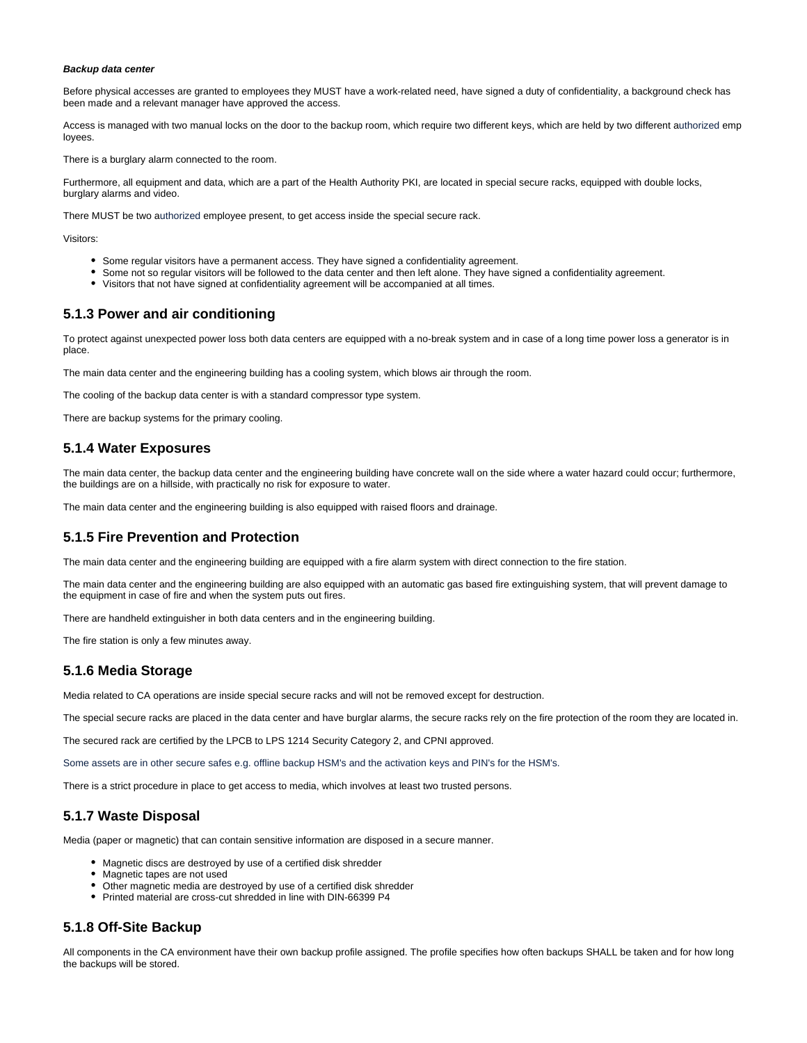#### **Backup data center**

Before physical accesses are granted to employees they MUST have a work-related need, have signed a duty of confidentiality, a background check has been made and a relevant manager have approved the access.

Access is managed with two manual locks on the door to the backup room, which require two different keys, which are held by two different authorized emp loyees.

There is a burglary alarm connected to the room.

Furthermore, all equipment and data, which are a part of the Health Authority PKI, are located in special secure racks, equipped with double locks, burglary alarms and video.

There MUST be two authorized employee present, to get access inside the special secure rack.

Visitors:

- Some regular visitors have a permanent access. They have signed a confidentiality agreement.
- Some not so regular visitors will be followed to the data center and then left alone. They have signed a confidentiality agreement.
- Visitors that not have signed at confidentiality agreement will be accompanied at all times.

#### <span id="page-18-0"></span>**5.1.3 Power and air conditioning**

To protect against unexpected power loss both data centers are equipped with a no-break system and in case of a long time power loss a generator is in place.

The main data center and the engineering building has a cooling system, which blows air through the room.

The cooling of the backup data center is with a standard compressor type system.

There are backup systems for the primary cooling.

#### <span id="page-18-1"></span>**5.1.4 Water Exposures**

The main data center, the backup data center and the engineering building have concrete wall on the side where a water hazard could occur; furthermore, the buildings are on a hillside, with practically no risk for exposure to water.

The main data center and the engineering building is also equipped with raised floors and drainage.

#### <span id="page-18-2"></span>**5.1.5 Fire Prevention and Protection**

The main data center and the engineering building are equipped with a fire alarm system with direct connection to the fire station.

The main data center and the engineering building are also equipped with an automatic gas based fire extinguishing system, that will prevent damage to the equipment in case of fire and when the system puts out fires.

There are handheld extinguisher in both data centers and in the engineering building.

The fire station is only a few minutes away.

#### <span id="page-18-3"></span>**5.1.6 Media Storage**

Media related to CA operations are inside special secure racks and will not be removed except for destruction.

The special secure racks are placed in the data center and have burglar alarms, the secure racks rely on the fire protection of the room they are located in.

The secured rack are certified by the LPCB to LPS 1214 Security Category 2, and CPNI approved.

Some assets are in other secure safes e.g. offline backup HSM's and the activation keys and PIN's for the HSM's.

There is a strict procedure in place to get access to media, which involves at least two trusted persons.

#### <span id="page-18-4"></span>**5.1.7 Waste Disposal**

Media (paper or magnetic) that can contain sensitive information are disposed in a secure manner.

- Magnetic discs are destroyed by use of a certified disk shredder
- Magnetic tapes are not used
- Other magnetic media are destroyed by use of a certified disk shredder
- Printed material are cross-cut shredded in line with DIN-66399 P4

#### <span id="page-18-5"></span>**5.1.8 Off-Site Backup**

All components in the CA environment have their own backup profile assigned. The profile specifies how often backups SHALL be taken and for how long the backups will be stored.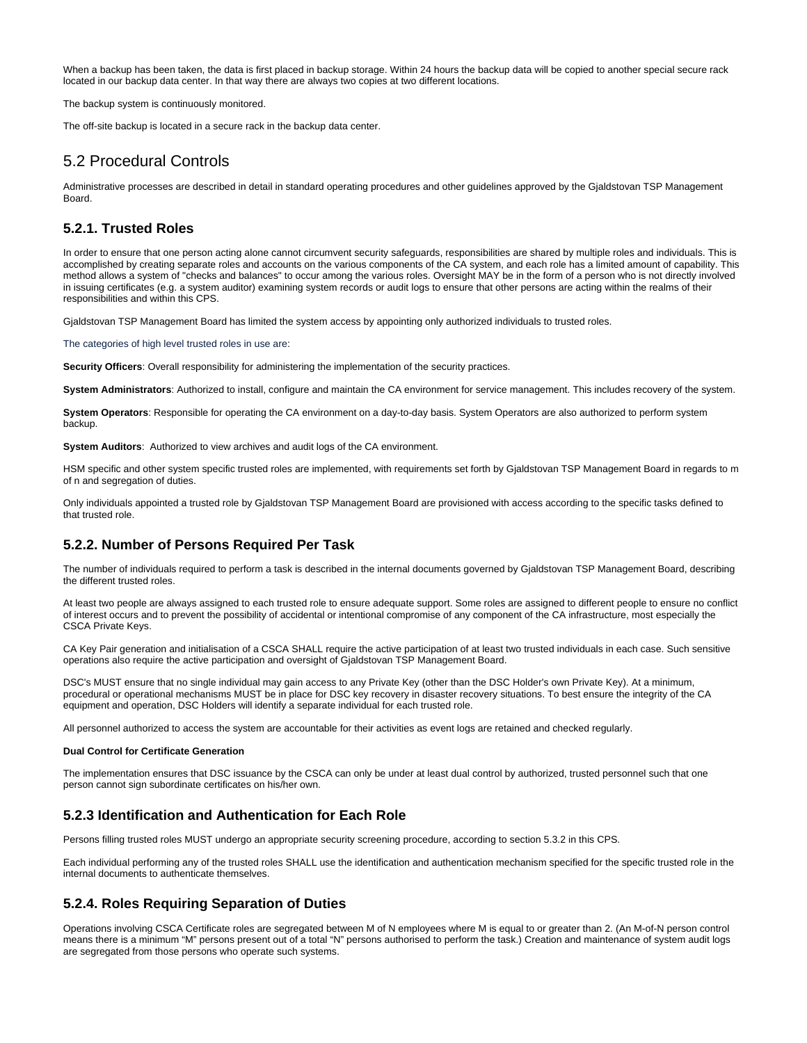When a backup has been taken, the data is first placed in backup storage. Within 24 hours the backup data will be copied to another special secure rack located in our backup data center. In that way there are always two copies at two different locations.

The backup system is continuously monitored.

The off-site backup is located in a secure rack in the backup data center.

# <span id="page-19-0"></span>5.2 Procedural Controls

Administrative processes are described in detail in standard operating procedures and other guidelines approved by the Gjaldstovan TSP Management Board.

#### <span id="page-19-1"></span>**5.2.1. Trusted Roles**

In order to ensure that one person acting alone cannot circumvent security safeguards, responsibilities are shared by multiple roles and individuals. This is accomplished by creating separate roles and accounts on the various components of the CA system, and each role has a limited amount of capability. This method allows a system of "checks and balances" to occur among the various roles. Oversight MAY be in the form of a person who is not directly involved in issuing certificates (e.g. a system auditor) examining system records or audit logs to ensure that other persons are acting within the realms of their responsibilities and within this CPS.

Gjaldstovan TSP Management Board has limited the system access by appointing only authorized individuals to trusted roles.

The categories of high level trusted roles in use are:

**Security Officers**: Overall responsibility for administering the implementation of the security practices.

**System Administrators**: Authorized to install, configure and maintain the CA environment for service management. This includes recovery of the system.

**System Operators**: Responsible for operating the CA environment on a day-to-day basis. System Operators are also authorized to perform system backup.

**System Auditors**: Authorized to view archives and audit logs of the CA environment.

HSM specific and other system specific trusted roles are implemented, with requirements set forth by Gjaldstovan TSP Management Board in regards to m of n and segregation of duties.

Only individuals appointed a trusted role by Gjaldstovan TSP Management Board are provisioned with access according to the specific tasks defined to that trusted role.

#### <span id="page-19-2"></span>**5.2.2. Number of Persons Required Per Task**

The number of individuals required to perform a task is described in the internal documents governed by Gjaldstovan TSP Management Board, describing the different trusted roles.

At least two people are always assigned to each trusted role to ensure adequate support. Some roles are assigned to different people to ensure no conflict of interest occurs and to prevent the possibility of accidental or intentional compromise of any component of the CA infrastructure, most especially the CSCA Private Keys.

CA Key Pair generation and initialisation of a CSCA SHALL require the active participation of at least two trusted individuals in each case. Such sensitive operations also require the active participation and oversight of Gjaldstovan TSP Management Board.

DSC's MUST ensure that no single individual may gain access to any Private Key (other than the DSC Holder's own Private Key). At a minimum, procedural or operational mechanisms MUST be in place for DSC key recovery in disaster recovery situations. To best ensure the integrity of the CA equipment and operation, DSC Holders will identify a separate individual for each trusted role.

All personnel authorized to access the system are accountable for their activities as event logs are retained and checked regularly.

#### **Dual Control for Certificate Generation**

The implementation ensures that DSC issuance by the CSCA can only be under at least dual control by authorized, trusted personnel such that one person cannot sign subordinate certificates on his/her own.

#### <span id="page-19-3"></span>**5.2.3 Identification and Authentication for Each Role**

Persons filling trusted roles MUST undergo an appropriate security screening procedure, according to section 5.3.2 in this CPS.

Each individual performing any of the trusted roles SHALL use the identification and authentication mechanism specified for the specific trusted role in the internal documents to authenticate themselves.

#### <span id="page-19-4"></span>**5.2.4. Roles Requiring Separation of Duties**

Operations involving CSCA Certificate roles are segregated between M of N employees where M is equal to or greater than 2. (An M-of-N person control means there is a minimum "M" persons present out of a total "N" persons authorised to perform the task.) Creation and maintenance of system audit logs are segregated from those persons who operate such systems.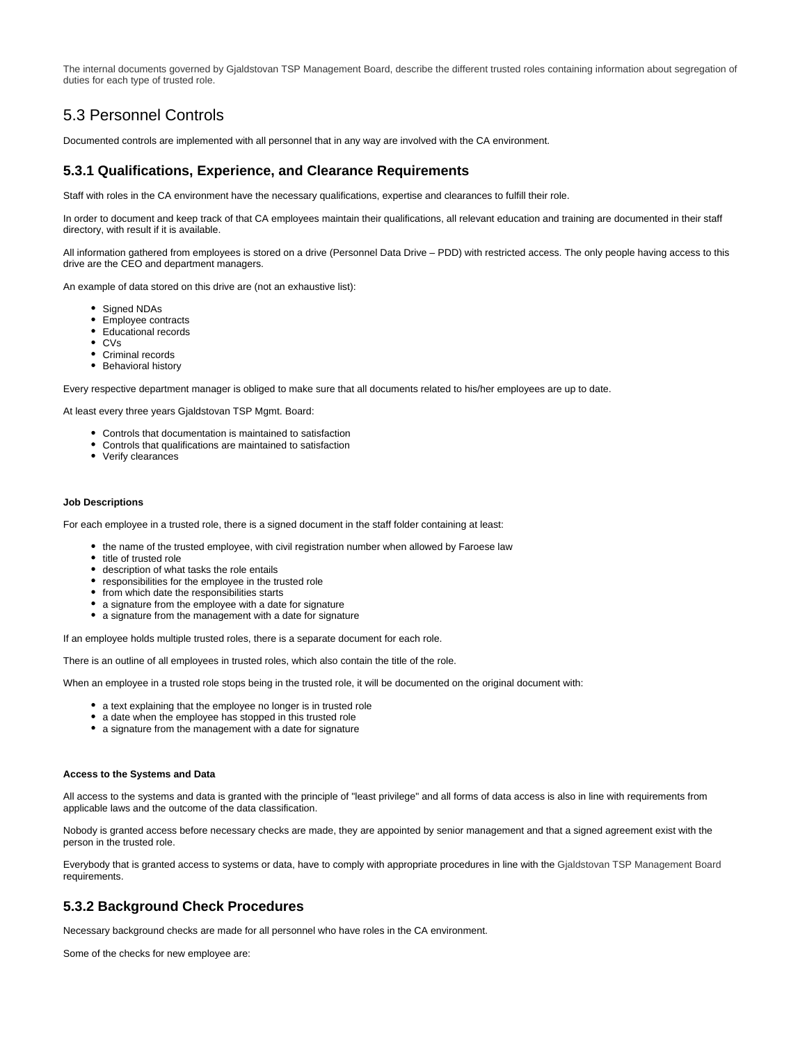The internal documents governed by Gjaldstovan TSP Management Board, describe the different trusted roles containing information about segregation of duties for each type of trusted role.

# <span id="page-20-0"></span>5.3 Personnel Controls

Documented controls are implemented with all personnel that in any way are involved with the CA environment.

#### <span id="page-20-1"></span>**5.3.1 Qualifications, Experience, and Clearance Requirements**

Staff with roles in the CA environment have the necessary qualifications, expertise and clearances to fulfill their role.

In order to document and keep track of that CA employees maintain their qualifications, all relevant education and training are documented in their staff directory, with result if it is available.

All information gathered from employees is stored on a drive (Personnel Data Drive – PDD) with restricted access. The only people having access to this drive are the CEO and department managers.

An example of data stored on this drive are (not an exhaustive list):

- Signed NDAs
- Employee contracts
- Educational records
- CVs
- Criminal records
- Behavioral history

Every respective department manager is obliged to make sure that all documents related to his/her employees are up to date.

At least every three years Gjaldstovan TSP Mgmt. Board:

- Controls that documentation is maintained to satisfaction
- Controls that qualifications are maintained to satisfaction
- Verify clearances

#### **Job Descriptions**

For each employee in a trusted role, there is a signed document in the staff folder containing at least:

- the name of the trusted employee, with civil registration number when allowed by Faroese law
- title of trusted role
- description of what tasks the role entails
- responsibilities for the employee in the trusted role
- from which date the responsibilities starts
- a signature from the employee with a date for signature
- a signature from the management with a date for signature

If an employee holds multiple trusted roles, there is a separate document for each role.

There is an outline of all employees in trusted roles, which also contain the title of the role.

When an employee in a trusted role stops being in the trusted role, it will be documented on the original document with:

- a text explaining that the employee no longer is in trusted role
- a date when the employee has stopped in this trusted role
- a signature from the management with a date for signature

#### **Access to the Systems and Data**

All access to the systems and data is granted with the principle of "least privilege" and all forms of data access is also in line with requirements from applicable laws and the outcome of the data classification.

Nobody is granted access before necessary checks are made, they are appointed by senior management and that a signed agreement exist with the person in the trusted role.

Everybody that is granted access to systems or data, have to comply with appropriate procedures in line with the Gjaldstovan TSP Management Board requirements.

#### <span id="page-20-2"></span>**5.3.2 Background Check Procedures**

Necessary background checks are made for all personnel who have roles in the CA environment.

Some of the checks for new employee are: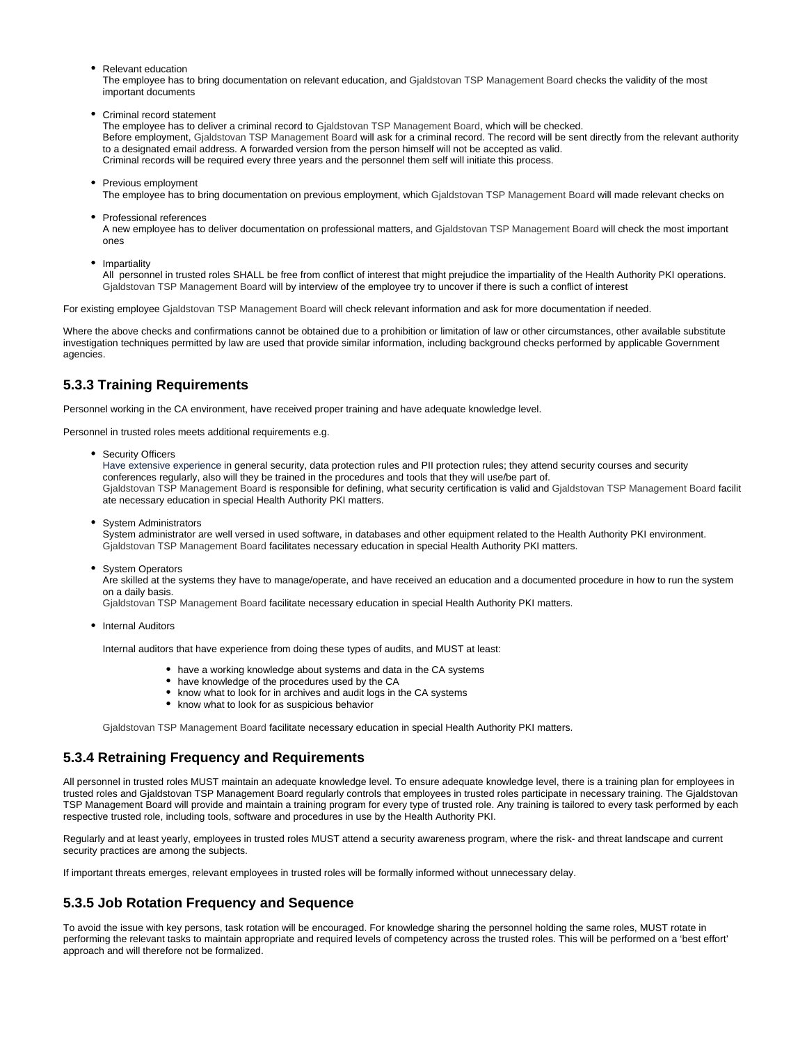Relevant education

The employee has to bring documentation on relevant education, and Gjaldstovan TSP Management Board checks the validity of the most important documents

Criminal record statement

The employee has to deliver a criminal record to Gjaldstovan TSP Management Board, which will be checked. Before employment, Gjaldstovan TSP Management Board will ask for a criminal record. The record will be sent directly from the relevant authority to a designated email address. A forwarded version from the person himself will not be accepted as valid. Criminal records will be required every three years and the personnel them self will initiate this process.

• Previous employment

The employee has to bring documentation on previous employment, which Gjaldstovan TSP Management Board will made relevant checks on

• Professional references

A new employee has to deliver documentation on professional matters, and Gjaldstovan TSP Management Board will check the most important ones

• Impartiality

All personnel in trusted roles SHALL be free from conflict of interest that might prejudice the impartiality of the Health Authority PKI operations. Gjaldstovan TSP Management Board will by interview of the employee try to uncover if there is such a conflict of interest

For existing employee Gjaldstovan TSP Management Board will check relevant information and ask for more documentation if needed.

Where the above checks and confirmations cannot be obtained due to a prohibition or limitation of law or other circumstances, other available substitute investigation techniques permitted by law are used that provide similar information, including background checks performed by applicable Government agencies.

## <span id="page-21-0"></span>**5.3.3 Training Requirements**

Personnel working in the CA environment, have received proper training and have adequate knowledge level.

Personnel in trusted roles meets additional requirements e.g.

• Security Officers

Have extensive experience in general security, data protection rules and PII protection rules; they attend security courses and security conferences regularly, also will they be trained in the procedures and tools that they will use/be part of. Gjaldstovan TSP Management Board is responsible for defining, what security certification is valid and Gjaldstovan TSP Management Board facilit ate necessary education in special Health Authority PKI matters.

• System Administrators

System administrator are well versed in used software, in databases and other equipment related to the Health Authority PKI environment. Gjaldstovan TSP Management Board facilitates necessary education in special Health Authority PKI matters.

• System Operators

Are skilled at the systems they have to manage/operate, and have received an education and a documented procedure in how to run the system on a daily basis.

Gjaldstovan TSP Management Board facilitate necessary education in special Health Authority PKI matters.

• Internal Auditors

Internal auditors that have experience from doing these types of audits, and MUST at least:

- have a working knowledge about systems and data in the CA systems
- have knowledge of the procedures used by the CA
- know what to look for in archives and audit logs in the CA systems
- know what to look for as suspicious behavior

Gjaldstovan TSP Management Board facilitate necessary education in special Health Authority PKI matters.

#### <span id="page-21-1"></span>**5.3.4 Retraining Frequency and Requirements**

All personnel in trusted roles MUST maintain an adequate knowledge level. To ensure adequate knowledge level, there is a training plan for employees in trusted roles and Gjaldstovan TSP Management Board regularly controls that employees in trusted roles participate in necessary training. The Gjaldstovan TSP Management Board will provide and maintain a training program for every type of trusted role. Any training is tailored to every task performed by each respective trusted role, including tools, software and procedures in use by the Health Authority PKI.

Regularly and at least yearly, employees in trusted roles MUST attend a security awareness program, where the risk- and threat landscape and current security practices are among the subjects.

If important threats emerges, relevant employees in trusted roles will be formally informed without unnecessary delay.

### <span id="page-21-2"></span>**5.3.5 Job Rotation Frequency and Sequence**

<span id="page-21-3"></span>To avoid the issue with key persons, task rotation will be encouraged. For knowledge sharing the personnel holding the same roles, MUST rotate in performing the relevant tasks to maintain appropriate and required levels of competency across the trusted roles. This will be performed on a 'best effort' approach and will therefore not be formalized.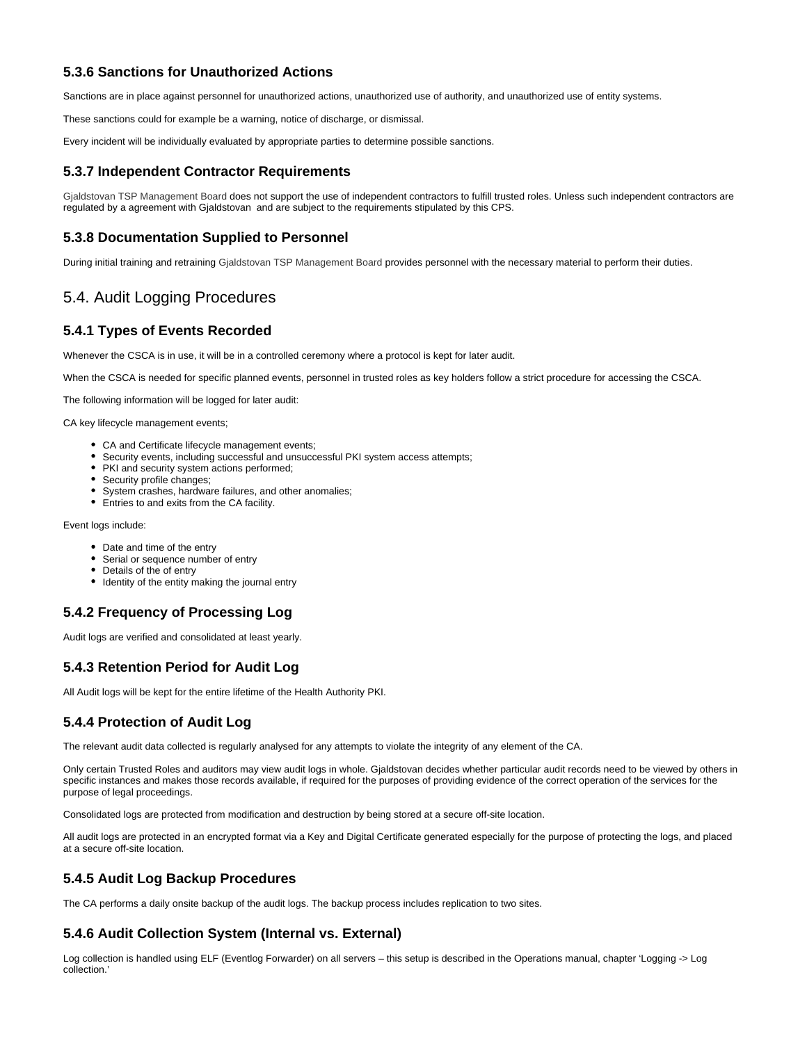### **5.3.6 Sanctions for Unauthorized Actions**

Sanctions are in place against personnel for unauthorized actions, unauthorized use of authority, and unauthorized use of entity systems.

These sanctions could for example be a warning, notice of discharge, or dismissal.

Every incident will be individually evaluated by appropriate parties to determine possible sanctions.

#### <span id="page-22-0"></span>**5.3.7 Independent Contractor Requirements**

Gjaldstovan TSP Management Board does not support the use of independent contractors to fulfill trusted roles. Unless such independent contractors are regulated by a agreement with Gjaldstovan and are subject to the requirements stipulated by this CPS.

#### <span id="page-22-1"></span>**5.3.8 Documentation Supplied to Personnel**

During initial training and retraining Gjaldstovan TSP Management Board provides personnel with the necessary material to perform their duties.

# <span id="page-22-2"></span>5.4. Audit Logging Procedures

#### <span id="page-22-3"></span>**5.4.1 Types of Events Recorded**

Whenever the CSCA is in use, it will be in a controlled ceremony where a protocol is kept for later audit.

When the CSCA is needed for specific planned events, personnel in trusted roles as key holders follow a strict procedure for accessing the CSCA.

The following information will be logged for later audit:

CA key lifecycle management events;

- CA and Certificate lifecycle management events;
- Security events, including successful and unsuccessful PKI system access attempts;
- PKI and security system actions performed;
- Security profile changes;
- System crashes, hardware failures, and other anomalies;
- Entries to and exits from the CA facility.

Event logs include:

- Date and time of the entry
- Serial or sequence number of entry
- Details of the of entry
- Identity of the entity making the journal entry

### <span id="page-22-4"></span>**5.4.2 Frequency of Processing Log**

Audit logs are verified and consolidated at least yearly.

### <span id="page-22-5"></span>**5.4.3 Retention Period for Audit Log**

All Audit logs will be kept for the entire lifetime of the Health Authority PKI.

#### <span id="page-22-6"></span>**5.4.4 Protection of Audit Log**

The relevant audit data collected is regularly analysed for any attempts to violate the integrity of any element of the CA.

Only certain Trusted Roles and auditors may view audit logs in whole. Gjaldstovan decides whether particular audit records need to be viewed by others in specific instances and makes those records available, if required for the purposes of providing evidence of the correct operation of the services for the purpose of legal proceedings.

Consolidated logs are protected from modification and destruction by being stored at a secure off-site location.

All audit logs are protected in an encrypted format via a Key and Digital Certificate generated especially for the purpose of protecting the logs, and placed at a secure off-site location.

#### <span id="page-22-7"></span>**5.4.5 Audit Log Backup Procedures**

The CA performs a daily onsite backup of the audit logs. The backup process includes replication to two sites.

### <span id="page-22-8"></span>**5.4.6 Audit Collection System (Internal vs. External)**

<span id="page-22-9"></span>Log collection is handled using ELF (Eventlog Forwarder) on all servers – this setup is described in the Operations manual, chapter 'Logging -> Log collection.'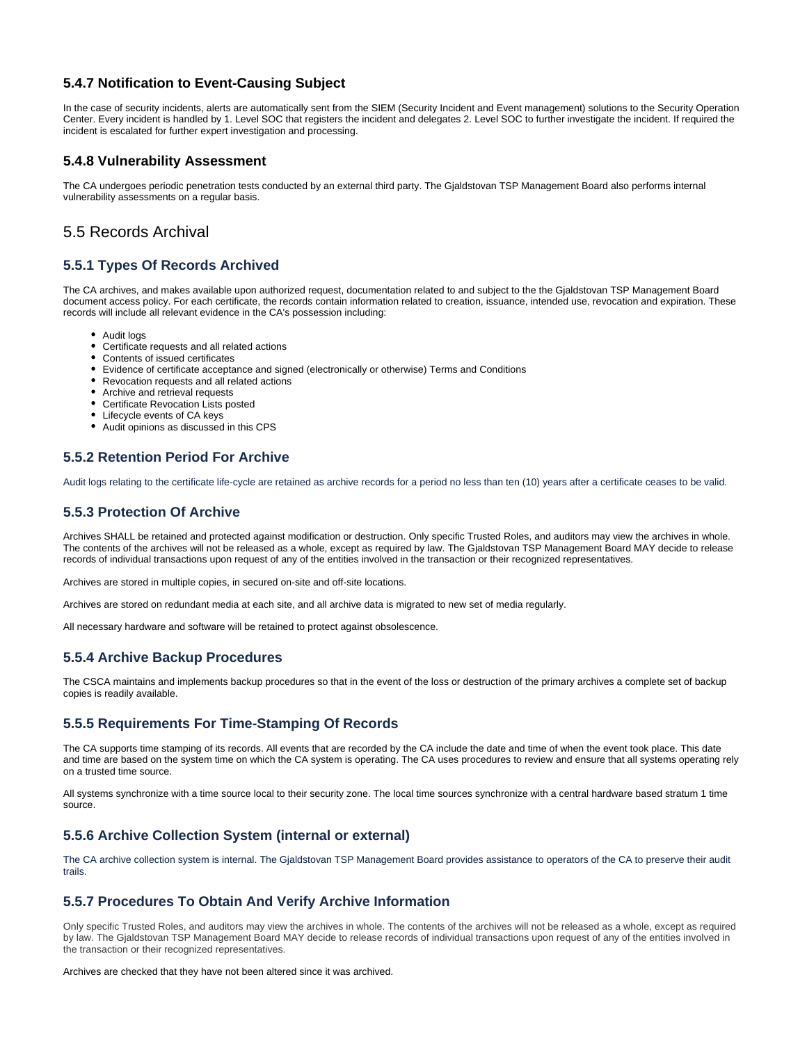#### **5.4.7 Notification to Event-Causing Subject**

In the case of security incidents, alerts are automatically sent from the SIEM (Security Incident and Event management) solutions to the Security Operation Center. Every incident is handled by 1. Level SOC that registers the incident and delegates 2. Level SOC to further investigate the incident. If required the incident is escalated for further expert investigation and processing.

#### <span id="page-23-0"></span>**5.4.8 Vulnerability Assessment**

The CA undergoes periodic penetration tests conducted by an external third party. The Gjaldstovan TSP Management Board also performs internal vulnerability assessments on a regular basis.

# <span id="page-23-1"></span>5.5 Records Archival

### <span id="page-23-2"></span>**5.5.1 Types Of Records Archived**

The CA archives, and makes available upon authorized request, documentation related to and subject to the the Gjaldstovan TSP Management Board document access policy. For each certificate, the records contain information related to creation, issuance, intended use, revocation and expiration. These records will include all relevant evidence in the CA's possession including:

- Audit logs
- Certificate requests and all related actions
- Contents of issued certificates
- Evidence of certificate acceptance and signed (electronically or otherwise) Terms and Conditions
- Revocation requests and all related actions
- Archive and retrieval requests
- Certificate Revocation Lists posted
- Lifecycle events of CA keys
- Audit opinions as discussed in this CPS

### <span id="page-23-3"></span>**5.5.2 Retention Period For Archive**

Audit logs relating to the certificate life-cycle are retained as archive records for a period no less than ten (10) years after a certificate ceases to be valid.

### <span id="page-23-4"></span>**5.5.3 Protection Of Archive**

Archives SHALL be retained and protected against modification or destruction. Only specific Trusted Roles, and auditors may view the archives in whole. The contents of the archives will not be released as a whole, except as required by law. The Gjaldstovan TSP Management Board MAY decide to release records of individual transactions upon request of any of the entities involved in the transaction or their recognized representatives.

Archives are stored in multiple copies, in secured on-site and off-site locations.

Archives are stored on redundant media at each site, and all archive data is migrated to new set of media regularly.

All necessary hardware and software will be retained to protect against obsolescence.

#### <span id="page-23-5"></span>**5.5.4 Archive Backup Procedures**

The CSCA maintains and implements backup procedures so that in the event of the loss or destruction of the primary archives a complete set of backup copies is readily available.

### <span id="page-23-6"></span>**5.5.5 Requirements For Time-Stamping Of Records**

The CA supports time stamping of its records. All events that are recorded by the CA include the date and time of when the event took place. This date and time are based on the system time on which the CA system is operating. The CA uses procedures to review and ensure that all systems operating rely on a trusted time source.

All systems synchronize with a time source local to their security zone. The local time sources synchronize with a central hardware based stratum 1 time source.

#### <span id="page-23-7"></span>**5.5.6 Archive Collection System (internal or external)**

The CA archive collection system is internal. The Gjaldstovan TSP Management Board provides assistance to operators of the CA to preserve their audit trails.

### <span id="page-23-8"></span>**5.5.7 Procedures To Obtain And Verify Archive Information**

Only specific Trusted Roles, and auditors may view the archives in whole. The contents of the archives will not be released as a whole, except as required by law. The Gjaldstovan TSP Management Board MAY decide to release records of individual transactions upon request of any of the entities involved in the transaction or their recognized representatives.

<span id="page-23-9"></span>Archives are checked that they have not been altered since it was archived.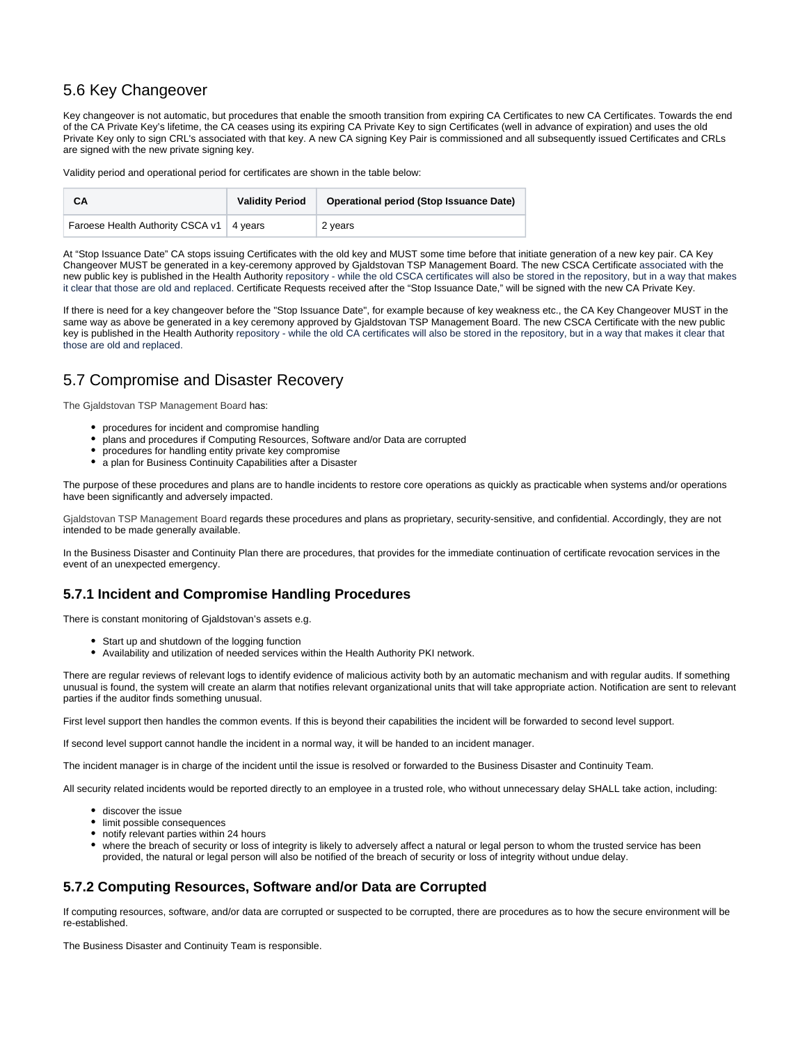# 5.6 Key Changeover

Key changeover is not automatic, but procedures that enable the smooth transition from expiring CA Certificates to new CA Certificates. Towards the end of the CA Private Key's lifetime, the CA ceases using its expiring CA Private Key to sign Certificates (well in advance of expiration) and uses the old Private Key only to sign CRL's associated with that key. A new CA signing Key Pair is commissioned and all subsequently issued Certificates and CRLs are signed with the new private signing key.

Validity period and operational period for certificates are shown in the table below:

| CА                                         | <b>Validity Period</b> | Operational period (Stop Issuance Date) |
|--------------------------------------------|------------------------|-----------------------------------------|
| Faroese Health Authority CSCA v1   4 years |                        | 2 vears                                 |

At "Stop Issuance Date" CA stops issuing Certificates with the old key and MUST some time before that initiate generation of a new key pair. CA Key Changeover MUST be generated in a key-ceremony approved by Gjaldstovan TSP Management Board. The new CSCA Certificate associated with the new public key is published in the Health Authority repository - while the old CSCA certificates will also be stored in the repository, but in a way that makes it clear that those are old and replaced. Certificate Requests received after the "Stop Issuance Date," will be signed with the new CA Private Key.

If there is need for a key changeover before the "Stop Issuance Date", for example because of key weakness etc., the CA Key Changeover MUST in the same way as above be generated in a key ceremony approved by Gjaldstovan TSP Management Board. The new CSCA Certificate with the new public key is published in the Health Authority repository - while the old CA certificates will also be stored in the repository, but in a way that makes it clear that those are old and replaced.

# <span id="page-24-0"></span>5.7 Compromise and Disaster Recovery

The Gjaldstovan TSP Management Board has:

- procedures for incident and compromise handling
- plans and procedures if Computing Resources, Software and/or Data are corrupted
- procedures for handling entity private key compromise
- a plan for Business Continuity Capabilities after a Disaster

The purpose of these procedures and plans are to handle incidents to restore core operations as quickly as practicable when systems and/or operations have been significantly and adversely impacted.

Gjaldstovan TSP Management Board regards these procedures and plans as proprietary, security-sensitive, and confidential. Accordingly, they are not intended to be made generally available.

In the Business Disaster and Continuity Plan there are procedures, that provides for the immediate continuation of certificate revocation services in the event of an unexpected emergency.

### <span id="page-24-1"></span>**5.7.1 Incident and Compromise Handling Procedures**

There is constant monitoring of Gjaldstovan's assets e.g.

- Start up and shutdown of the logging function
- Availability and utilization of needed services within the Health Authority PKI network.

There are regular reviews of relevant logs to identify evidence of malicious activity both by an automatic mechanism and with regular audits. If something unusual is found, the system will create an alarm that notifies relevant organizational units that will take appropriate action. Notification are sent to relevant parties if the auditor finds something unusual.

First level support then handles the common events. If this is beyond their capabilities the incident will be forwarded to second level support.

If second level support cannot handle the incident in a normal way, it will be handed to an incident manager.

The incident manager is in charge of the incident until the issue is resolved or forwarded to the Business Disaster and Continuity Team.

All security related incidents would be reported directly to an employee in a trusted role, who without unnecessary delay SHALL take action, including:

- discover the issue
- limit possible consequences
- notify relevant parties within 24 hours
- where the breach of security or loss of integrity is likely to adversely affect a natural or legal person to whom the trusted service has been provided, the natural or legal person will also be notified of the breach of security or loss of integrity without undue delay.

#### <span id="page-24-2"></span>**5.7.2 Computing Resources, Software and/or Data are Corrupted**

If computing resources, software, and/or data are corrupted or suspected to be corrupted, there are procedures as to how the secure environment will be re-established.

<span id="page-24-3"></span>The Business Disaster and Continuity Team is responsible.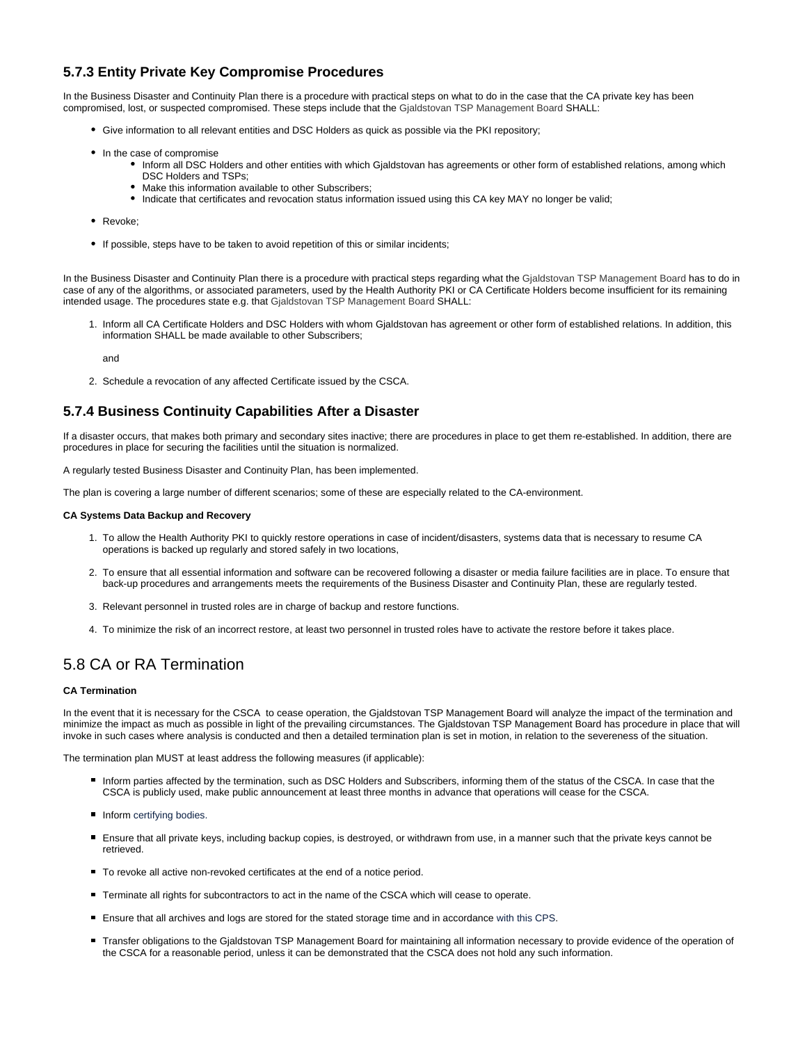# **5.7.3 Entity Private Key Compromise Procedures**

In the Business Disaster and Continuity Plan there is a procedure with practical steps on what to do in the case that the CA private key has been compromised, lost, or suspected compromised. These steps include that the Gjaldstovan TSP Management Board SHALL:

- Give information to all relevant entities and DSC Holders as quick as possible via the PKI repository;
- In the case of compromise
	- Inform all DSC Holders and other entities with which Gjaldstovan has agreements or other form of established relations, among which DSC Holders and TSPs;
		- Make this information available to other Subscribers;
		- Indicate that certificates and revocation status information issued using this CA key MAY no longer be valid:
- Revoke;
- If possible, steps have to be taken to avoid repetition of this or similar incidents;

In the Business Disaster and Continuity Plan there is a procedure with practical steps regarding what the Gjaldstovan TSP Management Board has to do in case of any of the algorithms, or associated parameters, used by the Health Authority PKI or CA Certificate Holders become insufficient for its remaining intended usage. The procedures state e.g. that Gjaldstovan TSP Management Board SHALL:

1. Inform all CA Certificate Holders and DSC Holders with whom Gjaldstovan has agreement or other form of established relations. In addition, this information SHALL be made available to other Subscribers;

and

2. Schedule a revocation of any affected Certificate issued by the CSCA.

#### <span id="page-25-0"></span>**5.7.4 Business Continuity Capabilities After a Disaster**

If a disaster occurs, that makes both primary and secondary sites inactive; there are procedures in place to get them re-established. In addition, there are procedures in place for securing the facilities until the situation is normalized.

A regularly tested Business Disaster and Continuity Plan, has been implemented.

The plan is covering a large number of different scenarios; some of these are especially related to the CA-environment.

#### **CA Systems Data Backup and Recovery**

- 1. To allow the Health Authority PKI to quickly restore operations in case of incident/disasters, systems data that is necessary to resume CA operations is backed up regularly and stored safely in two locations,
- 2. To ensure that all essential information and software can be recovered following a disaster or media failure facilities are in place. To ensure that back-up procedures and arrangements meets the requirements of the Business Disaster and Continuity Plan, these are regularly tested.
- 3. Relevant personnel in trusted roles are in charge of backup and restore functions.
- 4. To minimize the risk of an incorrect restore, at least two personnel in trusted roles have to activate the restore before it takes place.

### <span id="page-25-1"></span>5.8 CA or RA Termination

#### **CA Termination**

In the event that it is necessary for the CSCA to cease operation, the Gjaldstovan TSP Management Board will analyze the impact of the termination and minimize the impact as much as possible in light of the prevailing circumstances. The Gjaldstovan TSP Management Board has procedure in place that will invoke in such cases where analysis is conducted and then a detailed termination plan is set in motion, in relation to the severeness of the situation.

The termination plan MUST at least address the following measures (if applicable):

- Inform parties affected by the termination, such as DSC Holders and Subscribers, informing them of the status of the CSCA. In case that the CSCA is publicly used, make public announcement at least three months in advance that operations will cease for the CSCA.
- **Inform certifying bodies.**
- Ensure that all private keys, including backup copies, is destroyed, or withdrawn from use, in a manner such that the private keys cannot be retrieved.
- To revoke all active non-revoked certificates at the end of a notice period.
- Terminate all rights for subcontractors to act in the name of the CSCA which will cease to operate.
- Ensure that all archives and logs are stored for the stated storage time and in accordance with this CPS.
- Transfer obligations to the Gjaldstovan TSP Management Board for maintaining all information necessary to provide evidence of the operation of the CSCA for a reasonable period, unless it can be demonstrated that the CSCA does not hold any such information.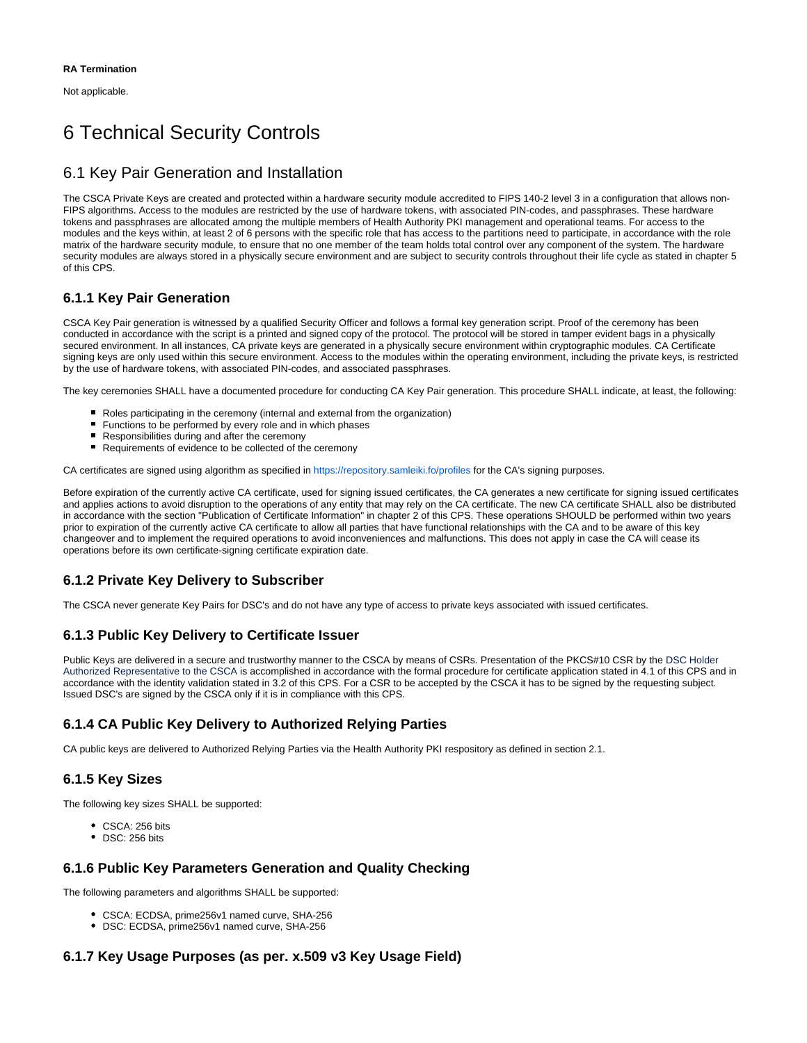Not applicable.

# <span id="page-26-0"></span>6 Technical Security Controls

# <span id="page-26-1"></span>6.1 Key Pair Generation and Installation

The CSCA Private Keys are created and protected within a hardware security module accredited to FIPS 140-2 level 3 in a configuration that allows non-FIPS algorithms. Access to the modules are restricted by the use of hardware tokens, with associated PIN-codes, and passphrases. These hardware tokens and passphrases are allocated among the multiple members of Health Authority PKI management and operational teams. For access to the modules and the keys within, at least 2 of 6 persons with the specific role that has access to the partitions need to participate, in accordance with the role matrix of the hardware security module, to ensure that no one member of the team holds total control over any component of the system. The hardware security modules are always stored in a physically secure environment and are subject to security controls throughout their life cycle as stated in chapter 5 of this CPS.

# <span id="page-26-2"></span>**6.1.1 Key Pair Generation**

CSCA Key Pair generation is witnessed by a qualified Security Officer and follows a formal key generation script. Proof of the ceremony has been conducted in accordance with the script is a printed and signed copy of the protocol. The protocol will be stored in tamper evident bags in a physically secured environment. In all instances, CA private keys are generated in a physically secure environment within cryptographic modules. CA Certificate signing keys are only used within this secure environment. Access to the modules within the operating environment, including the private keys, is restricted by the use of hardware tokens, with associated PIN-codes, and associated passphrases.

The key ceremonies SHALL have a documented procedure for conducting CA Key Pair generation. This procedure SHALL indicate, at least, the following:

- Roles participating in the ceremony (internal and external from the organization)
- $\blacksquare$ Functions to be performed by every role and in which phases
- **Responsibilities during and after the ceremony**
- Requirements of evidence to be collected of the ceremony

CA certificates are signed using algorithm as specified in<https://repository.samleiki.fo/profiles> for the CA's signing purposes.

Before expiration of the currently active CA certificate, used for signing issued certificates, the CA generates a new certificate for signing issued certificates and applies actions to avoid disruption to the operations of any entity that may rely on the CA certificate. The new CA certificate SHALL also be distributed in accordance with the section "Publication of Certificate Information" in chapter 2 of this CPS. These operations SHOULD be performed within two years prior to expiration of the currently active CA certificate to allow all parties that have functional relationships with the CA and to be aware of this key changeover and to implement the required operations to avoid inconveniences and malfunctions. This does not apply in case the CA will cease its operations before its own certificate-signing certificate expiration date.

# <span id="page-26-3"></span>**6.1.2 Private Key Delivery to Subscriber**

The CSCA never generate Key Pairs for DSC's and do not have any type of access to private keys associated with issued certificates.

### <span id="page-26-4"></span>**6.1.3 Public Key Delivery to Certificate Issuer**

Public Keys are delivered in a secure and trustworthy manner to the CSCA by means of CSRs. Presentation of the PKCS#10 CSR by the DSC Holder Authorized Representative to the CSCA is accomplished in accordance with the formal procedure for certificate application stated in 4.1 of this CPS and in accordance with the identity validation stated in 3.2 of this CPS. For a CSR to be accepted by the CSCA it has to be signed by the requesting subject. Issued DSC's are signed by the CSCA only if it is in compliance with this CPS.

# <span id="page-26-5"></span>**6.1.4 CA Public Key Delivery to Authorized Relying Parties**

CA public keys are delivered to Authorized Relying Parties via the Health Authority PKI respository as defined in section 2.1.

### <span id="page-26-6"></span>**6.1.5 Key Sizes**

The following key sizes SHALL be supported:

- CSCA: 256 bits
- DSC: 256 bits

#### <span id="page-26-7"></span>**6.1.6 Public Key Parameters Generation and Quality Checking**

The following parameters and algorithms SHALL be supported:

- CSCA: ECDSA, prime256v1 named curve, SHA-256
- DSC: ECDSA, prime256v1 named curve, SHA-256

### <span id="page-26-8"></span>**6.1.7 Key Usage Purposes (as per. x.509 v3 Key Usage Field)**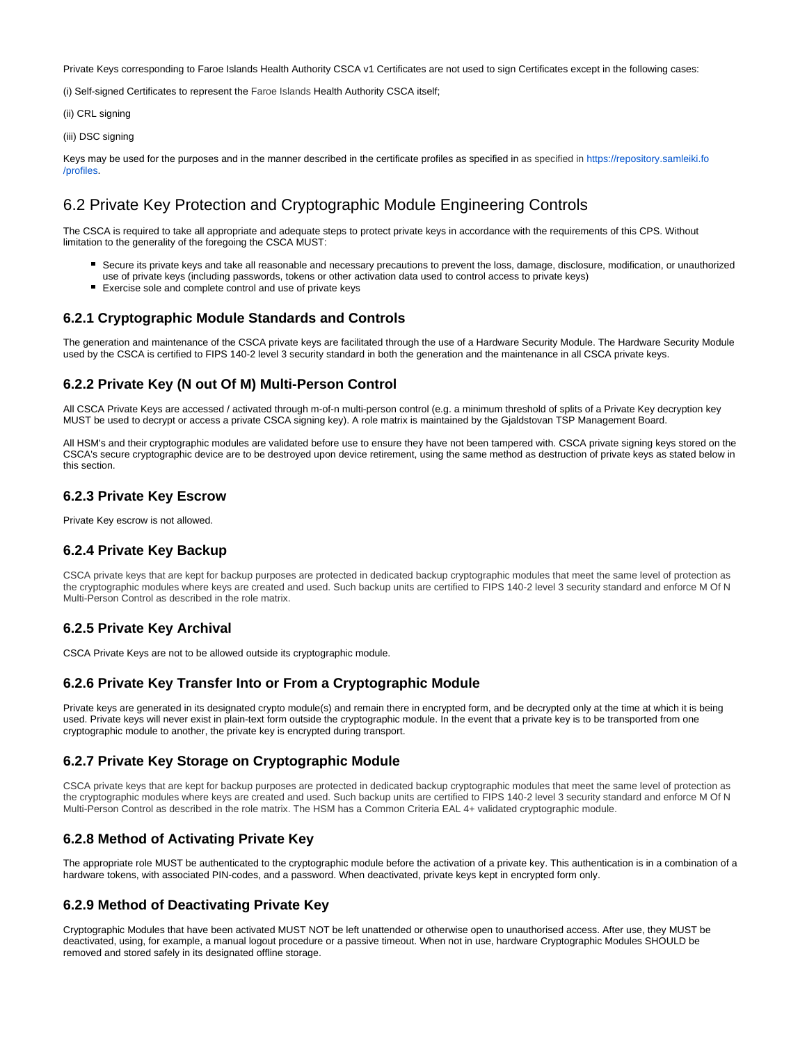Private Keys corresponding to Faroe Islands Health Authority CSCA v1 Certificates are not used to sign Certificates except in the following cases:

(i) Self-signed Certificates to represent the Faroe Islands Health Authority CSCA itself;

(ii) CRL signing

(iii) DSC signing

Keys may be used for the purposes and in the manner described in the certificate profiles as specified in as specified in [https://repository.samleiki.fo](https://repository.samleiki.fo/profiles) [/profiles](https://repository.samleiki.fo/profiles).

# <span id="page-27-0"></span>6.2 Private Key Protection and Cryptographic Module Engineering Controls

The CSCA is required to take all appropriate and adequate steps to protect private keys in accordance with the requirements of this CPS. Without limitation to the generality of the foregoing the CSCA MUST:

- Secure its private keys and take all reasonable and necessary precautions to prevent the loss, damage, disclosure, modification, or unauthorized use of private keys (including passwords, tokens or other activation data used to control access to private keys)
- Exercise sole and complete control and use of private keys

#### <span id="page-27-1"></span>**6.2.1 Cryptographic Module Standards and Controls**

The generation and maintenance of the CSCA private keys are facilitated through the use of a Hardware Security Module. The Hardware Security Module used by the CSCA is certified to FIPS 140-2 level 3 security standard in both the generation and the maintenance in all CSCA private keys.

#### <span id="page-27-2"></span>**6.2.2 Private Key (N out Of M) Multi-Person Control**

All CSCA Private Keys are accessed / activated through m-of-n multi-person control (e.g. a minimum threshold of splits of a Private Key decryption key MUST be used to decrypt or access a private CSCA signing key). A role matrix is maintained by the Gjaldstovan TSP Management Board.

All HSM's and their cryptographic modules are validated before use to ensure they have not been tampered with. CSCA private signing keys stored on the CSCA's secure cryptographic device are to be destroyed upon device retirement, using the same method as destruction of private keys as stated below in this section.

#### <span id="page-27-3"></span>**6.2.3 Private Key Escrow**

Private Key escrow is not allowed.

#### <span id="page-27-4"></span>**6.2.4 Private Key Backup**

CSCA private keys that are kept for backup purposes are protected in dedicated backup cryptographic modules that meet the same level of protection as the cryptographic modules where keys are created and used. Such backup units are certified to FIPS 140-2 level 3 security standard and enforce M Of N Multi-Person Control as described in the role matrix.

#### <span id="page-27-5"></span>**6.2.5 Private Key Archival**

CSCA Private Keys are not to be allowed outside its cryptographic module.

#### <span id="page-27-6"></span>**6.2.6 Private Key Transfer Into or From a Cryptographic Module**

Private keys are generated in its designated crypto module(s) and remain there in encrypted form, and be decrypted only at the time at which it is being used. Private keys will never exist in plain-text form outside the cryptographic module. In the event that a private key is to be transported from one cryptographic module to another, the private key is encrypted during transport.

#### <span id="page-27-7"></span>**6.2.7 Private Key Storage on Cryptographic Module**

CSCA private keys that are kept for backup purposes are protected in dedicated backup cryptographic modules that meet the same level of protection as the cryptographic modules where keys are created and used. Such backup units are certified to FIPS 140-2 level 3 security standard and enforce M Of N Multi-Person Control as described in the role matrix. The HSM has a Common Criteria EAL 4+ validated cryptographic module.

#### <span id="page-27-8"></span>**6.2.8 Method of Activating Private Key**

The appropriate role MUST be authenticated to the cryptographic module before the activation of a private key. This authentication is in a combination of a hardware tokens, with associated PIN-codes, and a password. When deactivated, private keys kept in encrypted form only.

#### <span id="page-27-9"></span>**6.2.9 Method of Deactivating Private Key**

<span id="page-27-10"></span>Cryptographic Modules that have been activated MUST NOT be left unattended or otherwise open to unauthorised access. After use, they MUST be deactivated, using, for example, a manual logout procedure or a passive timeout. When not in use, hardware Cryptographic Modules SHOULD be removed and stored safely in its designated offline storage.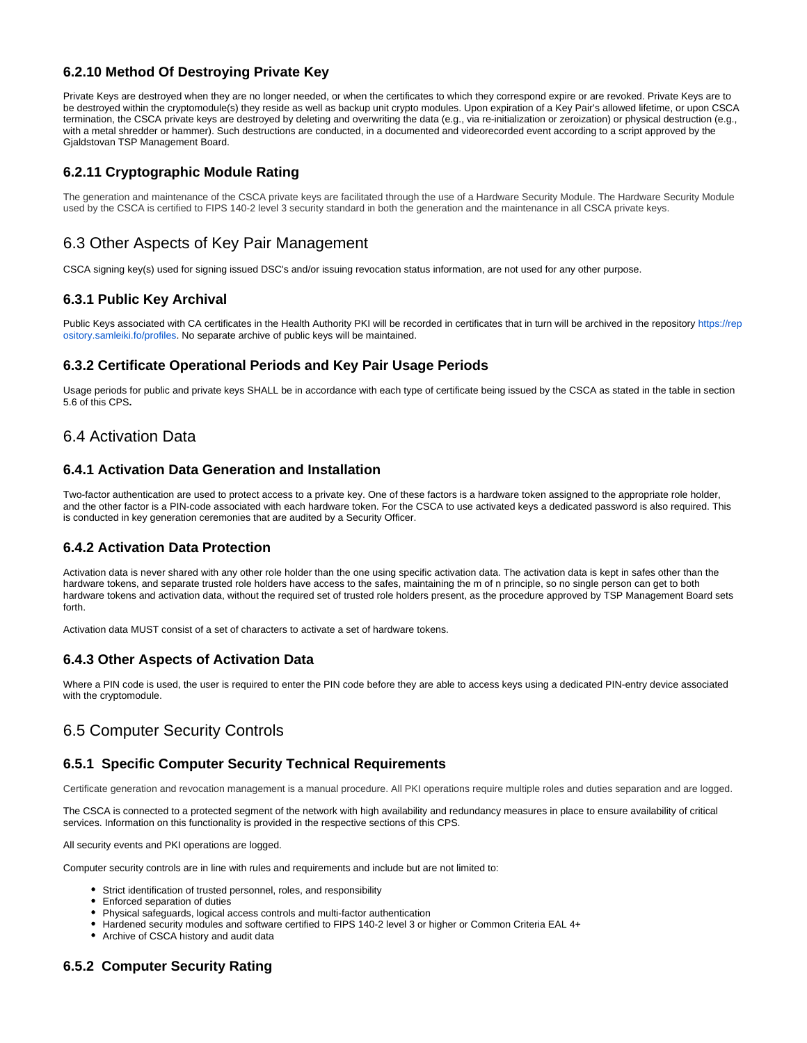### **6.2.10 Method Of Destroying Private Key**

Private Keys are destroyed when they are no longer needed, or when the certificates to which they correspond expire or are revoked. Private Keys are to be destroyed within the cryptomodule(s) they reside as well as backup unit crypto modules. Upon expiration of a Key Pair's allowed lifetime, or upon CSCA termination, the CSCA private keys are destroyed by deleting and overwriting the data (e.g., via re-initialization or zeroization) or physical destruction (e.g., with a metal shredder or hammer). Such destructions are conducted, in a documented and videorecorded event according to a script approved by the Gjaldstovan TSP Management Board.

### <span id="page-28-0"></span>**6.2.11 Cryptographic Module Rating**

The generation and maintenance of the CSCA private keys are facilitated through the use of a Hardware Security Module. The Hardware Security Module used by the CSCA is certified to FIPS 140-2 level 3 security standard in both the generation and the maintenance in all CSCA private keys.

# <span id="page-28-1"></span>6.3 Other Aspects of Key Pair Management

CSCA signing key(s) used for signing issued DSC's and/or issuing revocation status information, are not used for any other purpose.

#### <span id="page-28-2"></span>**6.3.1 Public Key Archival**

Public Keys associated with CA certificates in the Health Authority PKI will be recorded in certificates that in turn will be archived in the repository [https://rep](https://repository.samleiki.fo/profiles) [ository.samleiki.fo/profiles.](https://repository.samleiki.fo/profiles) No separate archive of public keys will be maintained.

#### <span id="page-28-3"></span>**6.3.2 Certificate Operational Periods and Key Pair Usage Periods**

Usage periods for public and private keys SHALL be in accordance with each type of certificate being issued by the CSCA as stated in the table in section 5.6 of this CPS**.**

## <span id="page-28-4"></span>6.4 Activation Data

#### <span id="page-28-5"></span>**6.4.1 Activation Data Generation and Installation**

Two-factor authentication are used to protect access to a private key. One of these factors is a hardware token assigned to the appropriate role holder, and the other factor is a PIN-code associated with each hardware token. For the CSCA to use activated keys a dedicated password is also required. This is conducted in key generation ceremonies that are audited by a Security Officer.

### <span id="page-28-6"></span>**6.4.2 Activation Data Protection**

Activation data is never shared with any other role holder than the one using specific activation data. The activation data is kept in safes other than the hardware tokens, and separate trusted role holders have access to the safes, maintaining the m of n principle, so no single person can get to both hardware tokens and activation data, without the required set of trusted role holders present, as the procedure approved by TSP Management Board sets forth.

Activation data MUST consist of a set of characters to activate a set of hardware tokens.

### <span id="page-28-7"></span>**6.4.3 Other Aspects of Activation Data**

Where a PIN code is used, the user is required to enter the PIN code before they are able to access keys using a dedicated PIN-entry device associated with the cryptomodule.

# <span id="page-28-8"></span>6.5 Computer Security Controls

### <span id="page-28-9"></span>**6.5.1 Specific Computer Security Technical Requirements**

Certificate generation and revocation management is a manual procedure. All PKI operations require multiple roles and duties separation and are logged.

The CSCA is connected to a protected segment of the network with high availability and redundancy measures in place to ensure availability of critical services. Information on this functionality is provided in the respective sections of this CPS.

All security events and PKI operations are logged.

Computer security controls are in line with rules and requirements and include but are not limited to:

- Strict identification of trusted personnel, roles, and responsibility
- Enforced separation of duties
- Physical safeguards, logical access controls and multi-factor authentication
- Hardened security modules and software certified to FIPS 140-2 level 3 or higher or Common Criteria EAL 4+
- Archive of CSCA history and audit data

#### <span id="page-28-10"></span>**6.5.2 Computer Security Rating**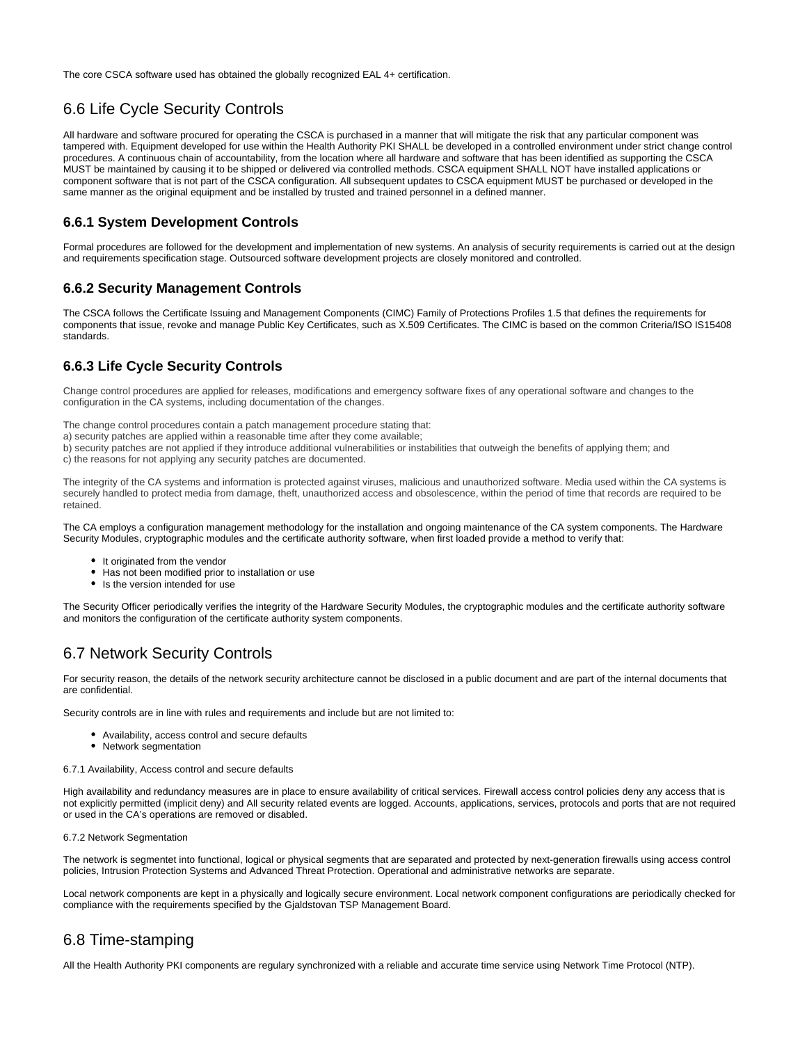The core CSCA software used has obtained the globally recognized EAL 4+ certification.

# <span id="page-29-0"></span>6.6 Life Cycle Security Controls

All hardware and software procured for operating the CSCA is purchased in a manner that will mitigate the risk that any particular component was tampered with. Equipment developed for use within the Health Authority PKI SHALL be developed in a controlled environment under strict change control procedures. A continuous chain of accountability, from the location where all hardware and software that has been identified as supporting the CSCA MUST be maintained by causing it to be shipped or delivered via controlled methods. CSCA equipment SHALL NOT have installed applications or component software that is not part of the CSCA configuration. All subsequent updates to CSCA equipment MUST be purchased or developed in the same manner as the original equipment and be installed by trusted and trained personnel in a defined manner.

#### <span id="page-29-1"></span>**6.6.1 System Development Controls**

Formal procedures are followed for the development and implementation of new systems. An analysis of security requirements is carried out at the design and requirements specification stage. Outsourced software development projects are closely monitored and controlled.

#### <span id="page-29-2"></span>**6.6.2 Security Management Controls**

The CSCA follows the Certificate Issuing and Management Components (CIMC) Family of Protections Profiles 1.5 that defines the requirements for components that issue, revoke and manage Public Key Certificates, such as X.509 Certificates. The CIMC is based on the common Criteria/ISO IS15408 standards.

#### <span id="page-29-3"></span>**6.6.3 Life Cycle Security Controls**

Change control procedures are applied for releases, modifications and emergency software fixes of any operational software and changes to the configuration in the CA systems, including documentation of the changes.

The change control procedures contain a patch management procedure stating that:

a) security patches are applied within a reasonable time after they come available;

b) security patches are not applied if they introduce additional vulnerabilities or instabilities that outweigh the benefits of applying them; and c) the reasons for not applying any security patches are documented.

The integrity of the CA systems and information is protected against viruses, malicious and unauthorized software. Media used within the CA systems is securely handled to protect media from damage, theft, unauthorized access and obsolescence, within the period of time that records are required to be retained.

The CA employs a configuration management methodology for the installation and ongoing maintenance of the CA system components. The Hardware Security Modules, cryptographic modules and the certificate authority software, when first loaded provide a method to verify that:

- It originated from the vendor
- Has not been modified prior to installation or use
- Is the version intended for use

The Security Officer periodically verifies the integrity of the Hardware Security Modules, the cryptographic modules and the certificate authority software and monitors the configuration of the certificate authority system components.

# <span id="page-29-4"></span>6.7 Network Security Controls

For security reason, the details of the network security architecture cannot be disclosed in a public document and are part of the internal documents that are confidential.

Security controls are in line with rules and requirements and include but are not limited to:

- Availability, access control and secure defaults
- Network segmentation

6.7.1 Availability, Access control and secure defaults

High availability and redundancy measures are in place to ensure availability of critical services. Firewall access control policies deny any access that is not explicitly permitted (implicit deny) and All security related events are logged. Accounts, applications, services, protocols and ports that are not required or used in the CA's operations are removed or disabled.

#### 6.7.2 Network Segmentation

The network is segmentet into functional, logical or physical segments that are separated and protected by next-generation firewalls using access control policies, Intrusion Protection Systems and Advanced Threat Protection. Operational and administrative networks are separate.

Local network components are kept in a physically and logically secure environment. Local network component configurations are periodically checked for compliance with the requirements specified by the Gjaldstovan TSP Management Board.

# <span id="page-29-5"></span>6.8 Time-stamping

All the Health Authority PKI components are regulary synchronized with a reliable and accurate time service using Network Time Protocol (NTP).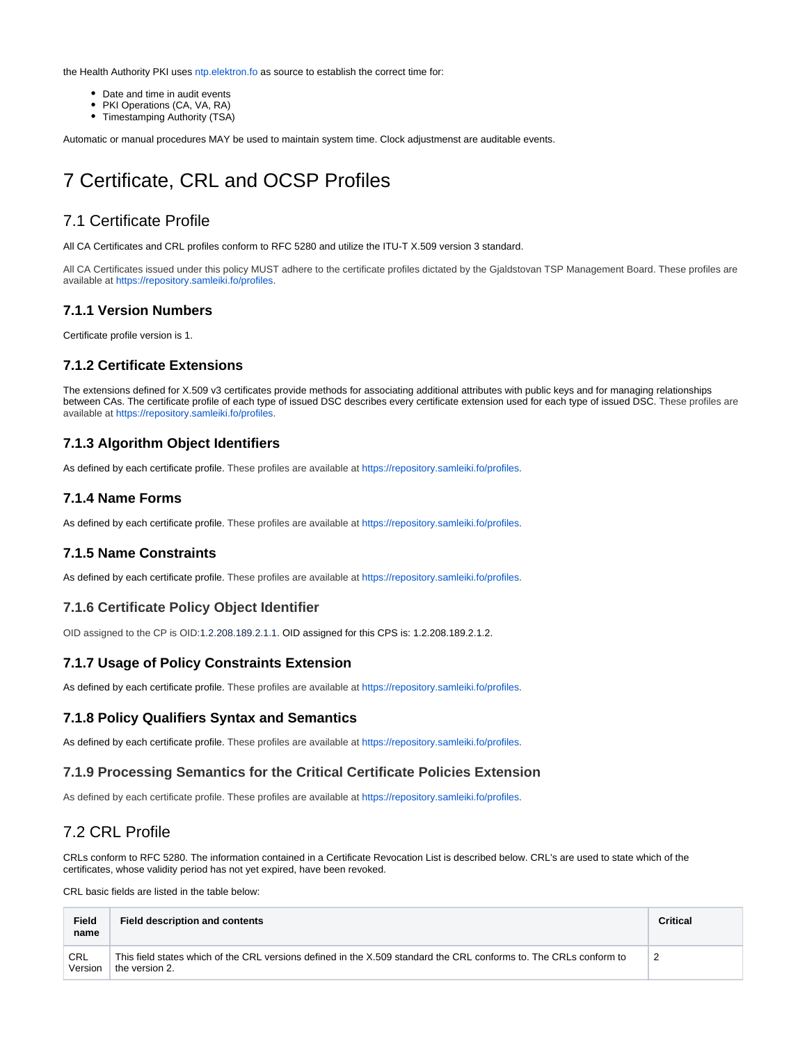the Health Authority PKI uses [ntp.elektron.fo](http://ntp.elektron.fo/) as source to establish the correct time for:

- Date and time in audit events
- PKI Operations (CA, VA, RA)
- Timestamping Authority (TSA)

Automatic or manual procedures MAY be used to maintain system time. Clock adjustmenst are auditable events.

# <span id="page-30-0"></span>7 Certificate, CRL and OCSP Profiles

## <span id="page-30-1"></span>7.1 Certificate Profile

All CA Certificates and CRL profiles conform to RFC 5280 and utilize the ITU-T X.509 version 3 standard.

All CA Certificates issued under this policy MUST adhere to the certificate profiles dictated by the Gjaldstovan TSP Management Board. These profiles are available at<https://repository.samleiki.fo/profiles>.

#### <span id="page-30-2"></span>**7.1.1 Version Numbers**

Certificate profile version is 1.

#### <span id="page-30-3"></span>**7.1.2 Certificate Extensions**

The extensions defined for X.509 v3 certificates provide methods for associating additional attributes with public keys and for managing relationships between CAs. The certificate profile of each type of issued DSC describes every certificate extension used for each type of issued DSC. These profiles are available at<https://repository.samleiki.fo/profiles>.

#### <span id="page-30-4"></span>**7.1.3 Algorithm Object Identifiers**

As defined by each certificate profile. These profiles are available at <https://repository.samleiki.fo/profiles>.

#### <span id="page-30-5"></span>**7.1.4 Name Forms**

As defined by each certificate profile. These profiles are available at <https://repository.samleiki.fo/profiles>.

#### <span id="page-30-6"></span>**7.1.5 Name Constraints**

As defined by each certificate profile. These profiles are available at <https://repository.samleiki.fo/profiles>.

#### <span id="page-30-7"></span>**7.1.6 Certificate Policy Object Identifier**

OID assigned to the CP is OID:1.2.208.189.2.1.1. OID assigned for this CPS is: 1.2.208.189.2.1.2.

#### <span id="page-30-8"></span>**7.1.7 Usage of Policy Constraints Extension**

As defined by each certificate profile. These profiles are available at <https://repository.samleiki.fo/profiles>.

#### <span id="page-30-9"></span>**7.1.8 Policy Qualifiers Syntax and Semantics**

As defined by each certificate profile. These profiles are available at <https://repository.samleiki.fo/profiles>.

#### <span id="page-30-10"></span>**7.1.9 Processing Semantics for the Critical Certificate Policies Extension**

As defined by each certificate profile. These profiles are available at <https://repository.samleiki.fo/profiles>.

### <span id="page-30-11"></span>7.2 CRL Profile

CRLs conform to RFC 5280. The information contained in a Certificate Revocation List is described below. CRL's are used to state which of the certificates, whose validity period has not yet expired, have been revoked.

CRL basic fields are listed in the table below:

| Field<br>name  | <b>Field description and contents</b>                                                                                                | <b>Critical</b> |
|----------------|--------------------------------------------------------------------------------------------------------------------------------------|-----------------|
| CRL<br>Version | This field states which of the CRL versions defined in the X.509 standard the CRL conforms to. The CRLs conform to<br>the version 2. |                 |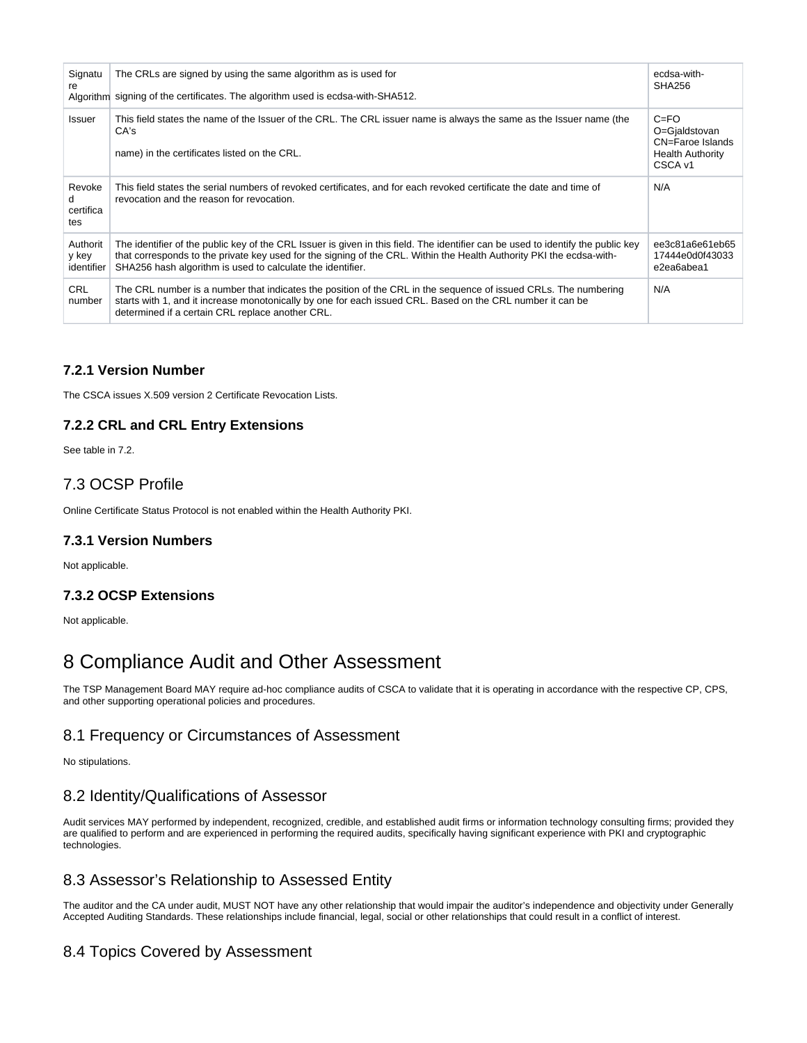| Signatu<br>re                    | The CRLs are signed by using the same algorithm as is used for<br>Algorithm signing of the certificates. The algorithm used is ecdsa-with-SHA512.                                                                                                                                                                      | ecdsa-with-<br><b>SHA256</b>                                                        |
|----------------------------------|------------------------------------------------------------------------------------------------------------------------------------------------------------------------------------------------------------------------------------------------------------------------------------------------------------------------|-------------------------------------------------------------------------------------|
| Issuer                           | This field states the name of the Issuer of the CRL. The CRL issuer name is always the same as the Issuer name (the<br>CA's<br>name) in the certificates listed on the CRL.                                                                                                                                            | $C = FO$<br>O=Gjaldstovan<br>CN=Faroe Islands<br><b>Health Authority</b><br>CSCA v1 |
| Revoke<br>d.<br>certifica<br>tes | This field states the serial numbers of revoked certificates, and for each revoked certificate the date and time of<br>revocation and the reason for revocation.                                                                                                                                                       | N/A                                                                                 |
| Authorit<br>y key<br>identifier  | The identifier of the public key of the CRL Issuer is given in this field. The identifier can be used to identify the public key<br>that corresponds to the private key used for the signing of the CRL. Within the Health Authority PKI the ecdsa-with-<br>SHA256 hash algorithm is used to calculate the identifier. | ee3c81a6e61eb65<br>17444e0d0f43033<br>e2ea6abea1                                    |
| <b>CRL</b><br>number             | The CRL number is a number that indicates the position of the CRL in the sequence of issued CRLs. The numbering<br>starts with 1, and it increase monotonically by one for each issued CRL. Based on the CRL number it can be<br>determined if a certain CRL replace another CRL.                                      | N/A                                                                                 |

## <span id="page-31-0"></span>**7.2.1 Version Number**

The CSCA issues X.509 version 2 Certificate Revocation Lists.

# <span id="page-31-1"></span>**7.2.2 CRL and CRL Entry Extensions**

See table in 7.2.

# <span id="page-31-2"></span>7.3 OCSP Profile

Online Certificate Status Protocol is not enabled within the Health Authority PKI.

#### <span id="page-31-3"></span>**7.3.1 Version Numbers**

Not applicable.

### <span id="page-31-4"></span>**7.3.2 OCSP Extensions**

Not applicable.

# <span id="page-31-5"></span>8 Compliance Audit and Other Assessment

The TSP Management Board MAY require ad-hoc compliance audits of CSCA to validate that it is operating in accordance with the respective CP, CPS, and other supporting operational policies and procedures.

# <span id="page-31-6"></span>8.1 Frequency or Circumstances of Assessment

No stipulations.

# <span id="page-31-7"></span>8.2 Identity/Qualifications of Assessor

Audit services MAY performed by independent, recognized, credible, and established audit firms or information technology consulting firms; provided they are qualified to perform and are experienced in performing the required audits, specifically having significant experience with PKI and cryptographic technologies.

# <span id="page-31-8"></span>8.3 Assessor's Relationship to Assessed Entity

The auditor and the CA under audit, MUST NOT have any other relationship that would impair the auditor's independence and objectivity under Generally Accepted Auditing Standards. These relationships include financial, legal, social or other relationships that could result in a conflict of interest.

# <span id="page-31-9"></span>8.4 Topics Covered by Assessment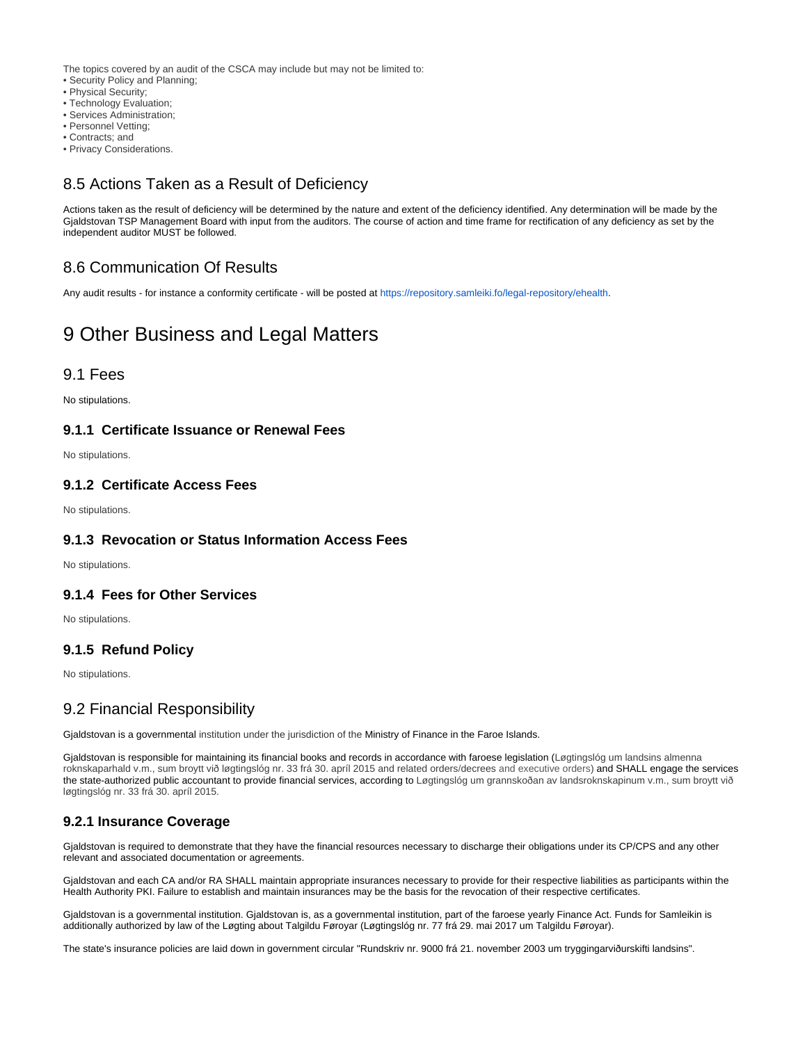The topics covered by an audit of the CSCA may include but may not be limited to:

• Security Policy and Planning;

- Physical Security;
- Technology Evaluation;
- Services Administration;
- Personnel Vetting;
- Contracts; and
- Privacy Considerations.

# <span id="page-32-0"></span>8.5 Actions Taken as a Result of Deficiency

Actions taken as the result of deficiency will be determined by the nature and extent of the deficiency identified. Any determination will be made by the Gjaldstovan TSP Management Board with input from the auditors. The course of action and time frame for rectification of any deficiency as set by the independent auditor MUST be followed.

# <span id="page-32-1"></span>8.6 Communication Of Results

Any audit results - for instance a conformity certificate - will be posted at [https://repository.samleiki.fo/legal-repository/ehealth.](https://repository.samleiki.fo/legal-repository/ehealth)

# <span id="page-32-2"></span>9 Other Business and Legal Matters

#### <span id="page-32-3"></span>9.1 Fees

No stipulations.

### <span id="page-32-4"></span>**9.1.1 Certificate Issuance or Renewal Fees**

No stipulations.

#### <span id="page-32-5"></span>**9.1.2 Certificate Access Fees**

No stipulations.

#### <span id="page-32-6"></span>**9.1.3 Revocation or Status Information Access Fees**

No stipulations.

#### <span id="page-32-7"></span>**9.1.4 Fees for Other Services**

No stipulations.

#### <span id="page-32-8"></span>**9.1.5 Refund Policy**

No stipulations.

# <span id="page-32-9"></span>9.2 Financial Responsibility

Gjaldstovan is a governmental institution under the jurisdiction of the Ministry of Finance in the Faroe Islands.

Gjaldstovan is responsible for maintaining its financial books and records in accordance with faroese legislation (Løgtingslóg um landsins almenna roknskaparhald v.m., sum broytt við løgtingslóg nr. 33 frá 30. apríl 2015 and related orders/decrees and executive orders) and SHALL engage the services the state-authorized public accountant to provide financial services, according to Løgtingslóg um grannskoðan av landsroknskapinum v.m., sum broytt við løgtingslóg nr. 33 frá 30. apríl 2015.

### <span id="page-32-10"></span>**9.2.1 Insurance Coverage**

Gjaldstovan is required to demonstrate that they have the financial resources necessary to discharge their obligations under its CP/CPS and any other relevant and associated documentation or agreements.

Gjaldstovan and each CA and/or RA SHALL maintain appropriate insurances necessary to provide for their respective liabilities as participants within the Health Authority PKI. Failure to establish and maintain insurances may be the basis for the revocation of their respective certificates.

Gjaldstovan is a governmental institution. Gjaldstovan is, as a governmental institution, part of the faroese yearly Finance Act. Funds for Samleikin is additionally authorized by law of the Løgting about Talgildu Føroyar (Løgtingslóg nr. 77 frá 29. mai 2017 um Talgildu Føroyar).

<span id="page-32-11"></span>The state's insurance policies are laid down in government circular "Rundskriv nr. 9000 frá 21. november 2003 um tryggingarviðurskifti landsins".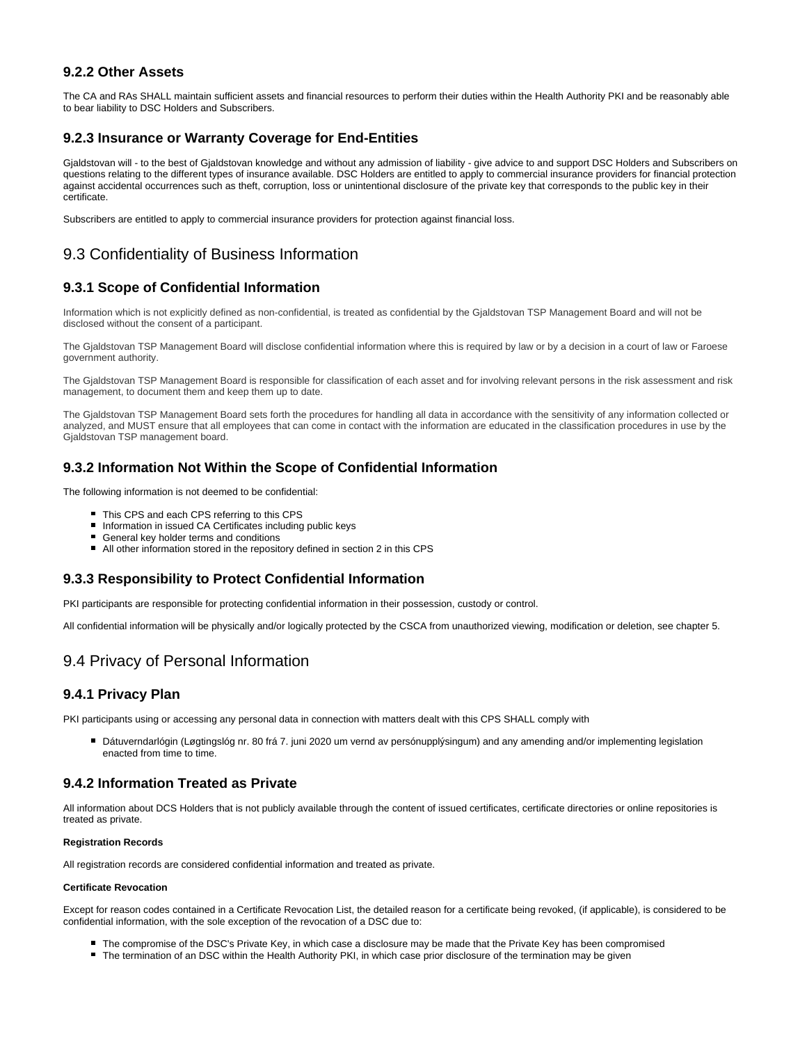#### **9.2.2 Other Assets**

The CA and RAs SHALL maintain sufficient assets and financial resources to perform their duties within the Health Authority PKI and be reasonably able to bear liability to DSC Holders and Subscribers.

#### <span id="page-33-0"></span>**9.2.3 Insurance or Warranty Coverage for End-Entities**

Gjaldstovan will - to the best of Gjaldstovan knowledge and without any admission of liability - give advice to and support DSC Holders and Subscribers on questions relating to the different types of insurance available. DSC Holders are entitled to apply to commercial insurance providers for financial protection against accidental occurrences such as theft, corruption, loss or unintentional disclosure of the private key that corresponds to the public key in their certificate.

Subscribers are entitled to apply to commercial insurance providers for protection against financial loss.

# <span id="page-33-1"></span>9.3 Confidentiality of Business Information

### <span id="page-33-2"></span>**9.3.1 Scope of Confidential Information**

Information which is not explicitly defined as non-confidential, is treated as confidential by the Gjaldstovan TSP Management Board and will not be disclosed without the consent of a participant.

The Gjaldstovan TSP Management Board will disclose confidential information where this is required by law or by a decision in a court of law or Faroese government authority.

The Gjaldstovan TSP Management Board is responsible for classification of each asset and for involving relevant persons in the risk assessment and risk management, to document them and keep them up to date.

The Gjaldstovan TSP Management Board sets forth the procedures for handling all data in accordance with the sensitivity of any information collected or analyzed, and MUST ensure that all employees that can come in contact with the information are educated in the classification procedures in use by the Gjaldstovan TSP management board.

#### <span id="page-33-3"></span>**9.3.2 Information Not Within the Scope of Confidential Information**

The following information is not deemed to be confidential:

- This CPS and each CPS referring to this CPS
- Information in issued CA Certificates including public keys
- General key holder terms and conditions
- All other information stored in the repository defined in section 2 in this CPS

#### <span id="page-33-4"></span>**9.3.3 Responsibility to Protect Confidential Information**

PKI participants are responsible for protecting confidential information in their possession, custody or control.

All confidential information will be physically and/or logically protected by the CSCA from unauthorized viewing, modification or deletion, see chapter 5.

# <span id="page-33-5"></span>9.4 Privacy of Personal Information

#### <span id="page-33-6"></span>**9.4.1 Privacy Plan**

PKI participants using or accessing any personal data in connection with matters dealt with this CPS SHALL comply with

■ Dátuverndarlógin (Løgtingslóg nr. 80 frá 7. juni 2020 um vernd av persónupplýsingum) and any amending and/or implementing legislation enacted from time to time.

#### <span id="page-33-7"></span>**9.4.2 Information Treated as Private**

All information about DCS Holders that is not publicly available through the content of issued certificates, certificate directories or online repositories is treated as private.

#### **Registration Records**

All registration records are considered confidential information and treated as private.

#### **Certificate Revocation**

<span id="page-33-8"></span>Except for reason codes contained in a Certificate Revocation List, the detailed reason for a certificate being revoked, (if applicable), is considered to be confidential information, with the sole exception of the revocation of a DSC due to:

- The compromise of the DSC's Private Key, in which case a disclosure may be made that the Private Key has been compromised
- The termination of an DSC within the Health Authority PKI, in which case prior disclosure of the termination may be given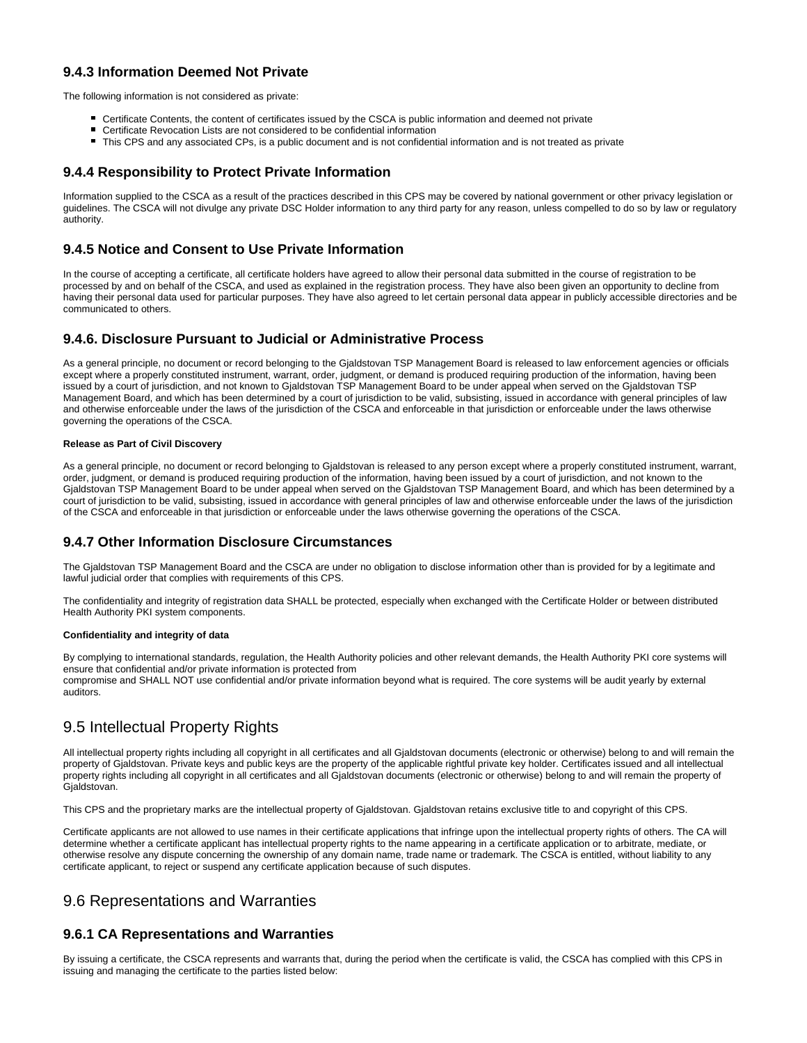### **9.4.3 Information Deemed Not Private**

The following information is not considered as private:

- Certificate Contents, the content of certificates issued by the CSCA is public information and deemed not private
- Certificate Revocation Lists are not considered to be confidential information
- This CPS and any associated CPs, is a public document and is not confidential information and is not treated as private

#### <span id="page-34-0"></span>**9.4.4 Responsibility to Protect Private Information**

Information supplied to the CSCA as a result of the practices described in this CPS may be covered by national government or other privacy legislation or guidelines. The CSCA will not divulge any private DSC Holder information to any third party for any reason, unless compelled to do so by law or regulatory authority.

#### <span id="page-34-1"></span>**9.4.5 Notice and Consent to Use Private Information**

In the course of accepting a certificate, all certificate holders have agreed to allow their personal data submitted in the course of registration to be processed by and on behalf of the CSCA, and used as explained in the registration process. They have also been given an opportunity to decline from having their personal data used for particular purposes. They have also agreed to let certain personal data appear in publicly accessible directories and be communicated to others.

#### <span id="page-34-2"></span>**9.4.6. Disclosure Pursuant to Judicial or Administrative Process**

As a general principle, no document or record belonging to the Gjaldstovan TSP Management Board is released to law enforcement agencies or officials except where a properly constituted instrument, warrant, order, judgment, or demand is produced requiring production of the information, having been issued by a court of jurisdiction, and not known to Gjaldstovan TSP Management Board to be under appeal when served on the Gjaldstovan TSP Management Board, and which has been determined by a court of jurisdiction to be valid, subsisting, issued in accordance with general principles of law and otherwise enforceable under the laws of the jurisdiction of the CSCA and enforceable in that jurisdiction or enforceable under the laws otherwise governing the operations of the CSCA.

#### **Release as Part of Civil Discovery**

As a general principle, no document or record belonging to Gjaldstovan is released to any person except where a properly constituted instrument, warrant, order, judgment, or demand is produced requiring production of the information, having been issued by a court of jurisdiction, and not known to the Gjaldstovan TSP Management Board to be under appeal when served on the Gjaldstovan TSP Management Board, and which has been determined by a court of jurisdiction to be valid, subsisting, issued in accordance with general principles of law and otherwise enforceable under the laws of the jurisdiction of the CSCA and enforceable in that jurisdiction or enforceable under the laws otherwise governing the operations of the CSCA.

#### <span id="page-34-3"></span>**9.4.7 Other Information Disclosure Circumstances**

The Gjaldstovan TSP Management Board and the CSCA are under no obligation to disclose information other than is provided for by a legitimate and lawful judicial order that complies with requirements of this CPS.

The confidentiality and integrity of registration data SHALL be protected, especially when exchanged with the Certificate Holder or between distributed Health Authority PKI system components.

#### **Confidentiality and integrity of data**

By complying to international standards, regulation, the Health Authority policies and other relevant demands, the Health Authority PKI core systems will ensure that confidential and/or private information is protected from compromise and SHALL NOT use confidential and/or private information beyond what is required. The core systems will be audit yearly by external auditors.

# <span id="page-34-4"></span>9.5 Intellectual Property Rights

All intellectual property rights including all copyright in all certificates and all Gjaldstovan documents (electronic or otherwise) belong to and will remain the property of Gjaldstovan. Private keys and public keys are the property of the applicable rightful private key holder. Certificates issued and all intellectual property rights including all copyright in all certificates and all Gjaldstovan documents (electronic or otherwise) belong to and will remain the property of Gjaldstovan.

This CPS and the proprietary marks are the intellectual property of Gjaldstovan. Gjaldstovan retains exclusive title to and copyright of this CPS.

Certificate applicants are not allowed to use names in their certificate applications that infringe upon the intellectual property rights of others. The CA will determine whether a certificate applicant has intellectual property rights to the name appearing in a certificate application or to arbitrate, mediate, or otherwise resolve any dispute concerning the ownership of any domain name, trade name or trademark. The CSCA is entitled, without liability to any certificate applicant, to reject or suspend any certificate application because of such disputes.

# <span id="page-34-5"></span>9.6 Representations and Warranties

#### <span id="page-34-6"></span>**9.6.1 CA Representations and Warranties**

By issuing a certificate, the CSCA represents and warrants that, during the period when the certificate is valid, the CSCA has complied with this CPS in issuing and managing the certificate to the parties listed below: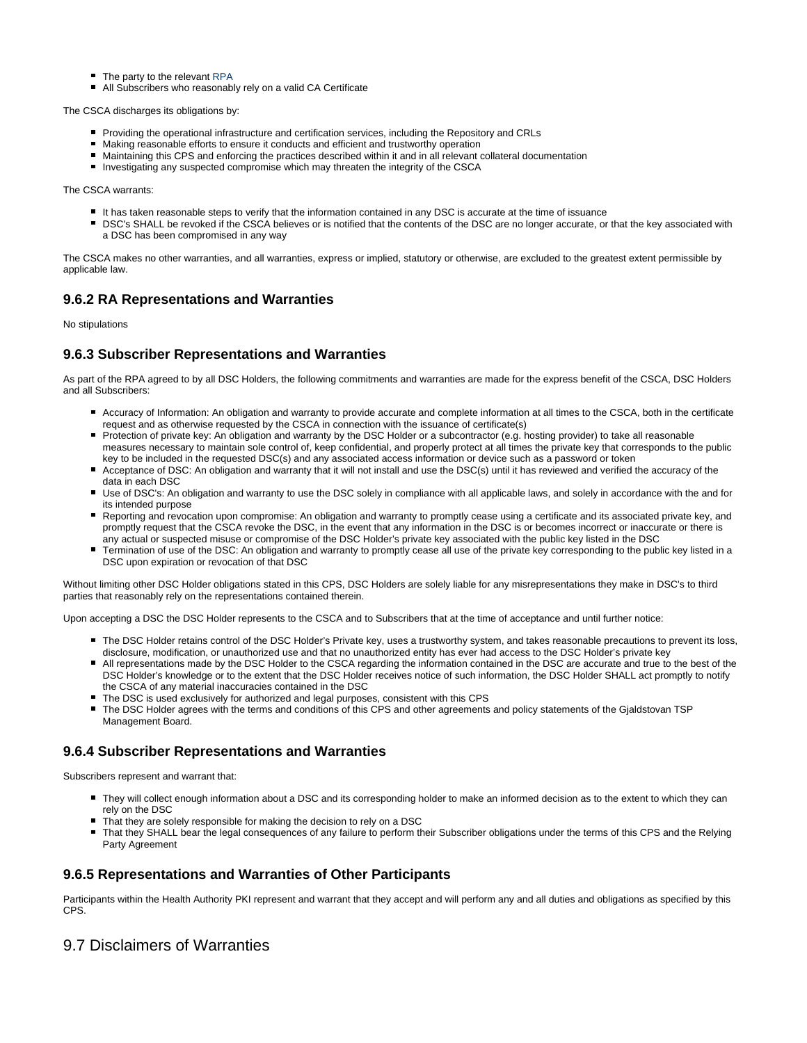- The party to the relevant RPA
- All Subscribers who reasonably rely on a valid CA Certificate

The CSCA discharges its obligations by:

- Providing the operational infrastructure and certification services, including the Repository and CRLs
- Making reasonable efforts to ensure it conducts and efficient and trustworthy operation
- Maintaining this CPS and enforcing the practices described within it and in all relevant collateral documentation
- Investigating any suspected compromise which may threaten the integrity of the CSCA

The CSCA warrants:

- It has taken reasonable steps to verify that the information contained in any DSC is accurate at the time of issuance
- **DSC's SHALL be revoked if the CSCA believes or is notified that the contents of the DSC are no longer accurate, or that the key associated with** a DSC has been compromised in any way

The CSCA makes no other warranties, and all warranties, express or implied, statutory or otherwise, are excluded to the greatest extent permissible by applicable law.

#### <span id="page-35-0"></span>**9.6.2 RA Representations and Warranties**

No stipulations

#### <span id="page-35-1"></span>**9.6.3 Subscriber Representations and Warranties**

As part of the RPA agreed to by all DSC Holders, the following commitments and warranties are made for the express benefit of the CSCA, DSC Holders and all Subscribers:

- Accuracy of Information: An obligation and warranty to provide accurate and complete information at all times to the CSCA, both in the certificate request and as otherwise requested by the CSCA in connection with the issuance of certificate(s)
- Protection of private key: An obligation and warranty by the DSC Holder or a subcontractor (e.g. hosting provider) to take all reasonable measures necessary to maintain sole control of, keep confidential, and properly protect at all times the private key that corresponds to the public key to be included in the requested DSC(s) and any associated access information or device such as a password or token
- Acceptance of DSC: An obligation and warranty that it will not install and use the DSC(s) until it has reviewed and verified the accuracy of the data in each DSC
- Use of DSC's: An obligation and warranty to use the DSC solely in compliance with all applicable laws, and solely in accordance with the and for its intended purpose
- Reporting and revocation upon compromise: An obligation and warranty to promptly cease using a certificate and its associated private key, and promptly request that the CSCA revoke the DSC, in the event that any information in the DSC is or becomes incorrect or inaccurate or there is any actual or suspected misuse or compromise of the DSC Holder's private key associated with the public key listed in the DSC
- Termination of use of the DSC: An obligation and warranty to promptly cease all use of the private key corresponding to the public key listed in a DSC upon expiration or revocation of that DSC

Without limiting other DSC Holder obligations stated in this CPS, DSC Holders are solely liable for any misrepresentations they make in DSC's to third parties that reasonably rely on the representations contained therein.

Upon accepting a DSC the DSC Holder represents to the CSCA and to Subscribers that at the time of acceptance and until further notice:

- The DSC Holder retains control of the DSC Holder's Private key, uses a trustworthy system, and takes reasonable precautions to prevent its loss, disclosure, modification, or unauthorized use and that no unauthorized entity has ever had access to the DSC Holder's private key
- All representations made by the DSC Holder to the CSCA regarding the information contained in the DSC are accurate and true to the best of the DSC Holder's knowledge or to the extent that the DSC Holder receives notice of such information, the DSC Holder SHALL act promptly to notify the CSCA of any material inaccuracies contained in the DSC
- The DSC is used exclusively for authorized and legal purposes, consistent with this CPS
- The DSC Holder agrees with the terms and conditions of this CPS and other agreements and policy statements of the Gjaldstovan TSP Management Board.

#### <span id="page-35-2"></span>**9.6.4 Subscriber Representations and Warranties**

Subscribers represent and warrant that:

- They will collect enough information about a DSC and its corresponding holder to make an informed decision as to the extent to which they can rely on the DSC
- That they are solely responsible for making the decision to rely on a DSC
- That they SHALL bear the legal consequences of any failure to perform their Subscriber obligations under the terms of this CPS and the Relying Party Agreement

#### <span id="page-35-3"></span>**9.6.5 Representations and Warranties of Other Participants**

Participants within the Health Authority PKI represent and warrant that they accept and will perform any and all duties and obligations as specified by this CPS.

### <span id="page-35-4"></span>9.7 Disclaimers of Warranties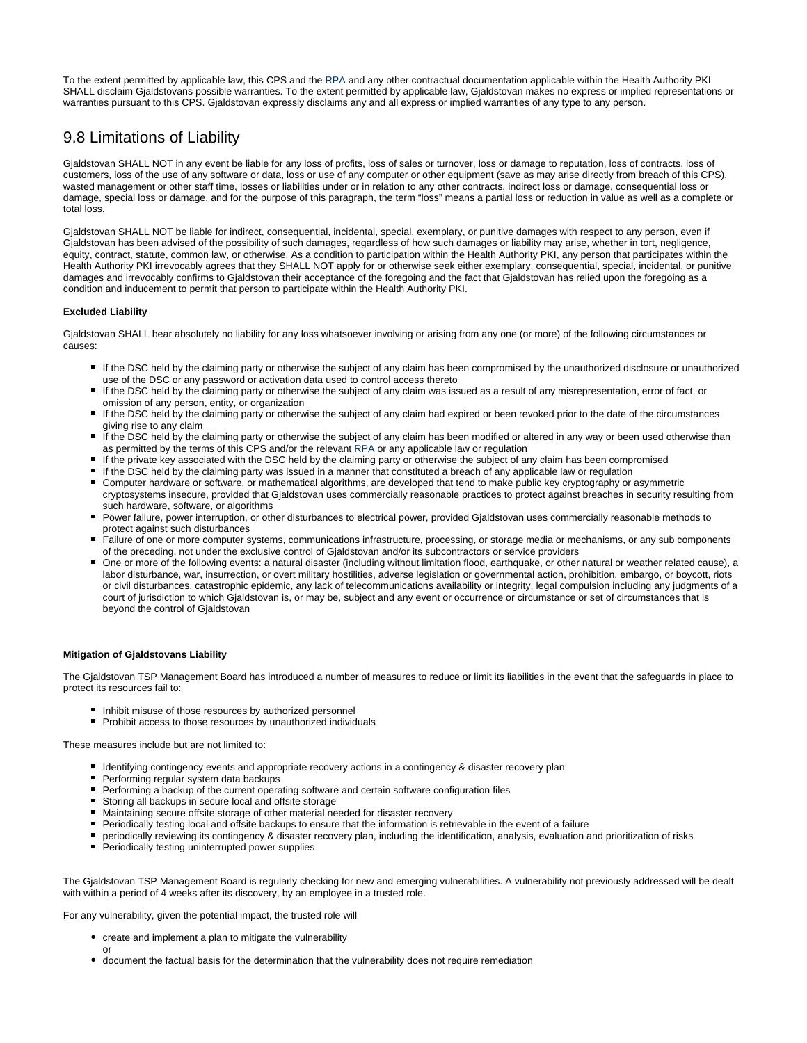To the extent permitted by applicable law, this CPS and the RPA and any other contractual documentation applicable within the Health Authority PKI SHALL disclaim Gjaldstovans possible warranties. To the extent permitted by applicable law, Gjaldstovan makes no express or implied representations or warranties pursuant to this CPS. Gjaldstovan expressly disclaims any and all express or implied warranties of any type to any person.

# <span id="page-36-0"></span>9.8 Limitations of Liability

Gjaldstovan SHALL NOT in any event be liable for any loss of profits, loss of sales or turnover, loss or damage to reputation, loss of contracts, loss of customers, loss of the use of any software or data, loss or use of any computer or other equipment (save as may arise directly from breach of this CPS), wasted management or other staff time, losses or liabilities under or in relation to any other contracts, indirect loss or damage, consequential loss or damage, special loss or damage, and for the purpose of this paragraph, the term "loss" means a partial loss or reduction in value as well as a complete or total loss.

Gjaldstovan SHALL NOT be liable for indirect, consequential, incidental, special, exemplary, or punitive damages with respect to any person, even if Gjaldstovan has been advised of the possibility of such damages, regardless of how such damages or liability may arise, whether in tort, negligence, equity, contract, statute, common law, or otherwise. As a condition to participation within the Health Authority PKI, any person that participates within the Health Authority PKI irrevocably agrees that they SHALL NOT apply for or otherwise seek either exemplary, consequential, special, incidental, or punitive damages and irrevocably confirms to Gjaldstovan their acceptance of the foregoing and the fact that Gjaldstovan has relied upon the foregoing as a condition and inducement to permit that person to participate within the Health Authority PKI.

#### **Excluded Liability**

Gjaldstovan SHALL bear absolutely no liability for any loss whatsoever involving or arising from any one (or more) of the following circumstances or causes:

- If the DSC held by the claiming party or otherwise the subject of any claim has been compromised by the unauthorized disclosure or unauthorized use of the DSC or any password or activation data used to control access thereto
- If the DSC held by the claiming party or otherwise the subject of any claim was issued as a result of any misrepresentation, error of fact, or omission of any person, entity, or organization
- If the DSC held by the claiming party or otherwise the subject of any claim had expired or been revoked prior to the date of the circumstances giving rise to any claim
- If the DSC held by the claiming party or otherwise the subject of any claim has been modified or altered in any way or been used otherwise than as permitted by the terms of this CPS and/or the relevant RPA or any applicable law or regulation
- If the private key associated with the DSC held by the claiming party or otherwise the subject of any claim has been compromised
- If the DSC held by the claiming party was issued in a manner that constituted a breach of any applicable law or regulation
- Computer hardware or software, or mathematical algorithms, are developed that tend to make public key cryptography or asymmetric cryptosystems insecure, provided that Gjaldstovan uses commercially reasonable practices to protect against breaches in security resulting from such hardware, software, or algorithms
- Power failure, power interruption, or other disturbances to electrical power, provided Gjaldstovan uses commercially reasonable methods to protect against such disturbances
- Failure of one or more computer systems, communications infrastructure, processing, or storage media or mechanisms, or any sub components of the preceding, not under the exclusive control of Gjaldstovan and/or its subcontractors or service providers
- One or more of the following events: a natural disaster (including without limitation flood, earthquake, or other natural or weather related cause), a labor disturbance, war, insurrection, or overt military hostilities, adverse legislation or governmental action, prohibition, embargo, or boycott, riots or civil disturbances, catastrophic epidemic, any lack of telecommunications availability or integrity, legal compulsion including any judgments of a court of jurisdiction to which Gjaldstovan is, or may be, subject and any event or occurrence or circumstance or set of circumstances that is beyond the control of Gjaldstovan

#### **Mitigation of Gjaldstovans Liability**

The Gjaldstovan TSP Management Board has introduced a number of measures to reduce or limit its liabilities in the event that the safeguards in place to protect its resources fail to:

- **Inhibit misuse of those resources by authorized personnel**
- **Prohibit access to those resources by unauthorized individuals**

These measures include but are not limited to:

- Identifying contingency events and appropriate recovery actions in a contingency & disaster recovery plan
- **Performing regular system data backups**
- Performing a backup of the current operating software and certain software configuration files
- Storing all backups in secure local and offsite storage
- Maintaining secure offsite storage of other material needed for disaster recovery
- Periodically testing local and offsite backups to ensure that the information is retrievable in the event of a failure
- periodically reviewing its contingency & disaster recovery plan, including the identification, analysis, evaluation and prioritization of risks
- **Periodically testing uninterrupted power supplies**

The Gjaldstovan TSP Management Board is regularly checking for new and emerging vulnerabilities. A vulnerability not previously addressed will be dealt with within a period of 4 weeks after its discovery, by an employee in a trusted role.

For any vulnerability, given the potential impact, the trusted role will

- create and implement a plan to mitigate the vulnerability
	- or
- <span id="page-36-1"></span>document the factual basis for the determination that the vulnerability does not require remediation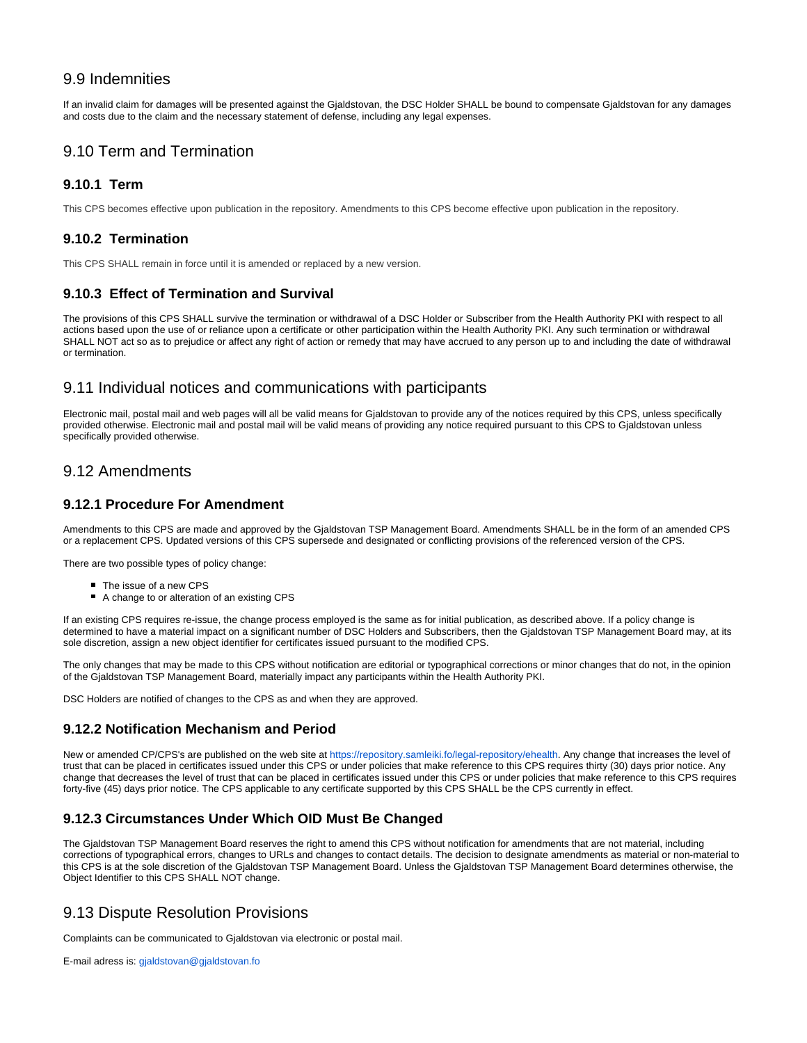## 9.9 Indemnities

If an invalid claim for damages will be presented against the Gjaldstovan, the DSC Holder SHALL be bound to compensate Gjaldstovan for any damages and costs due to the claim and the necessary statement of defense, including any legal expenses.

# <span id="page-37-0"></span>9.10 Term and Termination

#### <span id="page-37-1"></span>**9.10.1 Term**

This CPS becomes effective upon publication in the repository. Amendments to this CPS become effective upon publication in the repository.

#### <span id="page-37-2"></span>**9.10.2 Termination**

This CPS SHALL remain in force until it is amended or replaced by a new version.

#### <span id="page-37-3"></span>**9.10.3 Effect of Termination and Survival**

The provisions of this CPS SHALL survive the termination or withdrawal of a DSC Holder or Subscriber from the Health Authority PKI with respect to all actions based upon the use of or reliance upon a certificate or other participation within the Health Authority PKI. Any such termination or withdrawal SHALL NOT act so as to prejudice or affect any right of action or remedy that may have accrued to any person up to and including the date of withdrawal or termination.

#### <span id="page-37-4"></span>9.11 Individual notices and communications with participants

Electronic mail, postal mail and web pages will all be valid means for Gjaldstovan to provide any of the notices required by this CPS, unless specifically provided otherwise. Electronic mail and postal mail will be valid means of providing any notice required pursuant to this CPS to Gjaldstovan unless specifically provided otherwise.

## <span id="page-37-5"></span>9.12 Amendments

#### <span id="page-37-6"></span>**9.12.1 Procedure For Amendment**

Amendments to this CPS are made and approved by the Gjaldstovan TSP Management Board. Amendments SHALL be in the form of an amended CPS or a replacement CPS. Updated versions of this CPS supersede and designated or conflicting provisions of the referenced version of the CPS.

There are two possible types of policy change:

- The issue of a new CPS
- A change to or alteration of an existing CPS

If an existing CPS requires re-issue, the change process employed is the same as for initial publication, as described above. If a policy change is determined to have a material impact on a significant number of DSC Holders and Subscribers, then the Gjaldstovan TSP Management Board may, at its sole discretion, assign a new object identifier for certificates issued pursuant to the modified CPS.

The only changes that may be made to this CPS without notification are editorial or typographical corrections or minor changes that do not, in the opinion of the Gjaldstovan TSP Management Board, materially impact any participants within the Health Authority PKI.

DSC Holders are notified of changes to the CPS as and when they are approved.

#### <span id="page-37-7"></span>**9.12.2 Notification Mechanism and Period**

New or amended CP/CPS's are published on the web site at<https://repository.samleiki.fo/legal-repository/ehealth>. Any change that increases the level of trust that can be placed in certificates issued under this CPS or under policies that make reference to this CPS requires thirty (30) days prior notice. Any change that decreases the level of trust that can be placed in certificates issued under this CPS or under policies that make reference to this CPS requires forty-five (45) days prior notice. The CPS applicable to any certificate supported by this CPS SHALL be the CPS currently in effect.

### <span id="page-37-8"></span>**9.12.3 Circumstances Under Which OID Must Be Changed**

The Gjaldstovan TSP Management Board reserves the right to amend this CPS without notification for amendments that are not material, including corrections of typographical errors, changes to URLs and changes to contact details. The decision to designate amendments as material or non-material to this CPS is at the sole discretion of the Gjaldstovan TSP Management Board. Unless the Gjaldstovan TSP Management Board determines otherwise, the Object Identifier to this CPS SHALL NOT change.

# <span id="page-37-9"></span>9.13 Dispute Resolution Provisions

Complaints can be communicated to Gjaldstovan via electronic or postal mail.